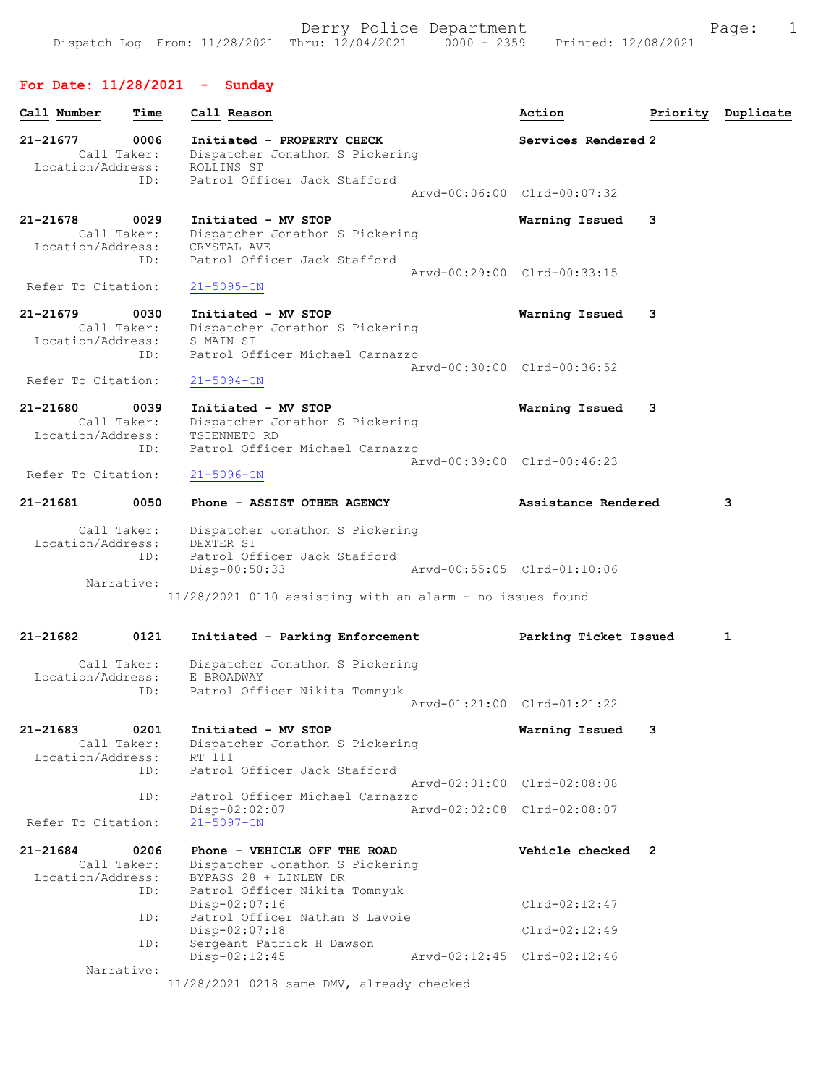## For Date: 11/28/2021 - Sunday

| Call Number                                  | Time        | Call Reason                                                                                                               | Action                      | Priority | Duplicate |
|----------------------------------------------|-------------|---------------------------------------------------------------------------------------------------------------------------|-----------------------------|----------|-----------|
| 21-21677<br>Call Taker:<br>Location/Address: | 0006        | Initiated - PROPERTY CHECK<br>Dispatcher Jonathon S Pickering<br>ROLLINS ST                                               | Services Rendered 2         |          |           |
|                                              | ID:         | Patrol Officer Jack Stafford                                                                                              | Arvd-00:06:00 Clrd-00:07:32 |          |           |
| 21-21678<br>Call Taker:<br>Location/Address: | 0029<br>ID: | Initiated - MV STOP<br>Dispatcher Jonathon S Pickering<br>CRYSTAL AVE<br>Patrol Officer Jack Stafford                     | Warning Issued              | 3        |           |
| Refer To Citation:                           |             | $21 - 5095 - CN$                                                                                                          | Arvd-00:29:00 Clrd-00:33:15 |          |           |
| 21-21679<br>Call Taker:<br>Location/Address: | 0030<br>ID: | Initiated - MV STOP<br>Dispatcher Jonathon S Pickering<br>S MAIN ST<br>Patrol Officer Michael Carnazzo                    | Warning Issued              | 3        |           |
| Refer To Citation:                           |             | $21 - 5094 - CN$                                                                                                          | Arvd-00:30:00 Clrd-00:36:52 |          |           |
| 21-21680<br>Call Taker:<br>Location/Address: | 0039<br>ID: | Initiated - MV STOP<br>Dispatcher Jonathon S Pickering<br>TSIENNETO RD<br>Patrol Officer Michael Carnazzo                 | Warning Issued              | 3        |           |
| Refer To Citation:                           |             | $21 - 5096 - CN$                                                                                                          | Aryd-00:39:00 Clrd-00:46:23 |          |           |
| 21-21681                                     | 0050        | Phone - ASSIST OTHER AGENCY                                                                                               | Assistance Rendered         |          | 3         |
| Call Taker:<br>Location/Address:             | ID:         | Dispatcher Jonathon S Pickering<br>DEXTER ST<br>Patrol Officer Jack Stafford<br>$Disp-00:50:33$                           | Arvd-00:55:05 Clrd-01:10:06 |          |           |
| Narrative:                                   |             | $11/28/2021$ 0110 assisting with an alarm - no issues found                                                               |                             |          |           |
| 21-21682                                     | 0121        | Initiated - Parking Enforcement                                                                                           | Parking Ticket Issued       |          | 1         |
| Call Taker:<br>Location/Address:             | ID:         | Dispatcher Jonathon S Pickering<br>E BROADWAY<br>Patrol Officer Nikita Tomnyuk                                            | Arvd-01:21:00 Clrd-01:21:22 |          |           |
| 21-21683                                     | 0201        | Initiated - MV STOP                                                                                                       | Warning Issued              | 3        |           |
| Call Taker:<br>Location/Address:             | ID:         | Dispatcher Jonathon S Pickering<br>RT 111<br>Patrol Officer Jack Stafford                                                 |                             |          |           |
|                                              | ID:         | Patrol Officer Michael Carnazzo                                                                                           | Arvd-02:01:00 Clrd-02:08:08 |          |           |
| Refer To Citation:                           |             | Disp-02:02:07<br>$21 - 5097 - CN$                                                                                         | Arvd-02:02:08 Clrd-02:08:07 |          |           |
| 21-21684<br>Call Taker:<br>Location/Address: | 0206<br>ID: | Phone - VEHICLE OFF THE ROAD<br>Dispatcher Jonathon S Pickering<br>BYPASS 28 + LINLEW DR<br>Patrol Officer Nikita Tomnyuk | Vehicle checked 2           |          |           |
|                                              | ID:         | $Disp-02:07:16$<br>Patrol Officer Nathan S Lavoie                                                                         | $Clrd-02:12:47$             |          |           |
|                                              | ID:         | $Disp-02:07:18$<br>Sergeant Patrick H Dawson                                                                              | $Clrd-02:12:49$             |          |           |
| Narrative:                                   |             | $Disp-02:12:45$                                                                                                           | Arvd-02:12:45 Clrd-02:12:46 |          |           |
|                                              |             | $11/28/2021$ 0218 same DMV, already checked                                                                               |                             |          |           |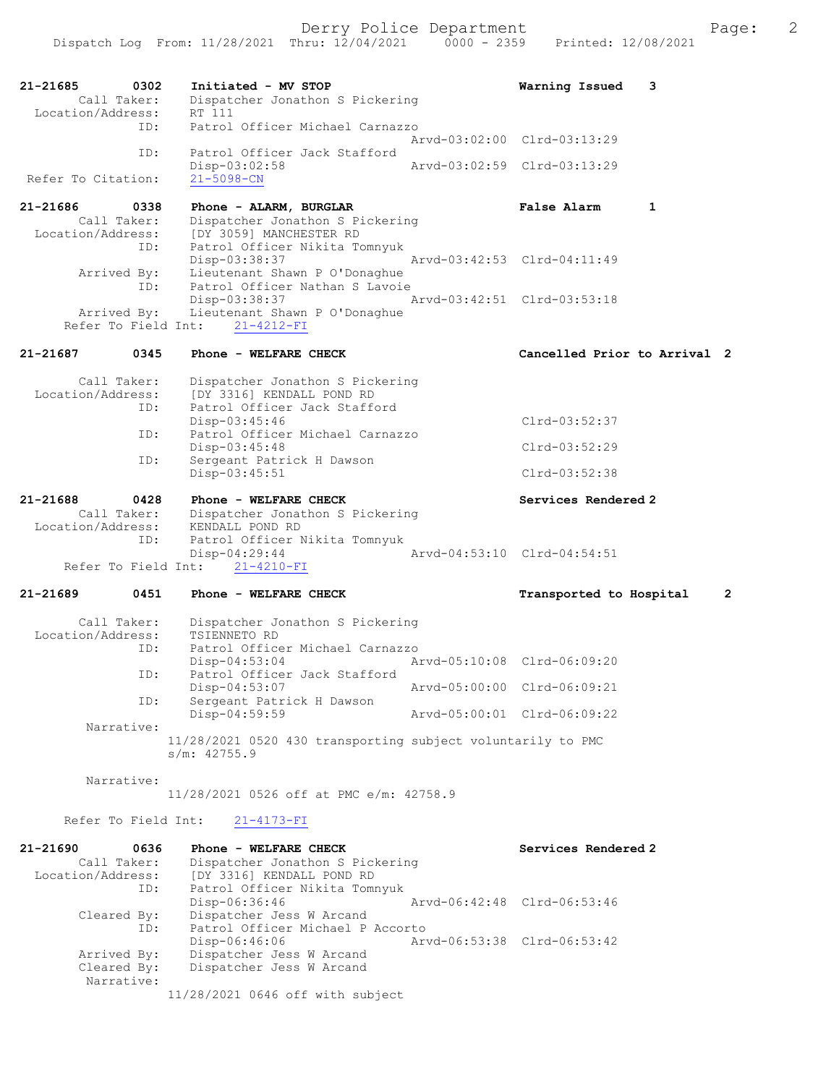21-21685 0302 Initiated - MV STOP Warning Issued 3 Dispatcher Jonathon S Pickering Call Taker: Dispatc<br>Location/Address: RT 111<br>ID: Patrol Patrol Officer Michael Carnazzo Arvd-03:02:00 Clrd-03:13:29<br>TD: Patrol Officer Jack Stafford Patrol Officer Jack Stafford<br>Disp-03:02:58 Disp-03:02:58 Arvd-03:02:59 Clrd-03:13:29 Refer To Citation: 21-21686 0338 Phone - ALARM, BURGLAR False Alarm 1 Call Taker: Dispatcher Jonathon S Pickering Location/Address: [DY 3059] MANCHESTER RD ID: Patrol Officer Nikita Tomnyuk Disp-03:38:37 Arvd-03:42:53 Clrd-04:11:49 Arrived By: Lieutenant Shawn P O'Donaghue ID: Patrol Officer Nathan S Lavoie<br>Disp-03:38:37 Disp-03:38:37 Arvd-03:42:51 Clrd-03:53:18 Arrived By: Lieutenant Shawn P O'Donaghue Refer To Field Int: 21-4212-FI 21-21687 0345 Phone - WELFARE CHECK Cancelled Prior to Arrival 2 Call Taker: Dispatcher Jonathon S Pickering<br>Location/Address: [DY 3316] KENDALL POND RD Location/Address: [DY 3316] KENDALL POND RD ID: Patrol Officer Jack Stafford Disp-03:45:46 Clrd-03:52:37<br>ID: Patrol Officer Michael Carnazzo Patrol Officer Michael Carnazzo Disp-03:45:48 Clrd-03:52:29<br>ID: Sergeant Patrick H Dawson Sergeant Patrick H Dawson Disp-03:45:51 Clrd-03:52:38 21-21688 0428 Phone - WELFARE CHECK Services Rendered 2<br>Call Taker: Dispatcher Jonathon S Pickering Dispatcher Jonathon S Pickering<br>KENDALL POND RD Location/Address:<br>ID: Patrol Officer Nikita Tomnyuk<br>Disp-04:29:44 Disp-04:29:44 Arvd-04:53:10 Clrd-04:54:51 Refer To Field Int: 21-4210-FI 21-21689 0451 Phone - WELFARE CHECK Transported to Hospital 2 Call Taker: Dispatcher Jonathon S Pickering<br>Location/Address: TSIENNETO RD nse:<br>ess: TSIENNETO RD<br>ID: Patrol Office Patrol Officer Michael Carnazzo<br>Disp-04:53:04 Ar Disp-04:53:04 Arvd-05:10:08 Clrd-06:09:20<br>ID: Patrol Officer Jack Stafford Patrol Officer Jack Stafford<br>Disp-04:53:07 Disp-04:53:07 Arvd-05:00:00 Clrd-06:09:21<br>ID: Sergeant Patrick H Dawson Sergeant Patrick H Dawson<br>Disp-04:59:59 Disp-04:59:59 Arvd-05:00:01 Clrd-06:09:22 Narrative: 11/28/2021 0520 430 transporting subject voluntarily to PMC s/m: 42755.9 Narrative: 11/28/2021 0526 off at PMC e/m: 42758.9 Refer To Field Int: 21-4173-FI 21-21690 0636 Phone - WELFARE CHECK Services Rendered 2 Call Taker: Dispatcher Jonathon S Pickering<br>Location/Address: [DY 3316] KENDALL POND RD Location/Address: [DY 3316] KENDALL POND RD ID: Patrol Officer Nikita Tomnyuk Disp-06:36:46 Arvd-06:42:48 Cleared By: Dispatcher Jess W Arcand Dispatcher Jess W Arcand ID: Patrol Officer Michael P Accorto<br>Disp-06:46:06 Art Disp-06:46:06 Arvd-06:53:38 Clrd-06:53:42<br>Arrived By: Dispatcher Jess W Arcand

Dispatcher Jess W Arcand Narrative: 11/28/2021 0646 off with subject

Arrived By: Dispatcher Jess W Arcand<br>Cleared Bv: Dispatcher Jess W Arcand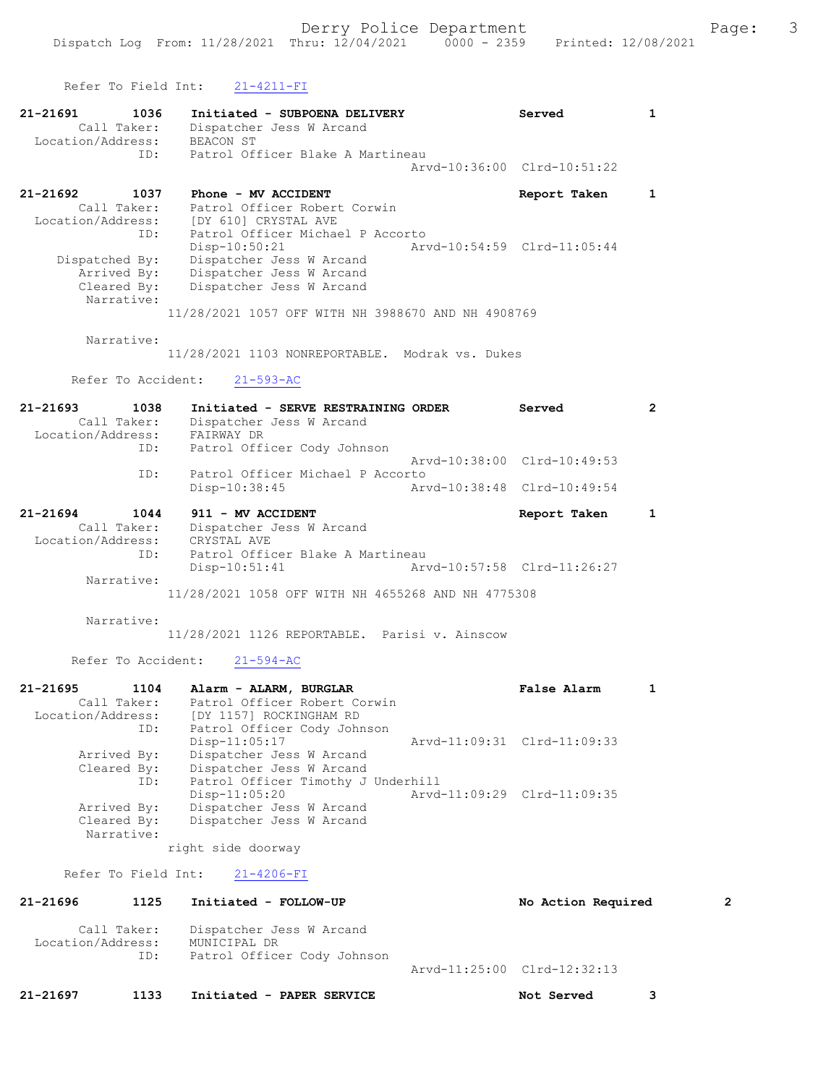|                                   | Refer To Field Int:                               | 21-4211-FI                                                                                                                                                                                                                                                          |                             |                             |                |
|-----------------------------------|---------------------------------------------------|---------------------------------------------------------------------------------------------------------------------------------------------------------------------------------------------------------------------------------------------------------------------|-----------------------------|-----------------------------|----------------|
| 21-21691<br>Location/Address:     | 1036<br>Call Taker:<br>ID:                        | Initiated - SUBPOENA DELIVERY<br>Dispatcher Jess W Arcand<br><b>BEACON ST</b><br>Patrol Officer Blake A Martineau                                                                                                                                                   |                             | Served                      | $\mathbf{1}$   |
|                                   |                                                   |                                                                                                                                                                                                                                                                     |                             | Arvd-10:36:00 Clrd-10:51:22 |                |
| 21-21692<br>Dispatched By:        | 1037<br>Call Taker:<br>Arrived By:<br>Cleared By: | Phone - MV ACCIDENT<br>Patrol Officer Robert Corwin<br>Location/Address: [DY 610] CRYSTAL AVE<br>ID: Patrol Officer Michae<br>Patrol Officer Michael P Accorto<br>Disp-10:50:21<br>Dispatcher Jess W Arcand<br>Dispatcher Jess W Arcand<br>Dispatcher Jess W Arcand | Arvd-10:54:59 Clrd-11:05:44 | Report Taken                | $\mathbf{1}$   |
|                                   | Narrative:                                        | 11/28/2021 1057 OFF WITH NH 3988670 AND NH 4908769                                                                                                                                                                                                                  |                             |                             |                |
|                                   | Narrative:<br>Refer To Accident:                  | 11/28/2021 1103 NONREPORTABLE. Modrak vs. Dukes<br>$21 - 593 - AC$                                                                                                                                                                                                  |                             |                             |                |
|                                   |                                                   |                                                                                                                                                                                                                                                                     |                             |                             |                |
| $21 - 21693$<br>Location/Address: | 1038<br>Call Taker:                               | Initiated - SERVE RESTRAINING ORDER<br>Dispatcher Jess W Arcand<br>FAIRWAY DR                                                                                                                                                                                       |                             | Served                      | $\overline{2}$ |
|                                   | ID:                                               | Patrol Officer Cody Johnson                                                                                                                                                                                                                                         |                             | Arvd-10:38:00 Clrd-10:49:53 |                |
|                                   | ID:                                               | Patrol Officer Michael P Accorto<br>Disp-10:38:45                                                                                                                                                                                                                   |                             | Arvd-10:38:48 Clrd-10:49:54 |                |
| 21-21694<br>Location/Address:     | 1044<br>Call Taker:                               | 911 - MV ACCIDENT<br>Dispatcher Jess W Arcand<br>CRYSTAL AVE                                                                                                                                                                                                        |                             | Report Taken                | $\mathbf{1}$   |
|                                   | ID:                                               | Patrol Officer Blake A Martineau<br>$Disp-10:51:41$                                                                                                                                                                                                                 |                             | Arvd-10:57:58 Clrd-11:26:27 |                |
|                                   | Narrative:                                        | 11/28/2021 1058 OFF WITH NH 4655268 AND NH 4775308                                                                                                                                                                                                                  |                             |                             |                |
|                                   | Narrative:                                        | 11/28/2021 1126 REPORTABLE. Parisi v. Ainscow                                                                                                                                                                                                                       |                             |                             |                |
|                                   | Refer To Accident:                                | $21 - 594 - AC$                                                                                                                                                                                                                                                     |                             |                             |                |
| 21-21695<br>Location/Address:     | 1104<br>Call Taker:<br>ID:                        | Alarm - ALARM, BURGLAR<br>Patrol Officer Robert Corwin<br>[DY 1157] ROCKINGHAM RD<br>Patrol Officer Cody Johnson                                                                                                                                                    |                             | False Alarm                 | 1              |
|                                   | Arrived By:<br>Cleared By:<br>ID:                 | $Disp-11:05:17$<br>Dispatcher Jess W Arcand<br>Dispatcher Jess W Arcand<br>Patrol Officer Timothy J Underhill                                                                                                                                                       |                             | Arvd-11:09:31 Clrd-11:09:33 |                |
|                                   | Arrived By:<br>Cleared By:<br>Narrative:          | $Disp-11:05:20$<br>Dispatcher Jess W Arcand<br>Dispatcher Jess W Arcand                                                                                                                                                                                             |                             | Arvd-11:09:29 Clrd-11:09:35 |                |
|                                   |                                                   | right side doorway                                                                                                                                                                                                                                                  |                             |                             |                |
|                                   | Refer To Field Int:                               | $21 - 4206 - FI$                                                                                                                                                                                                                                                    |                             |                             |                |
| 21-21696                          | 1125                                              | Initiated - FOLLOW-UP                                                                                                                                                                                                                                               |                             | No Action Required          | 2              |
| Location/Address:                 | Call Taker:<br>ID:                                | Dispatcher Jess W Arcand<br>MUNICIPAL DR<br>Patrol Officer Cody Johnson                                                                                                                                                                                             |                             |                             |                |

```
Arvd-11:25:00 Clrd-12:32:13
```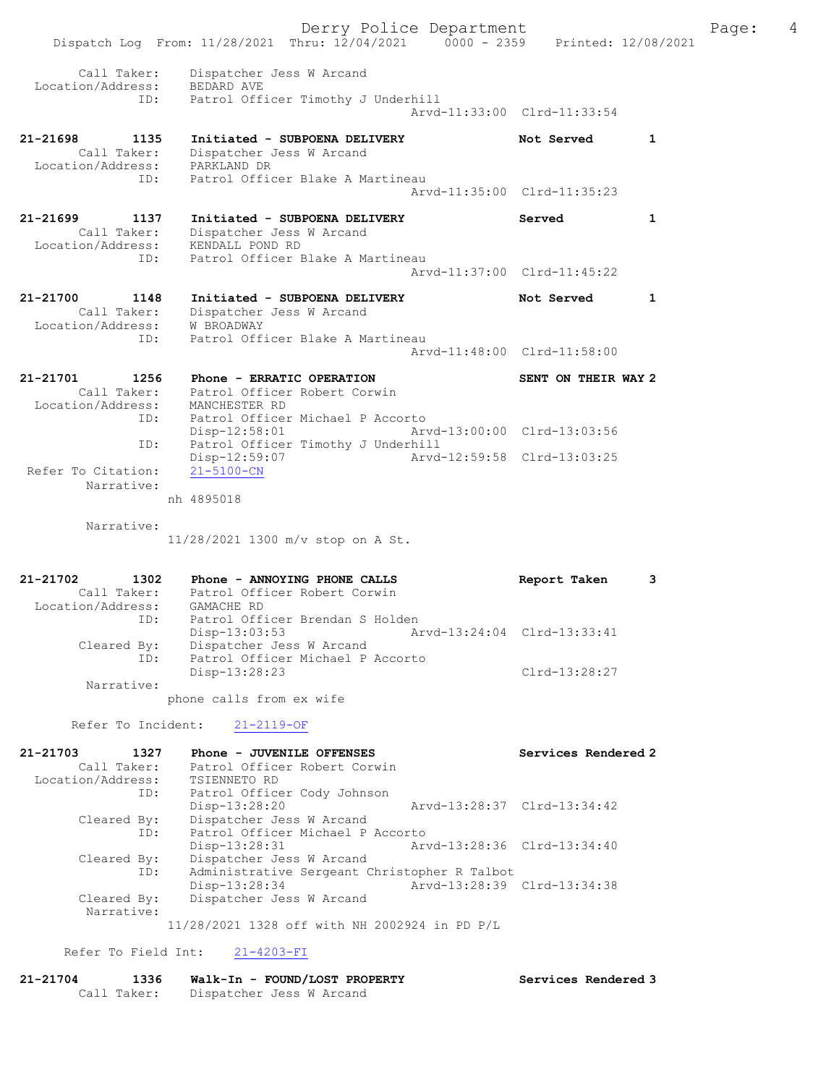|                                  | Dispatch Log From: 11/28/2021 Thru: 12/04/2021 0000 - 2359 Printed: 12/08/2021 |                             |                             |              |  |
|----------------------------------|--------------------------------------------------------------------------------|-----------------------------|-----------------------------|--------------|--|
| Call Taker:                      | Dispatcher Jess W Arcand                                                       |                             |                             |              |  |
| Location/Address:<br>ID:         | BEDARD AVE<br>Patrol Officer Timothy J Underhill                               |                             |                             |              |  |
|                                  |                                                                                |                             | Arvd-11:33:00 Clrd-11:33:54 |              |  |
| 21-21698<br>1135                 | Initiated - SUBPOENA DELIVERY                                                  |                             | Not Served                  | 1            |  |
| Call Taker:<br>Location/Address: | Dispatcher Jess W Arcand<br>PARKLAND DR                                        |                             |                             |              |  |
| ID:                              | Patrol Officer Blake A Martineau                                               |                             |                             |              |  |
|                                  |                                                                                |                             | Arvd-11:35:00 Clrd-11:35:23 |              |  |
| 21-21699<br>1137                 | Initiated - SUBPOENA DELIVERY                                                  |                             | Served                      | $\mathbf{1}$ |  |
| Call Taker:<br>Location/Address: | Dispatcher Jess W Arcand<br>KENDALL POND RD                                    |                             |                             |              |  |
| ID:                              | Patrol Officer Blake A Martineau                                               |                             |                             |              |  |
|                                  |                                                                                |                             | Arvd-11:37:00 Clrd-11:45:22 |              |  |
| 21-21700<br>1148                 | Initiated - SUBPOENA DELIVERY                                                  |                             | Not Served                  | 1            |  |
| Call Taker:                      | Dispatcher Jess W Arcand                                                       |                             |                             |              |  |
| Location/Address:<br>ID:         | <b>W BROADWAY</b><br>Patrol Officer Blake A Martineau                          |                             |                             |              |  |
|                                  |                                                                                |                             | Arvd-11:48:00 Clrd-11:58:00 |              |  |
| 21-21701<br>1256                 | Phone - ERRATIC OPERATION                                                      |                             | SENT ON THEIR WAY 2         |              |  |
| Call Taker:                      | Patrol Officer Robert Corwin                                                   |                             |                             |              |  |
| Location/Address:<br>ID:         | MANCHESTER RD<br>Patrol Officer Michael P Accorto                              |                             |                             |              |  |
|                                  | $Disp-12:58:01$                                                                | Arvd-13:00:00 Clrd-13:03:56 |                             |              |  |
| ID:                              | Patrol Officer Timothy J Underhill<br>Disp-12:59:07                            |                             | Arvd-12:59:58 Clrd-13:03:25 |              |  |
| Refer To Citation:               | $21 - 5100 - CN$                                                               |                             |                             |              |  |
| Narrative:                       |                                                                                |                             |                             |              |  |
|                                  | nh 4895018                                                                     |                             |                             |              |  |
| Narrative:                       |                                                                                |                             |                             |              |  |
|                                  | 11/28/2021 1300 m/v stop on A St.                                              |                             |                             |              |  |
| 21-21702<br>1302                 | Phone - ANNOYING PHONE CALLS                                                   |                             | Report Taken                | 3            |  |
|                                  | Call Taker: Patrol Officer Robert Corwin                                       |                             |                             |              |  |
| Location/Address:                | GAMACHE RD<br>ID: Patrol Officer Brendan S Holden                              |                             |                             |              |  |
|                                  |                                                                                |                             |                             |              |  |
|                                  | $Disp-13:03:53$                                                                |                             | Arvd-13:24:04 Clrd-13:33:41 |              |  |
| Cleared By:                      | Dispatcher Jess W Arcand                                                       |                             |                             |              |  |
| ID:                              | Patrol Officer Michael P Accorto<br>Disp-13:28:23                              |                             | $Clrd-13:28:27$             |              |  |
| Narrative:                       |                                                                                |                             |                             |              |  |
|                                  | phone calls from ex wife                                                       |                             |                             |              |  |
| Refer To Incident:               | $21 - 2119 - OF$                                                               |                             |                             |              |  |
| 21-21703<br>1327                 | Phone - JUVENILE OFFENSES                                                      |                             | Services Rendered 2         |              |  |
| Call Taker:<br>Location/Address: | Patrol Officer Robert Corwin<br>TSIENNETO RD                                   |                             |                             |              |  |
| ID:                              | Patrol Officer Cody Johnson                                                    |                             |                             |              |  |
|                                  | Disp-13:28:20                                                                  |                             | Arvd-13:28:37 Clrd-13:34:42 |              |  |
| Cleared By:<br>ID:               | Dispatcher Jess W Arcand<br>Patrol Officer Michael P Accorto                   |                             |                             |              |  |
|                                  | Disp-13:28:31                                                                  |                             | Arvd-13:28:36 Clrd-13:34:40 |              |  |
| Cleared By:<br>ID:               | Dispatcher Jess W Arcand<br>Administrative Sergeant Christopher R Talbot       |                             |                             |              |  |
|                                  | Disp-13:28:34                                                                  |                             | Arvd-13:28:39 Clrd-13:34:38 |              |  |
| Cleared By:<br>Narrative:        | Dispatcher Jess W Arcand                                                       |                             |                             |              |  |
|                                  | 11/28/2021 1328 off with NH 2002924 in PD P/L                                  |                             |                             |              |  |

21-21704 1336 Walk-In - FOUND/LOST PROPERTY Services Rendered 3 Call Taker: Dispatcher Jess W Arcand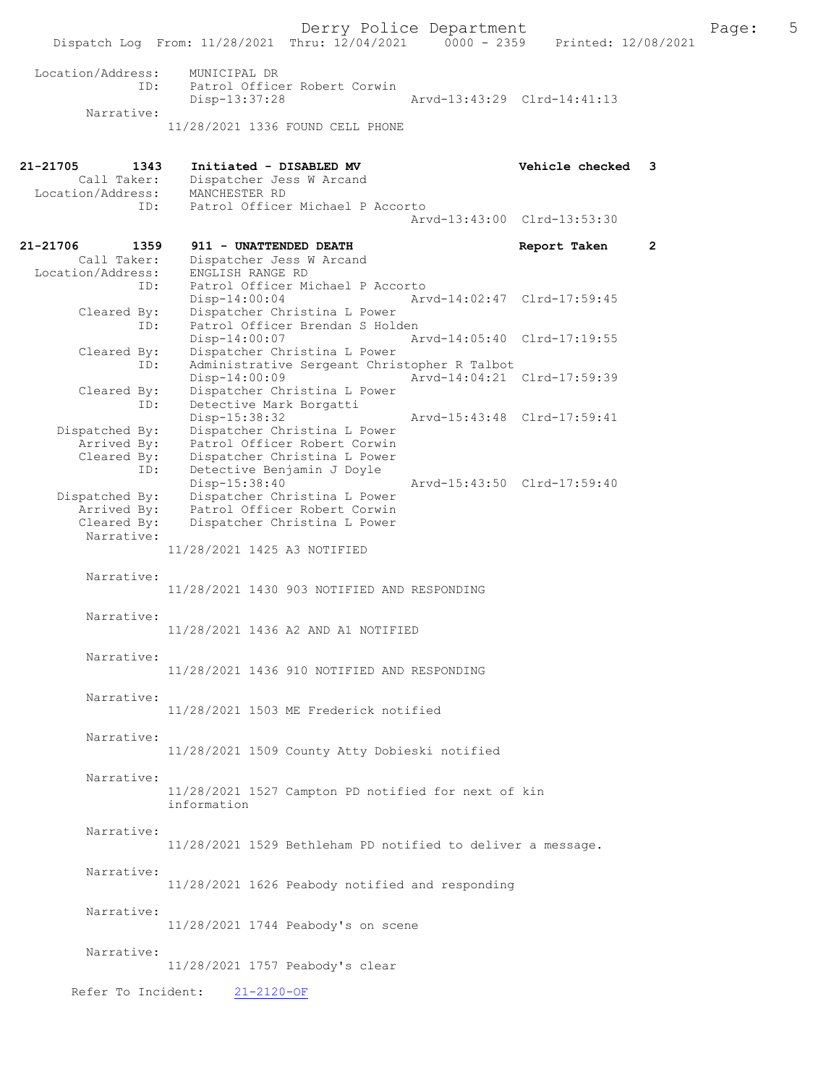Derry Police Department<br>
Page: 5 (12/04/2021 0000 - 2359 Printed: 12/08/2021 Dispatch Log From: 11/28/2021 Thru: 12/04/2021 Location/Address: MUNICIPAL DR ID: Patrol Officer Robert Corwin<br>Disp-13:37:28 Disp-13:37:28 Arvd-13:43:29 Clrd-14:41:13 Narrative: 11/28/2021 1336 FOUND CELL PHONE 21-21705 1343 Initiated - DISABLED MV Vehicle checked 3<br>Call Taker: Dispatcher Jess W Arcand Dispatcher Jess W Arcand Location/Address: MANCHESTER RD ID: Patrol Officer Michael P Accorto Arvd-13:43:00 Clrd-13:53:30 21-21706 1359 911 - UNATTENDED DEATH Report Taken 2<br>Call Taker: Dispatcher Jess W Arcand Call Taker: Dispatcher Jess W Arcand<br>Location/Address: ENGLISH RANGE RD nor.<br>ess: ENGLISH RANGE RD<br>ID: Patrol Officer Mi Patrol Officer Michael P Accorto<br>Disp-14:00:04 Ary Disp-14:00:04 Arvd-14:02:47 Clrd-17:59:45<br>Cleared By: Dispatcher Christina L Power Dispatcher Christina L Power ID: Patrol Officer Brendan S Holden<br>Disp-14:00:07 A Disp-14:00:07 Arvd-14:05:40 Cleared By: Dispatcher Christina L Power Dispatcher Christina L Power ID: Administrative Sergeant Christopher R Talbot Disp-14:00:09 Arvd-14:04:21 Clrd-17:59:39<br>Cleared By: Dispatcher Christina L Power By: Dispatcher Christina L Power<br>ID: Detective Mark Borgatti Detective Mark Borgatti<br>Disp-15:38:32 Disp-15:38:32 Arvd-15:43:48 Clrd-17:59:41<br>Dispatched By: Dispatcher Christina L Power Dispatcher Christina L Power Arrived By: Patrol Officer Robert Corwin<br>Cleared Bv: Dispatcher Christina L Power Cleared By: Dispatcher Christina L Power ID: Detective Benjamin J Doyle Disp-15:38:40<br>Dispatched By: Dispatcher Christina L Power<br>Dispatched By: Dispatcher Christina L Power Dispatcher Christina L Power Arrived By: Patrol Officer Robert Corwin Cleared By: Dispatcher Christina L Power Narrative: 11/28/2021 1425 A3 NOTIFIED Narrative: 11/28/2021 1430 903 NOTIFIED AND RESPONDING Narrative: 11/28/2021 1436 A2 AND A1 NOTIFIED Narrative: 11/28/2021 1436 910 NOTIFIED AND RESPONDING Narrative: 11/28/2021 1503 ME Frederick notified Narrative: 11/28/2021 1509 County Atty Dobieski notified Narrative: 11/28/2021 1527 Campton PD notified for next of kin information Narrative: 11/28/2021 1529 Bethleham PD notified to deliver a message. Narrative: 11/28/2021 1626 Peabody notified and responding Narrative: 11/28/2021 1744 Peabody's on scene Narrative: 11/28/2021 1757 Peabody's clear Refer To Incident: 21-2120-OF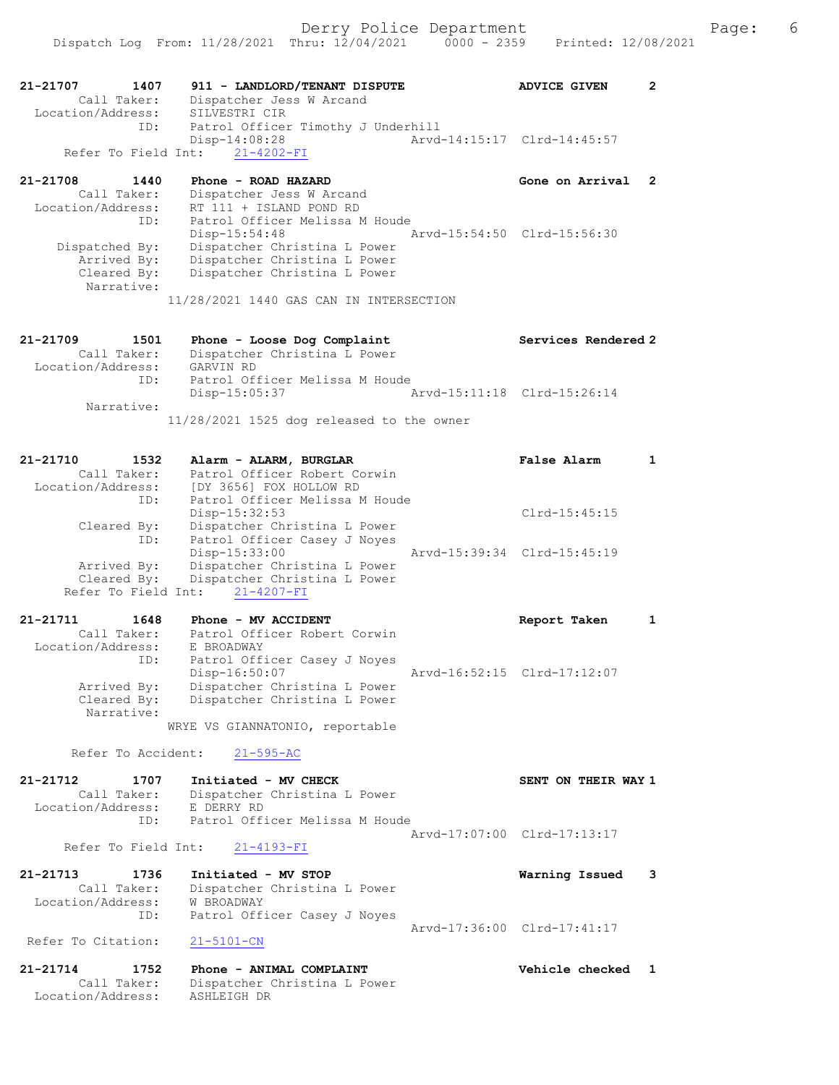| 21-21707<br>1407<br>Call Taker:<br>Location/Address:       | 911 - LANDLORD/TENANT DISPUTE<br>Dispatcher Jess W Arcand<br>SILVESTRI CIR                                   | <b>ADVICE GIVEN</b>         | $\mathbf{2}$ |
|------------------------------------------------------------|--------------------------------------------------------------------------------------------------------------|-----------------------------|--------------|
| ID:                                                        | Patrol Officer Timothy J Underhill<br>$Disp-14:08:28$<br>Refer To Field Int: 21-4202-FI                      | Arvd-14:15:17 Clrd-14:45:57 |              |
| 21-21708<br>1440                                           | Phone - ROAD HAZARD                                                                                          | Gone on Arrival             | 2            |
| Call Taker:<br>Location/Address:<br>ID:                    | Dispatcher Jess W Arcand<br>RT 111 + ISLAND POND RD<br>Patrol Officer Melissa M Houde<br>Disp-15:54:48       | Arvd-15:54:50 Clrd-15:56:30 |              |
| Dispatched By:<br>Arrived By:<br>Cleared By:<br>Narrative: | Dispatcher Christina L Power<br>Dispatcher Christina L Power<br>Dispatcher Christina L Power                 |                             |              |
|                                                            | 11/28/2021 1440 GAS CAN IN INTERSECTION                                                                      |                             |              |
| 21-21709<br>1501<br>Call Taker:<br>Location/Address:       | Phone - Loose Dog Complaint<br>Dispatcher Christina L Power<br>GARVIN RD                                     | Services Rendered 2         |              |
| ID:                                                        | Patrol Officer Melissa M Houde<br>Disp-15:05:37                                                              | Aryd-15:11:18 Clrd-15:26:14 |              |
| Narrative:                                                 |                                                                                                              |                             |              |
|                                                            | $11/28/2021$ 1525 dog released to the owner                                                                  |                             |              |
| 21-21710<br>1532<br>Call Taker:                            | Alarm - ALARM, BURGLAR<br>Patrol Officer Robert Corwin                                                       | False Alarm                 | $\mathbf{1}$ |
| Location/Address:<br>ID:<br>Cleared By:                    | [DY 3656] FOX HOLLOW RD<br>Patrol Officer Melissa M Houde<br>$Disp-15:32:53$<br>Dispatcher Christina L Power | $Clrd-15:45:15$             |              |
| ID:<br>Arrived By:                                         | Patrol Officer Casey J Noyes<br>$Disp-15:33:00$<br>Dispatcher Christina L Power                              | Arvd-15:39:34 Clrd-15:45:19 |              |
| Cleared By:<br>Refer To Field Int:                         | Dispatcher Christina L Power<br>$21 - 4207 - FI$                                                             |                             |              |
| 21-21711<br>1648                                           | Phone - MV ACCIDENT                                                                                          | Report Taken                | $\mathbf{1}$ |
| Call Taker:<br>Location/Address:                           | Patrol Officer Robert Corwin<br>E BROADWAY                                                                   |                             |              |
| ID:                                                        | Patrol Officer Casey J Noyes<br>Disp-16:50:07                                                                | Arvd-16:52:15 Clrd-17:12:07 |              |
| Arrived By:<br>Cleared By:                                 | Dispatcher Christina L Power<br>Dispatcher Christina L Power                                                 |                             |              |
| Narrative:                                                 | WRYE VS GIANNATONIO, reportable                                                                              |                             |              |
|                                                            |                                                                                                              |                             |              |
| Refer To Accident:                                         | $21 - 595 - AC$                                                                                              |                             |              |
| 21-21712<br>1707<br>Call Taker:<br>Location/Address:       | Initiated - MV CHECK<br>Dispatcher Christina L Power<br>E DERRY RD                                           | SENT ON THEIR WAY 1         |              |
| ID:<br>Refer To Field Int:                                 | Patrol Officer Melissa M Houde<br>$21 - 4193 - FI$                                                           | Arvd-17:07:00 Clrd-17:13:17 |              |
| 21-21713<br>1736                                           | Initiated - MV STOP                                                                                          |                             |              |
| Call Taker:<br>Location/Address:                           | Dispatcher Christina L Power<br>W BROADWAY                                                                   | Warning Issued              | 3            |
| ID:                                                        | Patrol Officer Casey J Noyes                                                                                 | Arvd-17:36:00 Clrd-17:41:17 |              |
| Refer To Citation:                                         | $21 - 5101 - CN$                                                                                             |                             |              |
| $21 - 21714$<br>1752<br>Call Taker:<br>Location/Address:   | Phone - ANIMAL COMPLAINT<br>Dispatcher Christina L Power<br>ASHLEIGH DR                                      | Vehicle checked             | $\mathbf{1}$ |
|                                                            |                                                                                                              |                             |              |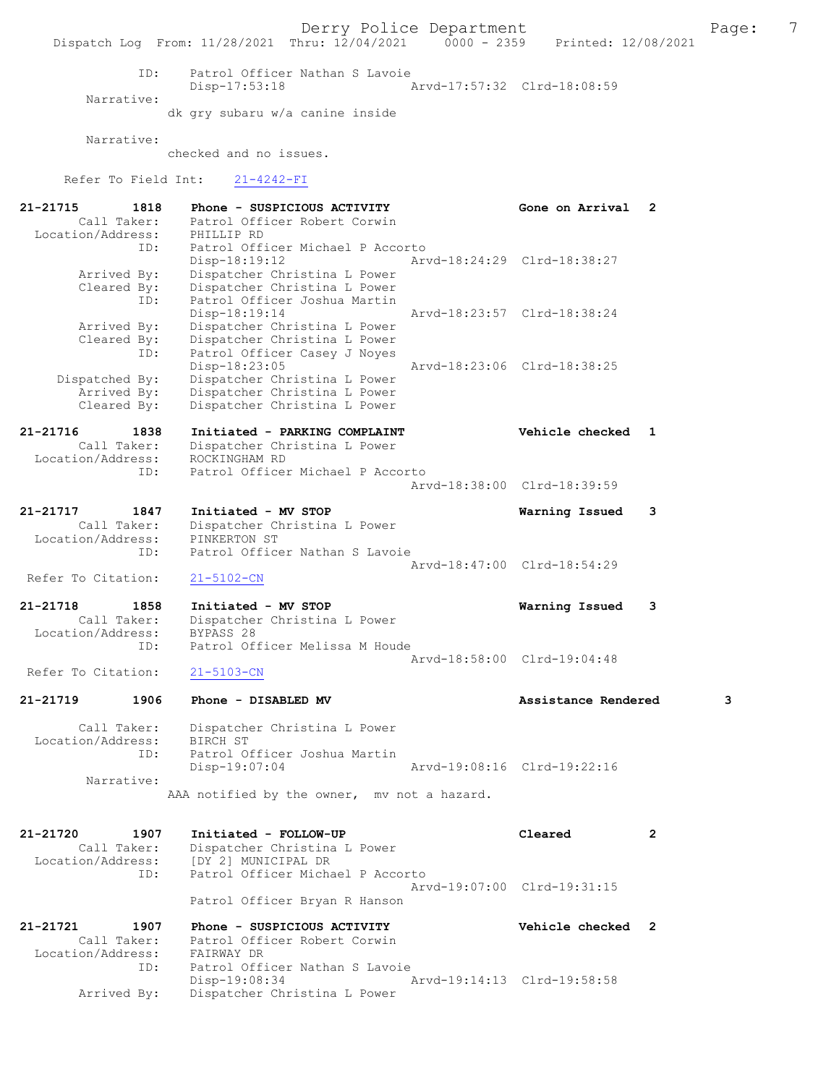Derry Police Department The Page: 7 Dispatch Log From: 11/28/2021 Thru: 12/04/2021 0000 - 2359 Printed: 12/08/2021 ID: Patrol Officer Nathan S Lavoie Disp-17:53:18 Arvd-17:57:32 Clrd-18:08:59 Narrative: dk gry subaru w/a canine inside Narrative: checked and no issues. Refer To Field Int: 21-4242-FI 21-21715 1818 Phone - SUSPICIOUS ACTIVITY Gone on Arrival 2 Call Taker: Patrol Officer Robert Corwin Location/Address: PHILLIP RD ID: Patrol Officer Michael P Accorto Disp-18:19:12 Arvd-18:24:29 Clrd-18:38:27 Arrived By: Dispatcher Christina L Power Cleared By: Dispatcher Christina L Power ID: Patrol Officer Joshua Martin Disp-18:19:14 Arvd-18:23:57 Clrd-18:38:24 Arrived By: Dispatcher Christina L Power Cleared By: Dispatcher Christina L Power ID: Patrol Officer Casey J Noyes Disp-18:23:05 Arvd-18:23:06 Clrd-18:38:25 Dispatched By: Dispatcher Christina L Power Arrived By: Dispatcher Christina L Power Cleared By: Dispatcher Christina L Power 21-21716 1838 Initiated - PARKING COMPLAINT Vehicle checked 1 Call Taker: Dispatcher Christina L Power Location/Address: ROCKINGHAM RD ID: Patrol Officer Michael P Accorto Arvd-18:38:00 Clrd-18:39:59 21-21717 1847 Initiated - MV STOP Warning Issued 3 Call Taker: Dispatcher Christina L Power Location/Address: PINKERTON ST ID: Patrol Officer Nathan S Lavoie Arvd-18:47:00 Clrd-18:54:29 Refer To Citation: 21-5102-CN 21-21718 1858 Initiated - MV STOP Warning Issued 3 Call Taker: Dispatcher Christina L Power Location/Address: BYPASS 28 ID: Patrol Officer Melissa M Houde Arvd-18:58:00 Clrd-19:04:48 Refer To Citation: 21-5103-CN 21-21719 1906 Phone - DISABLED MV Assistance Rendered 3 Call Taker: Dispatcher Christina L Power Location/Address: BIRCH ST ID: Patrol Officer Joshua Martin Disp-19:07:04 Arvd-19:08:16 Clrd-19:22:16 Narrative: AAA notified by the owner, mv not a hazard. 21-21720 1907 Initiated - FOLLOW-UP Cleared 2 Call Taker: Dispatcher Christina L Power Location/Address: [DY 2] MUNICIPAL DR ID: Patrol Officer Michael P Accorto Arvd-19:07:00 Clrd-19:31:15 Patrol Officer Bryan R Hanson 21-21721 1907 Phone - SUSPICIOUS ACTIVITY Vehicle checked 2<br>Call Taker: Patrol Officer Robert Corwin Call Taker: Patrol Officer Robert Corwin Location/Address: FAIRWAY DR ID: Patrol Officer Nathan S Lavoie Disp-19:08:34 Arvd-19:14:13 Clrd-19:58:58 Arrived By: Dispatcher Christina L Power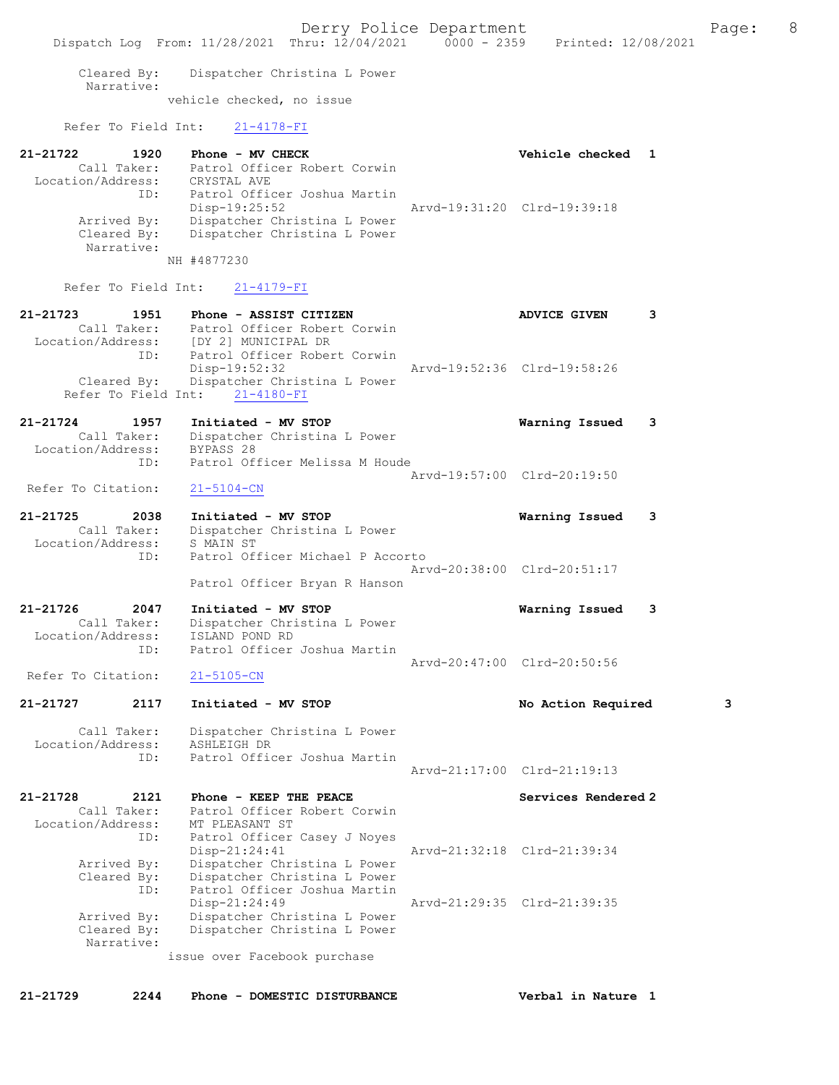Cleared By: Dispatcher Christina L Power Narrative:

vehicle checked, no issue

Refer To Field Int: 21-4178-FI

| 21-21722          | 1920        | Phone - MV CHECK             |                             | Vehicle checked 1 |  |
|-------------------|-------------|------------------------------|-----------------------------|-------------------|--|
|                   | Call Taker: | Patrol Officer Robert Corwin |                             |                   |  |
| Location/Address: |             | CRYSTAL AVE                  |                             |                   |  |
|                   | ID:         | Patrol Officer Joshua Martin |                             |                   |  |
|                   |             | $Disp-19:25:52$              | Arvd-19:31:20 Clrd-19:39:18 |                   |  |
|                   | Arrived By: | Dispatcher Christina L Power |                             |                   |  |
|                   | Cleared By: | Dispatcher Christina L Power |                             |                   |  |
|                   | Narrative:  |                              |                             |                   |  |

NH #4877230

## Refer To Field Int: 21-4179-FI

| 21-21723          | 1951        | Phone - ASSIST CITIZEN                   |                             | ADVICE GIVEN |  |
|-------------------|-------------|------------------------------------------|-----------------------------|--------------|--|
|                   | Call Taker: | Patrol Officer Robert Corwin             |                             |              |  |
| Location/Address: |             | [DY 2] MUNICIPAL DR                      |                             |              |  |
|                   | ID:         | Patrol Officer Robert Corwin             |                             |              |  |
|                   |             | Disp-19:52:32                            | Arvd-19:52:36 Clrd-19:58:26 |              |  |
|                   |             | Cleared By: Dispatcher Christina L Power |                             |              |  |
|                   |             | Refer To Field Int: 21-4180-FI           |                             |              |  |

## 21-21724 1957 Initiated - MV STOP Warning Issued 3 Call Taker: Dispatcher Christina L Power Location/Address: BYPASS 28 ID: Patrol Officer Melissa M Houde Arvd-19:57:00 Clrd-20:19:50<br>
21-5104-CN

- Refer To Citation:
- 21-21725 2038 Initiated MV STOP Warning Issued 3 Call Taker: Dispatcher Christina L Power Location/Address: S MAIN ST ID: Patrol Officer Michael P Accorto Arvd-20:38:00 Clrd-20:51:17 Patrol Officer Bryan R Hanson
- 21-21726 2047 Initiated MV STOP Warning Issued 3 Call Taker: Dispatcher Christina L Power<br>Cation/Address: ISLAND POND RD Location/Address:<br>ID: Patrol Officer Joshua Martin Arvd-20:47:00 Clrd-20:50:56<br>21-5105-CN
- Refer To Citation:

# 21-21727 2117 Initiated - MV STOP No Action Required 3 Call Taker: Dispatcher Christina L Power Location/Address: ASHLEIGH DR ID: Patrol Officer Joshua Martin

 Arvd-21:17:00 Clrd-21:19:13 21-21728 2121 Phone - KEEP THE PEACE Services Rendered 2

| Call Taker:       | Patrol Officer Robert Corwin |                             |  |
|-------------------|------------------------------|-----------------------------|--|
| Location/Address: | MT PLEASANT ST               |                             |  |
| ID:               | Patrol Officer Casey J Noyes |                             |  |
|                   | $Disp-21:24:41$              | Arvd-21:32:18 Clrd-21:39:34 |  |
| Arrived By:       | Dispatcher Christina L Power |                             |  |
| Cleared By:       | Dispatcher Christina L Power |                             |  |
| ID:               | Patrol Officer Joshua Martin |                             |  |
|                   | Disp-21:24:49                | Arvd-21:29:35 Clrd-21:39:35 |  |
| Arrived By:       | Dispatcher Christina L Power |                             |  |
| Cleared By:       | Dispatcher Christina L Power |                             |  |
| Narrative:        |                              |                             |  |
|                   | issue over Facebook purchase |                             |  |

21-21729 2244 Phone - DOMESTIC DISTURBANCE Verbal in Nature 1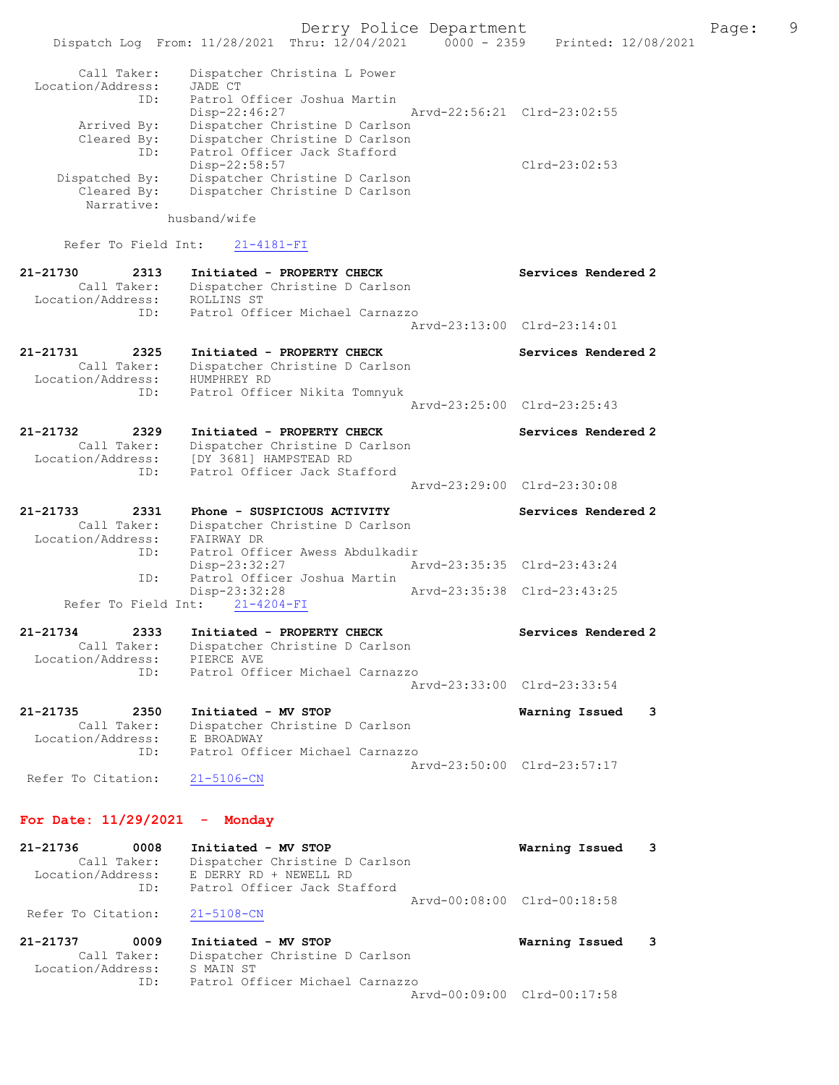Derry Police Department Fage: 9 Dispatch Log From: 11/28/2021 Thru: 12/04/2021 0000 - 2359 Printed: 12/08/2021 Call Taker: Dispatcher Christina L Power Location/Address: JADE CT ID: Patrol Officer Joshua Martin Disp-22:46:27 Arvd-22:56:21 Clrd-23:02:55 Arrived By: Dispatcher Christine D Carlson Cleared By: Dispatcher Christine D Carlson ID: Patrol Officer Jack Stafford Disp-22:58:57 Clrd-23:02:53 Dispatched By: Dispatcher Christine D Carlson Cleared By: Dispatcher Christine D Carlson Narrative: husband/wife Refer To Field Int: 21-4181-FI 21-21730 2313 Initiated - PROPERTY CHECK Services Rendered 2 Call Taker: Dispatcher Christine D Carlson Location/Address: ROLLINS ST ID: Patrol Officer Michael Carnazzo Arvd-23:13:00 Clrd-23:14:01 21-21731 2325 Initiated - PROPERTY CHECK Services Rendered 2 Call Taker: Dispatcher Christine D Carlson Location/Address: HUMPHREY RD ID: Patrol Officer Nikita Tomnyuk Arvd-23:25:00 Clrd-23:25:43 21-21732 2329 Initiated - PROPERTY CHECK Services Rendered 2 Call Taker: Dispatcher Christine D Carlson Location/Address: [DY 3681] HAMPSTEAD RD ID: Patrol Officer Jack Stafford Arvd-23:29:00 Clrd-23:30:08 21-21733 2331 Phone - SUSPICIOUS ACTIVITY Services Rendered 2 Call Taker: Dispatcher Christine D Carlson Location/Address: FAIRWAY DR ID: Patrol Officer Awess Abdulkadir Disp-23:32:27 Arvd-23:35:35 Clrd-23:43:24 ID: Patrol Officer Joshua Martin Disp-23:32:28 Arvd-23:35:38 Clrd-23:43:25 Refer To Field Int:  $21-4204-FI$ 21-21734 2333 Initiated - PROPERTY CHECK Services Rendered 2 Call Taker: Dispatcher Christine D Carlson Location/Address: PIERCE AVE ID: Patrol Officer Michael Carnazzo Arvd-23:33:00 Clrd-23:33:54 21-21735 2350 Initiated - MV STOP Warning Issued 3 Call Taker: Dispatcher Christine D Carlson Location/Address: E BROADWAY ID: Patrol Officer Michael Carnazzo Arvd-23:50:00 Clrd-23:57:17 Refer To Citation: 21-5106-CN For Date: 11/29/2021 - Monday 21-21736 0008 Initiated - MV STOP Warning Issued 3 Call Taker: Dispatcher Christine D Carlson Location/Address: E DERRY RD + NEWELL RD ID: Patrol Officer Jack Stafford Arvd-00:08:00 Clrd-00:18:58 Refer To Citation: 21-5108-CN

21-21737 0009 Initiated - MV STOP Warning Issued 3 Call Taker: Dispatcher Christine D Carlson Location/Address: S MAIN ST ID: Patrol Officer Michael Carnazzo Arvd-00:09:00 Clrd-00:17:58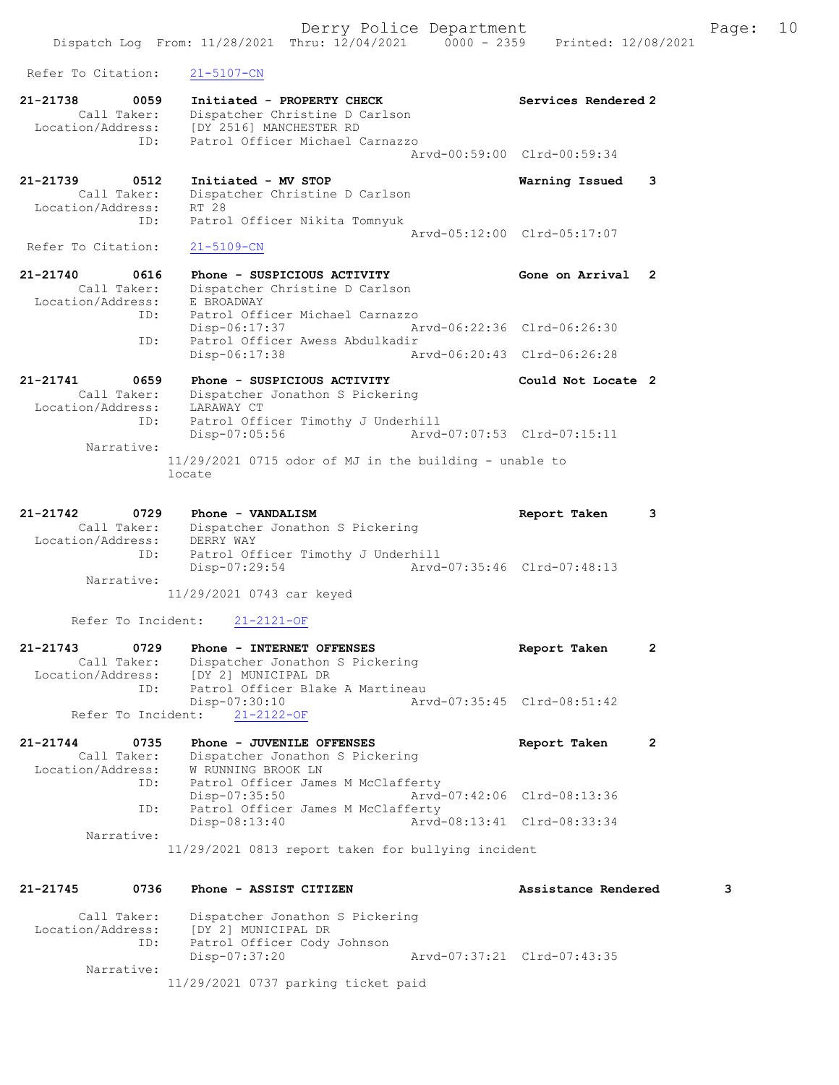Dispatch Log From: 11/28/2021 Thru: 12/04/2021 0000 - 2359 Printed: 12/08/2021 Refer To Citation: 21-5107-CN 21-21738 0059 Initiated - PROPERTY CHECK Services Rendered 2 Call Taker: Dispatcher Christine D Carlson Location/Address: [DY 2516] MANCHESTER RD ID: Patrol Officer Michael Carnazzo Arvd-00:59:00 Clrd-00:59:34 21-21739 0512 Initiated - MV STOP Warning Issued 3 Call Taker: Dispatcher Christine D Carlson Location/Address: RT 28 ID: Patrol Officer Nikita Tomnyuk Arvd-05:12:00 Clrd-05:17:07<br>21-5109-CN Refer To Citation: 21-21740 0616 Phone - SUSPICIOUS ACTIVITY Gone on Arrival 2 Call Taker: Dispatcher Christine D Carlson Location/Address: E BROADWAY ID: Patrol Officer Michael Carnazzo Disp-06:17:37 Arvd-06:22:36 Clrd-06:26:30 ID: Patrol Officer Awess Abdulkadir Disp-06:17:38 Arvd-06:20:43 Clrd-06:26:28 21-21741 0659 Phone - SUSPICIOUS ACTIVITY Could Not Locate 2 Call Taker: Dispatcher Jonathon S Pickering Location/Address: LARAWAY CT ID: Patrol Officer Timothy J Underhill Disp-07:05:56 Arvd-07:07:53 Clrd-07:15:11 Narrative: 11/29/2021 0715 odor of MJ in the building - unable to locate 21-21742 0729 Phone - VANDALISM Report Taken 3 Call Taker: Dispatcher Jonathon S Pickering Location/Address: DERRY WAY ID: Patrol Officer Timothy J Underhill Disp-07:29:54 Arvd-07:35:46 Clrd-07:48:13 Narrative: 11/29/2021 0743 car keyed Refer To Incident: 21-2121-OF 21-21743 0729 Phone - INTERNET OFFENSES Report Taken 2 Call Taker: Dispatcher Jonathon S Pickering Location/Address: [DY 2] MUNICIPAL DR ID: Patrol Officer Blake A Martineau<br>Disp-07:30:10 Arw Disp-07:30:10 Arvd-07:35:45 Clrd-08:51:42 Refer To Incident: 21-2122-OF 21-21744 0735 Phone - JUVENILE OFFENSES Report Taken 2 Call Taker: Dispatcher Jonathon S Pickering Location/Address: W RUNNING BROOK LN ID: Patrol Officer James M McClafferty Disp-07:35:50 Arvd-07:42:06 Clrd-08:13:36 ID: Patrol Officer James M McClafferty Disp-08:13:40 Arvd-08:13:41 Clrd-08:33:34 Narrative: 11/29/2021 0813 report taken for bullying incident 21-21745 0736 Phone - ASSIST CITIZEN Assistance Rendered 3 Call Taker: Dispatcher Jonathon S Pickering Location/Address: [DY 2] MUNICIPAL DR ID: Patrol Officer Cody Johnson Disp-07:37:20 Arvd-07:37:21 Clrd-07:43:35

Narrative:

11/29/2021 0737 parking ticket paid

Derry Police Department Fage: 10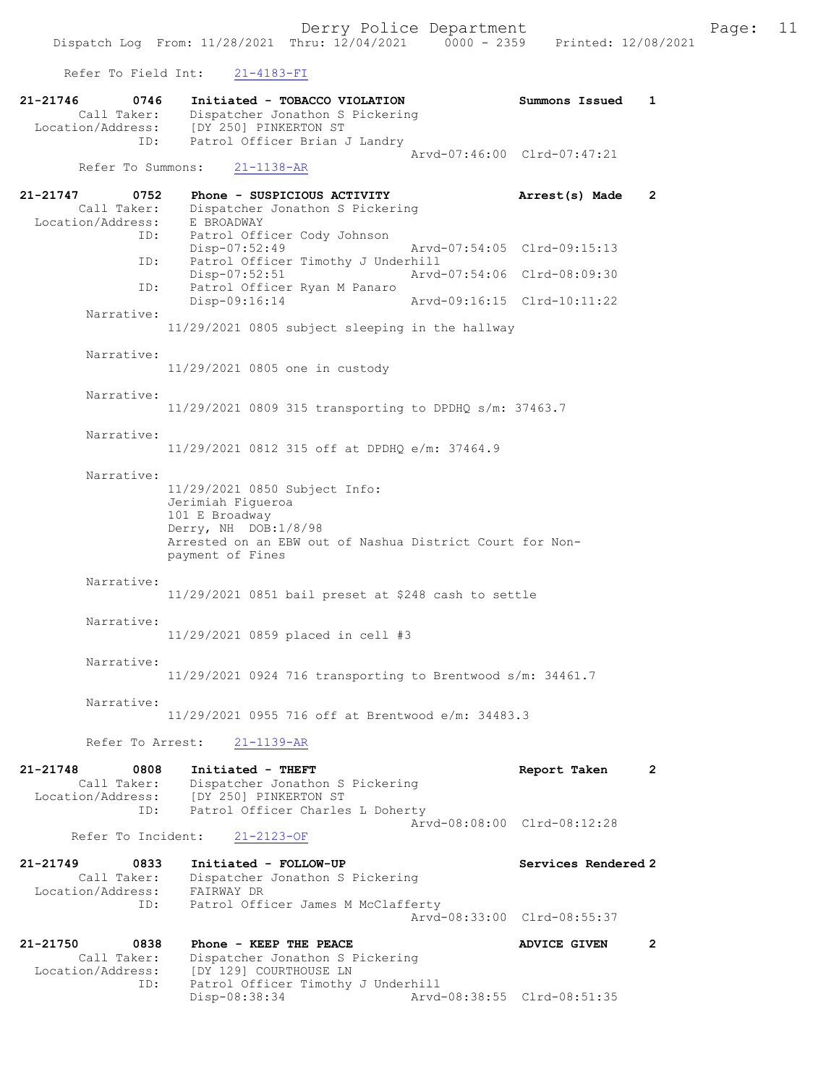Refer To Field Int: 21-4183-FI

| 0746<br>21-21746<br>Call Taker:                                 | Initiated - TOBACCO VIOLATION<br>Dispatcher Jonathon S Pickering<br>Location/Address: [DY 250] PINKERTON ST                                                                  | Summons Issued                                             | $\mathbf{1}$ |
|-----------------------------------------------------------------|------------------------------------------------------------------------------------------------------------------------------------------------------------------------------|------------------------------------------------------------|--------------|
| ID:<br>Refer To Summons:                                        | Patrol Officer Brian J Landry<br>$21 - 1138 - AR$                                                                                                                            | Arvd-07:46:00 Clrd-07:47:21                                |              |
| $21 - 21747$<br>0752<br>Call Taker:<br>Location/Address:        | Phone - SUSPICIOUS ACTIVITY<br>Dispatcher Jonathon S Pickering<br>E BROADWAY                                                                                                 | Arrest(s) Made                                             | $\mathbf{2}$ |
| ID:<br>ID:                                                      | Patrol Officer Cody Johnson<br>Disp-07:52:49<br>Patrol Officer Timothy J Underhill                                                                                           | Arvd-07:54:05 Clrd-09:15:13                                |              |
| ID:                                                             | Disp-07:52:51<br>Patrol Officer Ryan M Panaro<br>Disp-09:16:14                                                                                                               | Arvd-07:54:06 Clrd-08:09:30<br>Arvd-09:16:15 Clrd-10:11:22 |              |
| Narrative:                                                      | 11/29/2021 0805 subject sleeping in the hallway                                                                                                                              |                                                            |              |
| Narrative:                                                      | 11/29/2021 0805 one in custody                                                                                                                                               |                                                            |              |
| Narrative:                                                      | 11/29/2021 0809 315 transporting to DPDHQ s/m: 37463.7                                                                                                                       |                                                            |              |
| Narrative:                                                      | 11/29/2021 0812 315 off at DPDHQ e/m: 37464.9                                                                                                                                |                                                            |              |
| Narrative:                                                      | 11/29/2021 0850 Subject Info:<br>Jerimiah Figueroa<br>101 E Broadway<br>Derry, NH DOB:1/8/98<br>Arrested on an EBW out of Nashua District Court for Non-<br>payment of Fines |                                                            |              |
| Narrative:                                                      | 11/29/2021 0851 bail preset at \$248 cash to settle                                                                                                                          |                                                            |              |
| Narrative:                                                      | 11/29/2021 0859 placed in cell #3                                                                                                                                            |                                                            |              |
| Narrative:                                                      | 11/29/2021 0924 716 transporting to Brentwood s/m: 34461.7                                                                                                                   |                                                            |              |
| Narrative:                                                      | 11/29/2021 0955 716 off at Brentwood e/m: 34483.3                                                                                                                            |                                                            |              |
| Refer To Arrest:                                                | $21 - 1139 - AR$                                                                                                                                                             |                                                            |              |
| 21-21748<br>0808<br>Call Taker:<br>Location/Address:<br>ID:     | Initiated - THEFT<br>Dispatcher Jonathon S Pickering<br>[DY 250] PINKERTON ST<br>Patrol Officer Charles L Doherty                                                            | Report Taken                                               | $\mathbf{2}$ |
| Refer To Incident:                                              | $21 - 2123 - OF$                                                                                                                                                             | Aryd-08:08:00 Clrd-08:12:28                                |              |
| $21 - 21749$<br>0833<br>Call Taker:<br>Location/Address:<br>ID: | Initiated - FOLLOW-UP<br>Dispatcher Jonathon S Pickering<br>FAIRWAY DR<br>Patrol Officer James M McClafferty                                                                 | Services Rendered 2                                        |              |
| 21-21750<br>0838<br>Call Taker:<br>Location/Address:<br>ID:     | Phone - KEEP THE PEACE<br>Dispatcher Jonathon S Pickering<br>[DY 129] COURTHOUSE LN<br>Patrol Officer Timothy J Underhill                                                    | Arvd-08:33:00 Clrd-08:55:37<br><b>ADVICE GIVEN</b>         | $\mathbf{2}$ |
|                                                                 | Disp-08:38:34                                                                                                                                                                | Arvd-08:38:55 Clrd-08:51:35                                |              |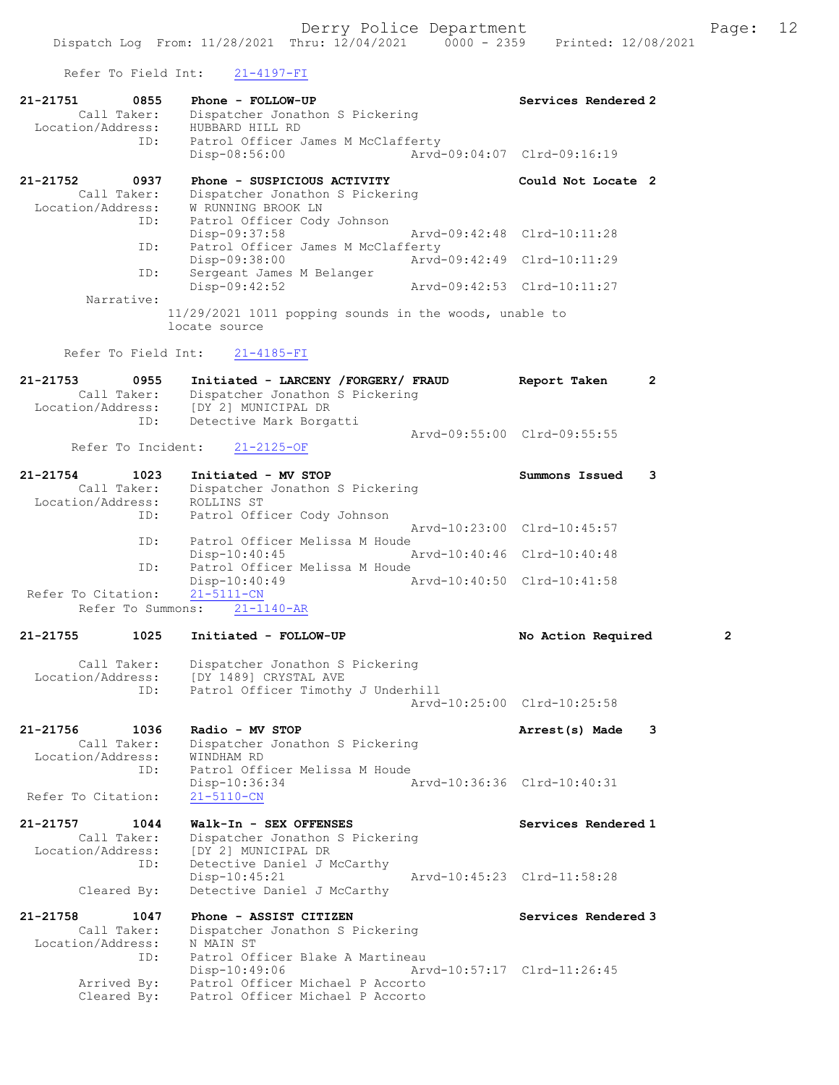Refer To Field Int: 21-4197-FI

| KETET TO LIETA INC.                                          |                           | $2 + 4197$                                                                                                                                         |                             |                             |              |
|--------------------------------------------------------------|---------------------------|----------------------------------------------------------------------------------------------------------------------------------------------------|-----------------------------|-----------------------------|--------------|
| 21-21751<br>Call Taker:<br>Location/Address: HUBBARD HILL RD | 0855                      | Phone - FOLLOW-UP<br>Dispatcher Jonathon S Pickering                                                                                               |                             | Services Rendered 2         |              |
|                                                              | ID:                       | Patrol Officer James M McClafferty<br>Disp-08:56:00                                                                                                |                             | Arvd-09:04:07 Clrd-09:16:19 |              |
| 21-21752<br>Call Taker:                                      | 0937                      | Phone - SUSPICIOUS ACTIVITY<br>Dispatcher Jonathon S Pickering<br>W RUNNING BROOK LN                                                               |                             | Could Not Locate 2          |              |
| Location/Address:                                            | ID:                       | Patrol Officer Cody Johnson<br>Disp-09:37:58                                                                                                       |                             | Arvd-09:42:48 Clrd-10:11:28 |              |
|                                                              | ID:                       | Patrol Officer James M McClafferty<br>Disp-09:38:00                                                                                                | Arvd-09:42:49 Clrd-10:11:29 |                             |              |
|                                                              | ID:                       | Sergeant James M Belanger<br>Disp-09:42:52                                                                                                         | Arvd-09:42:53 Clrd-10:11:27 |                             |              |
| Narrative:                                                   | locate source             | 11/29/2021 1011 popping sounds in the woods, unable to                                                                                             |                             |                             |              |
|                                                              | Refer To Field Int:       | $21 - 4185 - FI$                                                                                                                                   |                             |                             |              |
| 21-21753                                                     | 0955                      | Initiated - LARCENY /FORGERY/ FRAUD<br>Dispatcher Jonathon S Pickering<br>Call Taker: Dispatcher Jonathon<br>Location/Address: [DY 2] MUNICIPAL DR |                             | Report Taken                | $\mathbf{2}$ |
|                                                              | ID:<br>Refer To Incident: | Detective Mark Borgatti<br>$21 - 2125 - OF$                                                                                                        |                             | Arvd-09:55:00 Clrd-09:55:55 |              |
| 21-21754<br>Call Taker:<br>Location/Address:<br>ID:          | 1023                      | Initiated - MV STOP<br>Dispatcher Jonathon S Pickering<br>ROLLINS ST                                                                               |                             | Summons Issued              | 3            |
|                                                              |                           | Patrol Officer Cody Johnson                                                                                                                        |                             | Arvd-10:23:00 Clrd-10:45:57 |              |
|                                                              | ID:                       | Patrol Officer Melissa M Houde<br>$Disp-10:40:45$                                                                                                  |                             | Arvd-10:40:46 Clrd-10:40:48 |              |
|                                                              | ID:                       | Patrol Officer Melissa M Houde<br>$Disp-10:40:49$                                                                                                  | Arvd-10:40:50 Clrd-10:41:58 |                             |              |
| Refer To Citation:                                           | Refer To Summons:         | $21 - 5111 - CN$<br>$21 - 1140 - AR$                                                                                                               |                             |                             |              |
| 21-21755                                                     | 1025                      | Initiated - FOLLOW-UP                                                                                                                              |                             | No Action Required          | 2            |
| Call Taker:<br>Location/Address:                             | ID:                       | Dispatcher Jonathon S Pickering<br>[DY 1489] CRYSTAL AVE<br>Patrol Officer Timothy J Underhill                                                     |                             |                             |              |
|                                                              |                           |                                                                                                                                                    |                             | Arvd-10:25:00 Clrd-10:25:58 |              |
| 21-21756<br>Call Taker:<br>Location/Address:                 | 1036<br>ID:               | Radio - MV STOP<br>Dispatcher Jonathon S Pickering<br>WINDHAM RD<br>Patrol Officer Melissa M Houde                                                 |                             | Arrest(s) Made              | 3            |
| Refer To Citation:                                           |                           | Disp-10:36:34<br>$21 - 5110 - CN$                                                                                                                  |                             | Arvd-10:36:36 Clrd-10:40:31 |              |
| 21-21757<br>Call Taker:<br>Location/Address:                 | 1044<br>ID:               | Walk-In - SEX OFFENSES<br>Dispatcher Jonathon S Pickering<br>[DY 2] MUNICIPAL DR<br>Detective Daniel J McCarthy                                    |                             | Services Rendered 1         |              |
| Cleared By:                                                  |                           | $Disp-10:45:21$<br>Detective Daniel J McCarthy                                                                                                     |                             | Arvd-10:45:23 Clrd-11:58:28 |              |
| 21-21758<br>Call Taker:                                      | 1047                      | Phone - ASSIST CITIZEN<br>Dispatcher Jonathon S Pickering                                                                                          |                             | Services Rendered 3         |              |
| Location/Address:<br>Arrived By:<br>Cleared By:              | ID:                       | N MAIN ST<br>Patrol Officer Blake A Martineau<br>Disp-10:49:06<br>Patrol Officer Michael P Accorto<br>Patrol Officer Michael P Accorto             |                             | Arvd-10:57:17 Clrd-11:26:45 |              |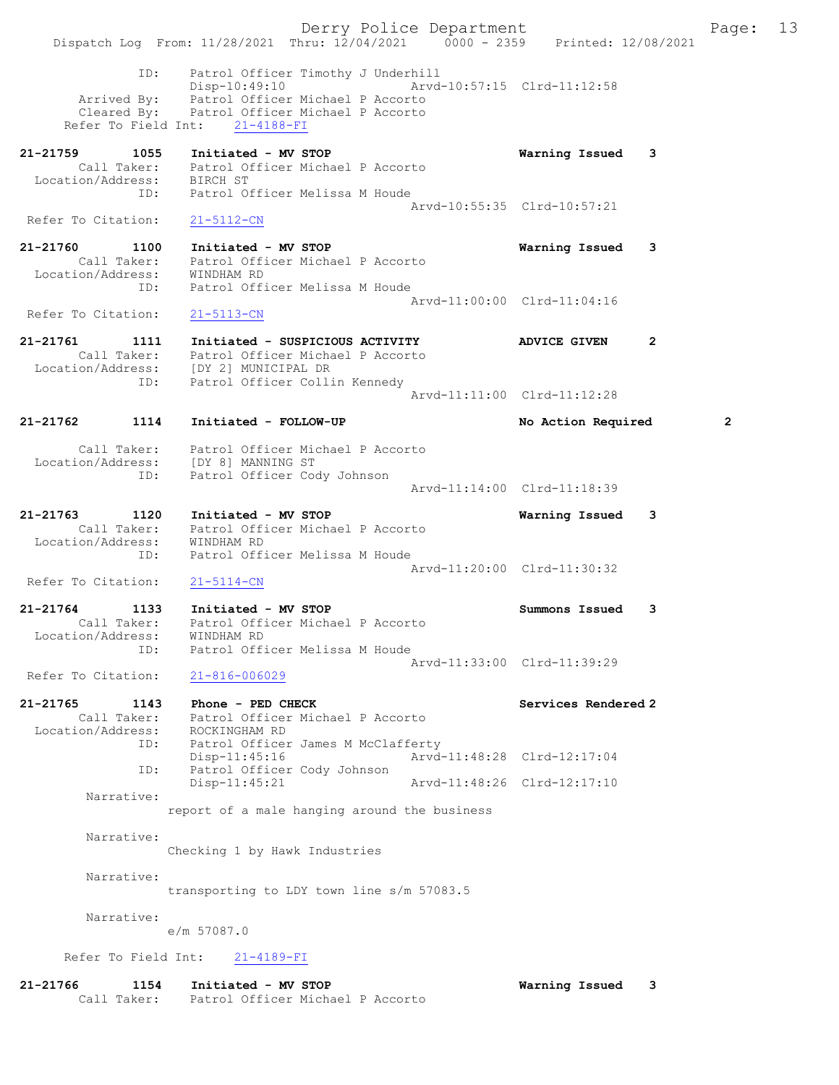Derry Police Department Fage: 13 Dispatch Log From: 11/28/2021 Thru: 12/04/2021 0000 - 2359 Printed: 12/08/2021 ID: Patrol Officer Timothy J Underhill Disp-10:49:10 Arvd-10:57:15 Clrd-11:12:58 Arrived By: Patrol Officer Michael P Accorto Cleared By: Patrol Officer Michael P Accorto Refer To Field Int: 21-4188-FI 21-21759 1055 Initiated - MV STOP Warning Issued 3 Call Taker: Patrol Officer Michael P Accorto Location/Address: BIRCH ST ID: Patrol Officer Melissa M Houde Arvd-10:55:35 Clrd-10:57:21 Refer To Citation: 21-5112-CN 21-21760 1100 Initiated - MV STOP Warning Issued 3 Call Taker: Patrol Officer Michael P Accorto Location/Address: WINDHAM RD ID: Patrol Officer Melissa M Houde Arvd-11:00:00 Clrd-11:04:16 Refer To Citation: 21-5113-CN 21-21761 1111 Initiated - SUSPICIOUS ACTIVITY ADVICE GIVEN 2 Call Taker: Patrol Officer Michael P Accorto Location/Address: [DY 2] MUNICIPAL DR ID: Patrol Officer Collin Kennedy Arvd-11:11:00 Clrd-11:12:28 21-21762 1114 Initiated - FOLLOW-UP No Action Required 2 Call Taker: Patrol Officer Michael P Accorto Location/Address: [DY 8] MANNING ST ID: Patrol Officer Cody Johnson Arvd-11:14:00 Clrd-11:18:39 21-21763 1120 Initiated - MV STOP Warning Issued 3 Call Taker: Patrol Officer Michael P Accorto Location/Address: WINDHAM RD ID: Patrol Officer Melissa M Houde Arvd-11:20:00 Clrd-11:30:32 Refer To Citation: 21-5114-CN 21-21764 1133 Initiated - MV STOP Summons Issued 3 Call Taker: Patrol Officer Michael P Accorto Location/Address: WINDHAM RD ID: Patrol Officer Melissa M Houde Arvd-11:33:00 Clrd-11:39:29 Refer To Citation: 21-816-006029 21-21765 1143 Phone - PED CHECK Services Rendered 2 Call Taker: Patrol Officer Michael P Accorto Location/Address: ROCKINGHAM RD ID: Patrol Officer James M McClafferty Disp-11:45:16 Arvd-11:48:28 Clrd-12:17:04 ID: Patrol Officer Cody Johnson Disp-11:45:21 Arvd-11:48:26 Clrd-12:17:10 Narrative: report of a male hanging around the business Narrative: Checking 1 by Hawk Industries Narrative: transporting to LDY town line s/m 57083.5 Narrative: e/m 57087.0 Refer To Field Int: 21-4189-FI 21-21766 1154 Initiated - MV STOP Warning Issued 3 Call Taker: Patrol Officer Michael P Accorto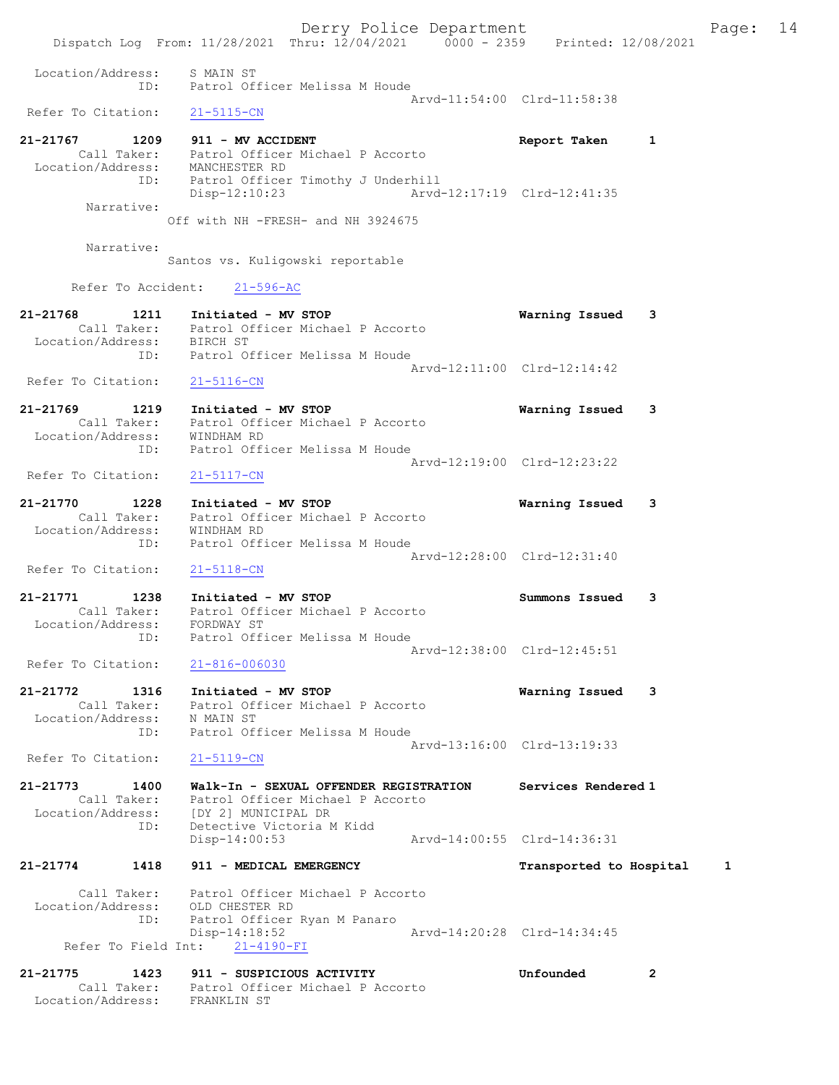Derry Police Department Fage: 14 Dispatch Log From: 11/28/2021 Thru: 12/04/2021 0000 - 2359 Printed: 12/08/2021 Location/Address: S MAIN ST ID: Patrol Officer Melissa M Houde Arvd-11:54:00 Clrd-11:58:38<br>21-5115-CN Refer To Citation: 21-21767 1209 911 - MV ACCIDENT 1 200 Report Taken 1 Call Taker: Patrol Officer Michael P Accorto Location/Address: MANCHESTER RD ID: Patrol Officer Timothy J Underhill Disp-12:10:23 Arvd-12:17:19 Clrd-12:41:35 Narrative: Off with NH -FRESH- and NH 3924675 Narrative: Santos vs. Kuligowski reportable Refer To Accident: 21-596-AC 21-21768 1211 Initiated - MV STOP Warning Issued 3 Call Taker: Patrol Officer Michael P Accorto Location/Address: BIRCH ST ID: Patrol Officer Melissa M Houde Arvd-12:11:00 Clrd-12:14:42 Refer To Citation: 21-5116-CN 21-21769 1219 Initiated - MV STOP Warning Issued 3 Call Taker: Patrol Officer Michael P Accorto Location/Address: WINDHAM RD ID: Patrol Officer Melissa M Houde Arvd-12:19:00 Clrd-12:23:22<br>21-5117-CN Refer To Citation: 21-21770 1228 Initiated - MV STOP Warning Issued 3 Call Taker: Patrol Officer Michael P Accorto Location/Address: WINDHAM RD ID: Patrol Officer Melissa M Houde Arvd-12:28:00 Clrd-12:31:40 Refer To Citation: 21-5118-CN 21-21771 1238 Initiated - MV STOP Summons Issued 3 Call Taker: Patrol Officer Michael P Accorto Location/Address: FORDWAY ST ID: Patrol Officer Melissa M Houde Arvd-12:38:00 Clrd-12:45:51<br>21-816-006030 Refer To Citation: 21-21772 1316 Initiated - MV STOP Warning Issued 3 Call Taker: Patrol Officer Michael P Accorto Location/Address: N MAIN ST ID: Patrol Officer Melissa M Houde Arvd-13:16:00 Clrd-13:19:33 Refer To Citation: 21-5119-CN 21-21773 1400 Walk-In - SEXUAL OFFENDER REGISTRATION Services Rendered 1 Call Taker: Patrol Officer Michael P Accorto Location/Address: [DY 2] MUNICIPAL DR ID: Detective Victoria M Kidd Disp-14:00:53 Arvd-14:00:55 Clrd-14:36:31 21-21774 1418 911 - MEDICAL EMERGENCY Transported to Hospital 1 Call Taker: Patrol Officer Michael P Accorto Location/Address: OLD CHESTER RD ID: Patrol Officer Ryan M Panaro Arvd-14:20:28 Clrd-14:34:45 Refer To Field Int: 21-4190-FI 21-21775 1423 911 - SUSPICIOUS ACTIVITY Unfounded 2 Call Taker: Patrol Officer Michael P Accorto

Location/Address: FRANKLIN ST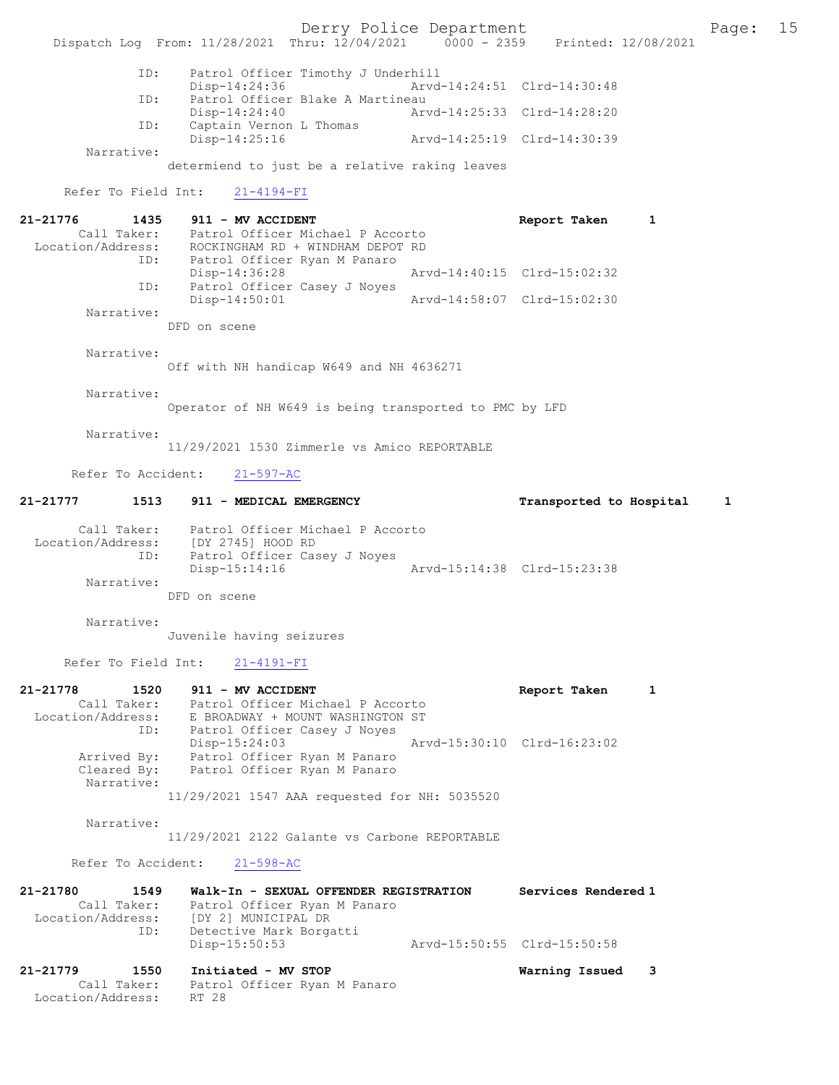|                                                      | Dispatch Log From: 11/28/2021 Thru: 12/04/2021 0000 - 2359 Printed: 12/08/2021                                                                                                 | Derry Police Department |                                                  | Page: | 15 |
|------------------------------------------------------|--------------------------------------------------------------------------------------------------------------------------------------------------------------------------------|-------------------------|--------------------------------------------------|-------|----|
|                                                      |                                                                                                                                                                                |                         |                                                  |       |    |
| ID:                                                  | Patrol Officer Timothy J Underhill<br>Disp-14:24:36                                                                                                                            |                         | Arvd-14:24:51 Clrd-14:30:48                      |       |    |
| ID:                                                  | Patrol Officer Blake A Martineau<br>$Disp-14:24:40$                                                                                                                            |                         | Arvd-14:25:33 Clrd-14:28:20                      |       |    |
| ID:                                                  | Captain Vernon L Thomas<br>Disp-14:25:16                                                                                                                                       |                         | Arvd-14:25:19 Clrd-14:30:39                      |       |    |
| Narrative:                                           | determiend to just be a relative raking leaves                                                                                                                                 |                         |                                                  |       |    |
| Refer To Field Int:                                  | $21 - 4194 - FI$                                                                                                                                                               |                         |                                                  |       |    |
| 21-21776<br>1435                                     | 911 - MV ACCIDENT<br>Call Taker: Patrol Officer Michael P Accorto<br>Location/Address: ROCKINGHAM RD + WINDHAM DEPOT RD                                                        |                         | Report Taken<br>1                                |       |    |
| ID:                                                  | Patrol Officer Ryan M Panaro<br>Disp-14:36:28                                                                                                                                  |                         | Arvd-14:40:15 Clrd-15:02:32                      |       |    |
| ID:                                                  | Patrol Officer Casey J Noyes<br>Disp-14:50:01                                                                                                                                  |                         | Arvd-14:58:07 Clrd-15:02:30                      |       |    |
| Narrative:                                           | DFD on scene                                                                                                                                                                   |                         |                                                  |       |    |
| Narrative:                                           | Off with NH handicap W649 and NH 4636271                                                                                                                                       |                         |                                                  |       |    |
| Narrative:                                           | Operator of NH W649 is being transported to PMC by LFD                                                                                                                         |                         |                                                  |       |    |
| Narrative:                                           | 11/29/2021 1530 Zimmerle vs Amico REPORTABLE                                                                                                                                   |                         |                                                  |       |    |
| Refer To Accident:                                   | $21 - 597 - AC$                                                                                                                                                                |                         |                                                  |       |    |
| 21-21777                                             | 1513 911 - MEDICAL EMERGENCY                                                                                                                                                   |                         | Transported to Hospital                          | 1     |    |
| ID:<br>Narrative:                                    | Call Taker: Patrol Officer Michael P Accorto<br>Location/Address: [DY 2745] HOOD RD<br>Patrol Officer Casey J Noyes<br>$Disp-15:14:16$                                         |                         | Arvd-15:14:38 Clrd-15:23:38                      |       |    |
|                                                      | DFD on scene                                                                                                                                                                   |                         |                                                  |       |    |
| Narrative:                                           | Juvenile having seizures                                                                                                                                                       |                         |                                                  |       |    |
|                                                      | Refer To Field Int: 21-4191-FI                                                                                                                                                 |                         |                                                  |       |    |
| 21-21778<br>1520                                     | 911 - MV ACCIDENT<br>Call Taker: Patrol Officer Michael P Accorto<br>Location/Address: E BROADWAY + MOUNT WASHINGTON ST<br>ID: Patrol Officer Casey J Noyes<br>$Disp-15:24:03$ |                         | Report Taken<br>1<br>Arvd-15:30:10 Clrd-16:23:02 |       |    |
| Arrived By:<br>Cleared By:<br>Narrative:             | Patrol Officer Ryan M Panaro<br>Patrol Officer Ryan M Panaro<br>11/29/2021 1547 AAA requested for NH: 5035520                                                                  |                         |                                                  |       |    |
| Narrative:                                           |                                                                                                                                                                                |                         |                                                  |       |    |
|                                                      | 11/29/2021 2122 Galante vs Carbone REPORTABLE                                                                                                                                  |                         |                                                  |       |    |
|                                                      | Refer To Accident: 21-598-AC                                                                                                                                                   |                         |                                                  |       |    |
| 21-21780<br>1549                                     | Walk-In - SEXUAL OFFENDER REGISTRATION<br>Call Taker: Patrol Officer Ryan M Panaro<br>Location/Address: [DY 2] MUNICIPAL DR                                                    |                         | Services Rendered 1                              |       |    |
| ID:                                                  | Detective Mark Borgatti<br>$Disp-15:50:53$                                                                                                                                     |                         | Arvd-15:50:55 Clrd-15:50:58                      |       |    |
| 1550<br>21-21779<br>Call Taker:<br>Location/Address: | Initiated - MV STOP<br>Patrol Officer Ryan M Panaro<br>RT 28                                                                                                                   |                         | Warning Issued<br>3                              |       |    |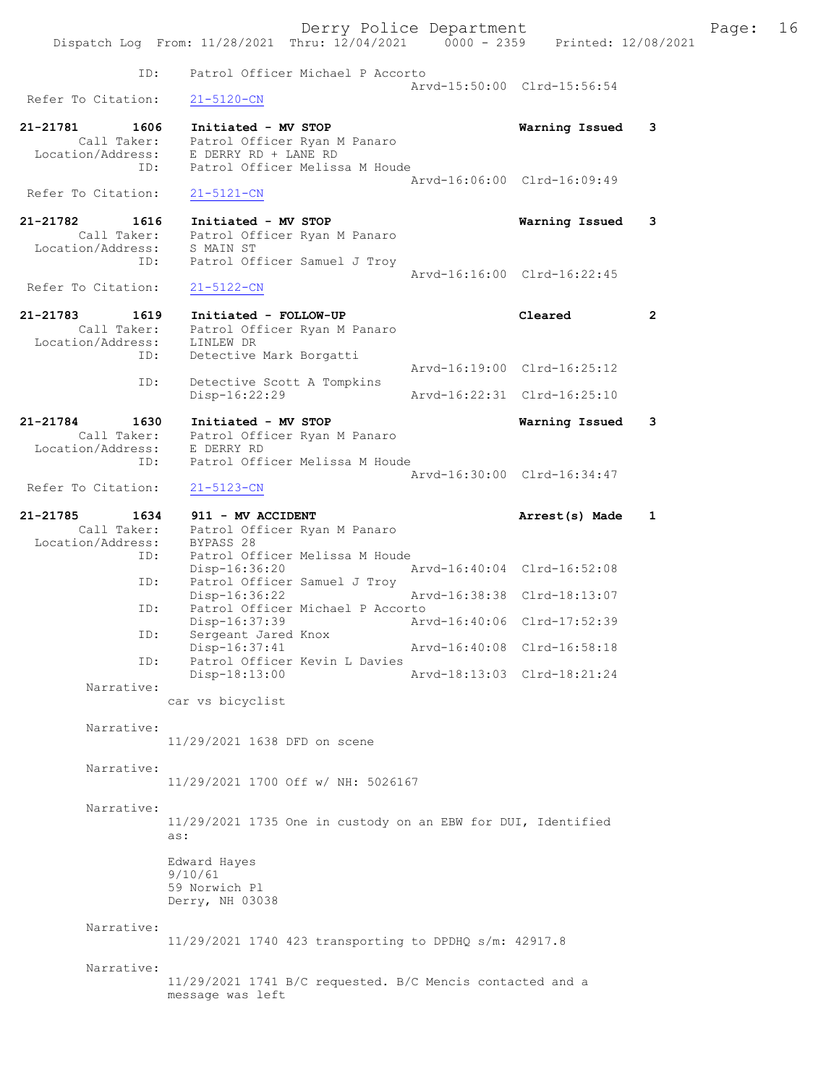|                                                 | Dispatch Log From: 11/28/2021 Thru: 12/04/2021 0000 - 2359 Printed: 12/08/2021                          | Derry Police Department     |                             |   | Page: 16 |  |
|-------------------------------------------------|---------------------------------------------------------------------------------------------------------|-----------------------------|-----------------------------|---|----------|--|
| ID:                                             | Patrol Officer Michael P Accorto                                                                        |                             | Arvd-15:50:00 Clrd-15:56:54 |   |          |  |
| Refer To Citation:                              | $21 - 5120 - CN$                                                                                        |                             |                             |   |          |  |
| 21-21781<br>1606                                | Initiated - MV STOP<br>Call Taker: Patrol Officer Ryan M Panaro                                         |                             | Warning Issued              | 3 |          |  |
| ID:                                             | Location/Address: E DERRY RD + LANE RD<br>Patrol Officer Melissa M Houde                                |                             |                             |   |          |  |
| Refer To Citation:                              | 21-5121-CN                                                                                              |                             | Arvd-16:06:00 Clrd-16:09:49 |   |          |  |
| 21-21782<br>1616                                | Initiated - MV STOP                                                                                     |                             | Warning Issued              | 3 |          |  |
| ID:                                             | Call Taker: Patrol Officer Ryan M Panaro<br>Location/Address: S MAIN ST<br>Patrol Officer Samuel J Troy |                             |                             |   |          |  |
| Refer To Citation:                              | $21 - 5122 - CN$                                                                                        |                             | Arvd-16:16:00 Clrd-16:22:45 |   |          |  |
| 21-21783<br>1619                                | Initiated - FOLLOW-UP<br>Call Taker: Patrol Officer Ryan M Panaro                                       |                             | Cleared                     | 2 |          |  |
| Location/Address: LINLEW DR<br>ID:              | Detective Mark Borgatti                                                                                 |                             |                             |   |          |  |
| ID:                                             | Detective Scott A Tompkins                                                                              |                             | Arvd-16:19:00 Clrd-16:25:12 |   |          |  |
|                                                 | $Disp-16:22:29$                                                                                         |                             | Arvd-16:22:31 Clrd-16:25:10 |   |          |  |
| 21-21784<br>1630                                | Initiated - MV STOP<br>Call Taker: Patrol Officer Ryan M Panaro                                         |                             | Warning Issued              | 3 |          |  |
| Location/Address: E DERRY RD<br>ID:             | Patrol Officer Melissa M Houde                                                                          |                             |                             |   |          |  |
| Refer To Citation:                              | 21-5123-CN                                                                                              |                             | Arvd-16:30:00 Clrd-16:34:47 |   |          |  |
| 21-21785<br>1634<br>Location/Address: BYPASS 28 | 911 - MV ACCIDENT<br>Call Taker: Patrol Officer Ryan M Panaro                                           |                             | Arrest(s) Made 1            |   |          |  |
| ID:                                             | Patrol Officer Melissa M Houde<br>Disp-16:36:20                                                         | Arvd-16:40:04 Clrd-16:52:08 |                             |   |          |  |
| ID:                                             | Patrol Officer Samuel J Troy<br>Disp-16:36:22                                                           |                             | Arvd-16:38:38 Clrd-18:13:07 |   |          |  |
| ID:                                             | Patrol Officer Michael P Accorto<br>Disp-16:37:39                                                       |                             | Arvd-16:40:06 Clrd-17:52:39 |   |          |  |
| ID:                                             | Sergeant Jared Knox<br>Disp-16:37:41                                                                    |                             | Arvd-16:40:08 Clrd-16:58:18 |   |          |  |
| ID:                                             | Patrol Officer Kevin L Davies<br>Disp-18:13:00                                                          |                             | Arvd-18:13:03 Clrd-18:21:24 |   |          |  |
| Narrative:                                      | car vs bicyclist                                                                                        |                             |                             |   |          |  |
| Narrative:                                      | 11/29/2021 1638 DFD on scene                                                                            |                             |                             |   |          |  |
| Narrative:                                      | 11/29/2021 1700 Off w/ NH: 5026167                                                                      |                             |                             |   |          |  |
| Narrative:                                      | 11/29/2021 1735 One in custody on an EBW for DUI, Identified<br>as:                                     |                             |                             |   |          |  |
|                                                 | Edward Hayes<br>9/10/61<br>59 Norwich Pl<br>Derry, NH 03038                                             |                             |                             |   |          |  |
| Narrative:                                      | 11/29/2021 1740 423 transporting to DPDHQ s/m: 42917.8                                                  |                             |                             |   |          |  |
| Narrative:                                      | 11/29/2021 1741 B/C requested. B/C Mencis contacted and a<br>message was left                           |                             |                             |   |          |  |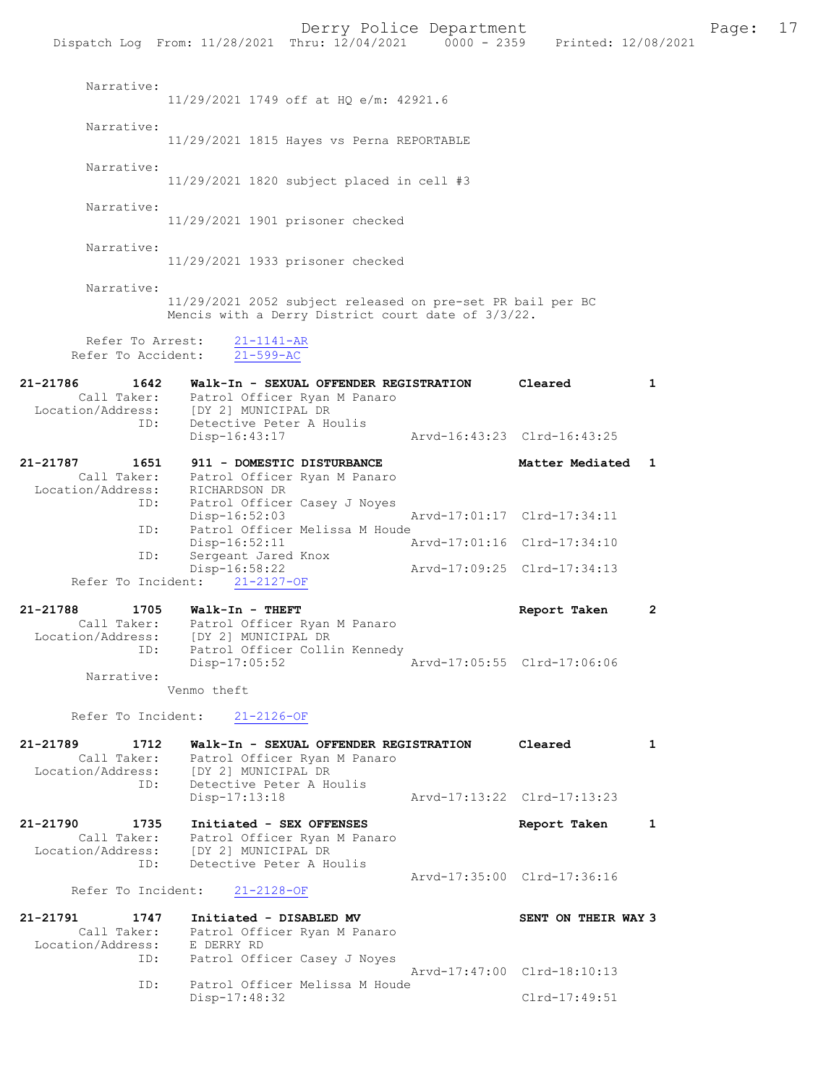|                                                      | Dispatch Log From: 11/28/2021 Thru: 12/04/2021 0000 - 2359 Printed: 12/08/2021                                   | Derry Police Department                                                |                             |   | Page: | 17 |
|------------------------------------------------------|------------------------------------------------------------------------------------------------------------------|------------------------------------------------------------------------|-----------------------------|---|-------|----|
| Narrative:                                           | 11/29/2021 1749 off at HO e/m: 42921.6                                                                           |                                                                        |                             |   |       |    |
| Narrative:                                           | 11/29/2021 1815 Hayes vs Perna REPORTABLE                                                                        |                                                                        |                             |   |       |    |
| Narrative:                                           | $11/29/2021$ 1820 subject placed in cell #3                                                                      |                                                                        |                             |   |       |    |
| Narrative:                                           | 11/29/2021 1901 prisoner checked                                                                                 |                                                                        |                             |   |       |    |
| Narrative:                                           | 11/29/2021 1933 prisoner checked                                                                                 |                                                                        |                             |   |       |    |
| Narrative:                                           | 11/29/2021 2052 subject released on pre-set PR bail per BC<br>Mencis with a Derry District court date of 3/3/22. |                                                                        |                             |   |       |    |
| Refer To Arrest:<br>Refer To Accident:               | $21 - 1141 - AR$<br>$21 - 599 - AC$                                                                              |                                                                        |                             |   |       |    |
| 21-21786<br>1642                                     | Call Taker: Patrol Officer Ryan M Panaro                                                                         | Walk-In - SEXUAL OFFENDER REGISTRATION                                 | Cleared                     | 1 |       |    |
| Location/Address: [DY 2] MUNICIPAL DR<br>ID:         | Detective Peter A Houlis<br>Disp-16:43:17                                                                        |                                                                        | Arvd-16:43:23 Clrd-16:43:25 |   |       |    |
| 21-21787<br>1651                                     | 911 - DOMESTIC DISTURBANCE<br>Call Taker: Patrol Officer Ryan M Panaro                                           |                                                                        | Matter Mediated 1           |   |       |    |
| Location/Address:<br>ID:                             | RICHARDSON DR<br>Disp-16:52:03                                                                                   | Patrol Officer Casey J Noyes                                           | Arvd-17:01:17 Clrd-17:34:11 |   |       |    |
| ID:<br>ID:                                           | $Disp-16:52:11$<br>Sergeant Jared Knox                                                                           | Patrol Officer Melissa M Houde                                         | Arvd-17:01:16 Clrd-17:34:10 |   |       |    |
| Refer To Incident:                                   | Disp-16:58:22<br>$21 - 2127 - OF$                                                                                |                                                                        | Arvd-17:09:25 Clrd-17:34:13 |   |       |    |
| 1705<br>21-21788<br>Call Taker:<br>Location/Address: | Walk-In - THEFT<br>[DY 2] MUNICIPAL DR                                                                           | Patrol Officer Ryan M Panaro                                           | Report Taken                | 2 |       |    |
| ID:<br>Narrative:                                    | $Disp-17:05:52$                                                                                                  | Patrol Officer Collin Kennedy                                          | Arvd-17:05:55 Clrd-17:06:06 |   |       |    |
| Refer To Incident:                                   | Venmo theft<br>$21 - 2126 - OF$                                                                                  |                                                                        |                             |   |       |    |
| 21-21789<br>1712<br>Call Taker:                      |                                                                                                                  | Walk-In - SEXUAL OFFENDER REGISTRATION<br>Patrol Officer Ryan M Panaro | Cleared                     | 1 |       |    |
| Location/Address: [DY 2] MUNICIPAL DR<br>ID:         | Detective Peter A Houlis<br>Disp-17:13:18                                                                        |                                                                        | Arvd-17:13:22 Clrd-17:13:23 |   |       |    |
| 21-21790<br>1735<br>Call Taker:<br>Location/Address: | Initiated - SEX OFFENSES<br>[DY 2] MUNICIPAL DR                                                                  | Patrol Officer Ryan M Panaro                                           | Report Taken                | 1 |       |    |
| ID:<br>Refer To Incident:                            | Detective Peter A Houlis<br>$21 - 2128 - OF$                                                                     |                                                                        | Arvd-17:35:00 Clrd-17:36:16 |   |       |    |
| 21-21791<br>1747<br>Call Taker:                      | Initiated - DISABLED MV                                                                                          | Patrol Officer Ryan M Panaro                                           | SENT ON THEIR WAY 3         |   |       |    |
| Location/Address:<br>ID:                             | E DERRY RD                                                                                                       | Patrol Officer Casey J Noyes                                           | Arvd-17:47:00 Clrd-18:10:13 |   |       |    |
| ID:                                                  | Disp-17:48:32                                                                                                    | Patrol Officer Melissa M Houde                                         | $Clrd-17:49:51$             |   |       |    |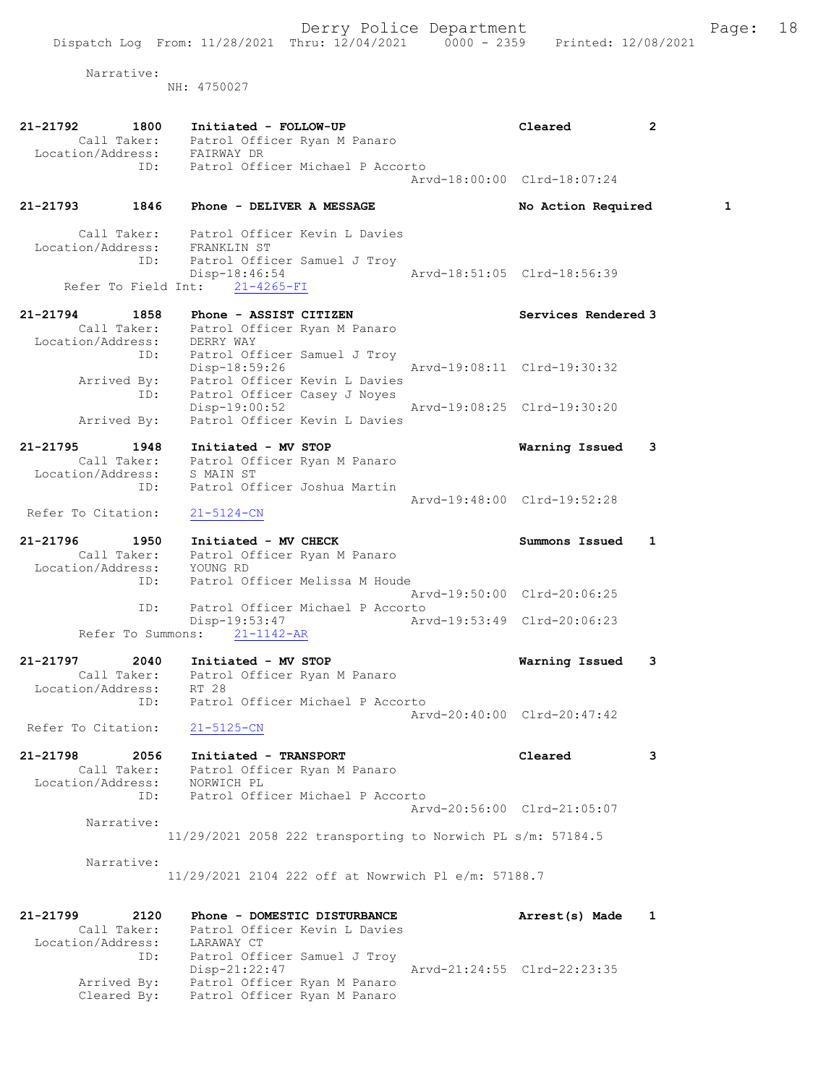Narrative:

NH: 4750027

| 21-21792<br>1800                                 | Initiated - FOLLOW-UP<br>Call Taker: Patrol Officer Ryan M Panaro<br>Location/Address: FAIRWAY DR       | Cleared                     | $\overline{2}$ |
|--------------------------------------------------|---------------------------------------------------------------------------------------------------------|-----------------------------|----------------|
| ID:                                              | Patrol Officer Michael P Accorto                                                                        |                             |                |
|                                                  |                                                                                                         | Arvd-18:00:00 Clrd-18:07:24 |                |
| 21-21793 1846                                    | Phone - DELIVER A MESSAGE                                                                               | No Action Required          | 1              |
| Location/Address: FRANKLIN ST<br>ID:             | Call Taker: Patrol Officer Kevin L Davies<br>Patrol Officer Samuel J Troy<br>Disp-18:46:54              | Arvd-18:51:05 Clrd-18:56:39 |                |
|                                                  | Refer To Field Int: 21-4265-FI                                                                          |                             |                |
| $21 - 21794$<br>1858                             | Phone - ASSIST CITIZEN                                                                                  | Services Rendered 3         |                |
| ID:                                              | Call Taker: Patrol Officer Ryan M Panaro<br>Location/Address: DERRY WAY<br>Patrol Officer Samuel J Troy |                             |                |
|                                                  | Disp-18:59:26<br>Arrived By: Patrol Officer Kevin L Davies                                              | Arvd-19:08:11 Clrd-19:30:32 |                |
| ID:<br>Arrived By:                               | Patrol Officer Casey J Noyes<br>$Disp-19:00:52$<br>Patrol Officer Kevin L Davies                        | Arvd-19:08:25 Clrd-19:30:20 |                |
|                                                  |                                                                                                         |                             |                |
| 21-21795<br>1948                                 | Initiated - MV STOP                                                                                     | Warning Issued              | 3              |
| Location/Address:                                | Call Taker: Patrol Officer Ryan M Panaro<br>S MAIN ST                                                   |                             |                |
| ID:                                              | Patrol Officer Joshua Martin                                                                            |                             |                |
| Refer To Citation:                               | $21 - 5124 - CN$                                                                                        | Arvd-19:48:00 Clrd-19:52:28 |                |
| 21-21796                                         | 1950 Initiated - MV CHECK                                                                               | Summons Issued              | 1              |
|                                                  | .<br>Call Taker: Patrol Officer Ryan M Panaro                                                           |                             |                |
| Location/Address: YOUNG RD                       |                                                                                                         |                             |                |
| ID:                                              | Patrol Officer Melissa M Houde                                                                          |                             |                |
| ID:                                              | Patrol Officer Michael P Accorto                                                                        | Arvd-19:50:00 Clrd-20:06:25 |                |
|                                                  | Disp-19:53:47<br>Arvd-19:53:49 Clrd-20:06:23                                                            |                             |                |
|                                                  | Refer To Summons: 21-1142-AR                                                                            |                             |                |
| 21-21797                                         | 2040 Initiated - MV STOP                                                                                | Warning Issued              | 3              |
|                                                  | Call Taker: Patrol Officer Ryan M Panaro                                                                |                             |                |
| Location/Address: RT 28                          |                                                                                                         |                             |                |
| ID:                                              | Patrol Officer Michael P Accorto                                                                        | Arvd-20:40:00 Clrd-20:47:42 |                |
| Refer To Citation: 21-5125-CN                    |                                                                                                         |                             |                |
| 21-21798<br>2056<br>Location/Address: NORWICH PL | Initiated - TRANSPORT<br>Call Taker: Patrol Officer Ryan M Panaro                                       | Cleared                     | 3              |
| ID:                                              | Patrol Officer Michael P Accorto                                                                        |                             |                |
|                                                  |                                                                                                         | Arvd-20:56:00 Clrd-21:05:07 |                |
| Narrative:                                       | 11/29/2021 2058 222 transporting to Norwich PL s/m: 57184.5                                             |                             |                |
|                                                  |                                                                                                         |                             |                |
| Narrative:                                       | 11/29/2021 2104 222 off at Nowrwich Pl e/m: 57188.7                                                     |                             |                |
| 21-21799                                         | Phone - DOMESTIC DISTURBANCE                                                                            |                             |                |
| 2120<br>Call Taker:                              | Patrol Officer Kevin L Davies                                                                           | Arrest(s) Made              | 1              |
| Location/Address:                                | LARAWAY CT                                                                                              |                             |                |
| ID:                                              | Patrol Officer Samuel J Troy                                                                            |                             |                |
|                                                  | Disp-21:22:47                                                                                           | Arvd-21:24:55 Clrd-22:23:35 |                |
| Arrived By:<br>Cleared By:                       | Patrol Officer Ryan M Panaro<br>Patrol Officer Ryan M Panaro                                            |                             |                |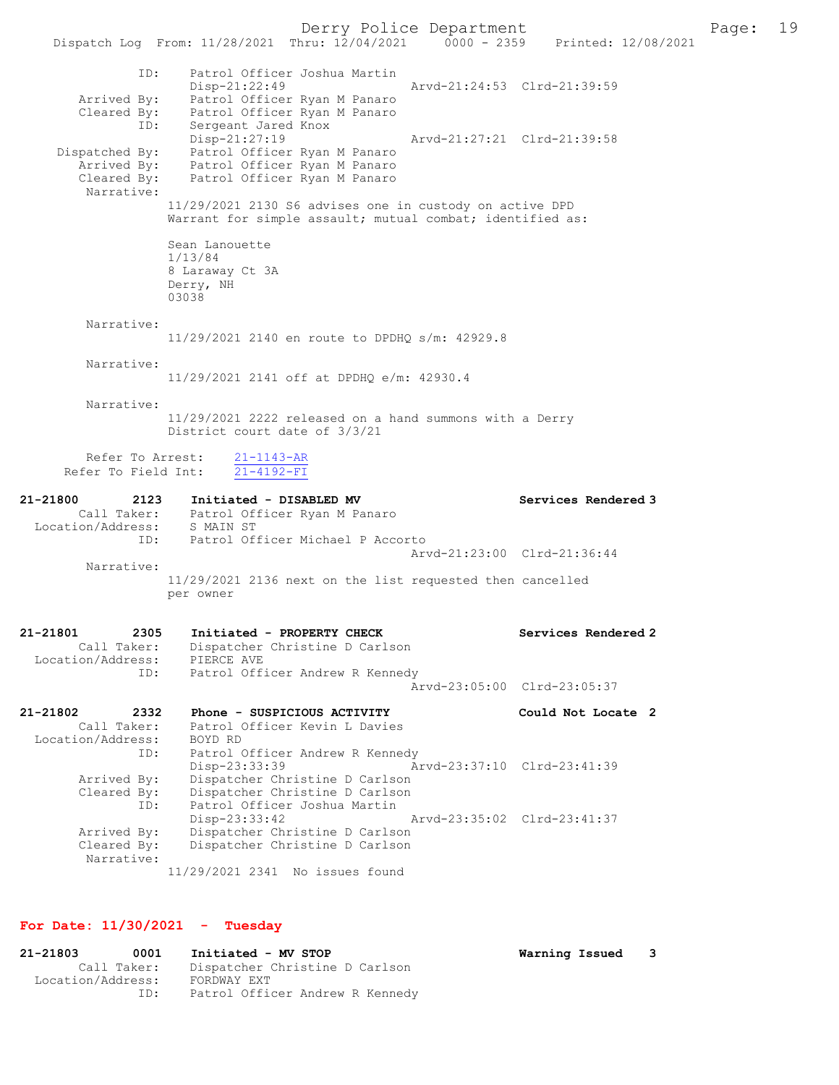Dispatch Log From: 11/28/2021 Thru: 12/04/2021 0000 - 2359 Printed: 12/08/2021 ID: Patrol Officer Joshua Martin Disp-21:22:49 Arvd-21:24:53 Clrd-21:39:59 Arrived By: Patrol Officer Ryan M Panaro Cleared By: Patrol Officer Ryan M Panaro ID: Sergeant Jared Knox Disp-21:27:19 Arvd-21:27:21 Clrd-21:39:58 Dispatched By: Patrol Officer Ryan M Panaro Arrived By: Patrol Officer Ryan M Panaro Cleared By: Patrol Officer Ryan M Panaro Narrative: 11/29/2021 2130 S6 advises one in custody on active DPD Warrant for simple assault; mutual combat; identified as: Sean Lanouette 1/13/84 8 Laraway Ct 3A Derry, NH 03038 Narrative: 11/29/2021 2140 en route to DPDHQ s/m: 42929.8 Narrative: 11/29/2021 2141 off at DPDHQ e/m: 42930.4 Narrative: 11/29/2021 2222 released on a hand summons with a Derry District court date of 3/3/21 Refer To Arrest:  $\frac{21-1143-AR}{21-4192-FI}$ Refer To Field Int: 21-21800 2123 Initiated - DISABLED MV Services Rendered 3 Call Taker: Patrol Officer Ryan M Panaro Location/Address: S MAIN ST ess. U MARIN US.<br>ID: Patrol Officer Michael P Accorto Arvd-21:23:00 Clrd-21:36:44 Narrative: 11/29/2021 2136 next on the list requested then cancelled per owner 21-21801 2305 Initiated - PROPERTY CHECK Services Rendered 2 Call Taker: Dispatcher Christine D Carlson Location/Address: PIERCE AVE ID: Patrol Officer Andrew R Kennedy Arvd-23:05:00 Clrd-23:05:37 21-21802 2332 Phone - SUSPICIOUS ACTIVITY Could Not Locate 2 Call Taker: Patrol Officer Kevin L Davies Location/Address: BOYD RD ID: Patrol Officer Andrew R Kennedy Disp-23:33:39 Arvd-23:37:10 Clrd-23:41:39 Arrived By: Dispatcher Christine D Carlson Cleared By: Dispatcher Christine D Carlson ID: Patrol Officer Joshua Martin Disp-23:33:42 Arvd-23:35:02 Clrd-23:41:37 Arrived By: Dispatcher Christine D Carlson Cleared By: Dispatcher Christine D Carlson Narrative: 11/29/2021 2341 No issues found

## For Date: 11/30/2021 - Tuesday

| 21-21803          | 0001        | Initiated - MV STOP             |
|-------------------|-------------|---------------------------------|
|                   | Call Taker: | Dispatcher Christine D Carlson  |
| Location/Address: |             | FORDWAY EXT                     |
|                   | TD:         | Patrol Officer Andrew R Kennedy |

Warning Issued 3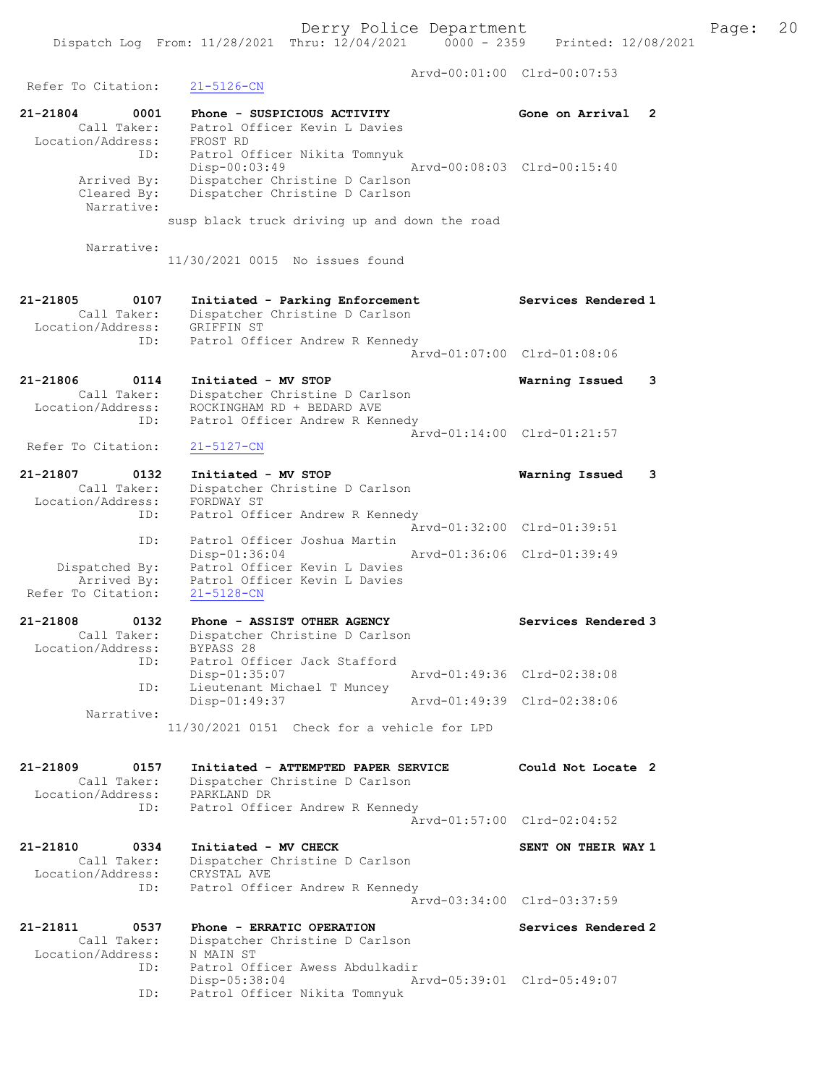Arvd-00:01:00 Clrd-00:07:53 Refer To Citation: 21-5126-CN 21-21804 0001 Phone - SUSPICIOUS ACTIVITY Gone on Arrival 2 Call Taker: Patrol Officer Kevin L Davies Location/Address: FROST RD ID: Patrol Officer Nikita Tomnyuk Disp-00:03:49 Arvd-00:08:03 Clrd-00:15:40 Arrived By: Dispatcher Christine D Carlson Cleared By: Dispatcher Christine D Carlson Narrative: susp black truck driving up and down the road Narrative: 11/30/2021 0015 No issues found 21-21805 0107 Initiated - Parking Enforcement Services Rendered 1 Call Taker: Dispatcher Christine D Carlson Location/Address: GRIFFIN ST ID: Patrol Officer Andrew R Kennedy Arvd-01:07:00 Clrd-01:08:06 21-21806 0114 Initiated - MV STOP Warning Issued 3 Call Taker: Dispatcher Christine D Carlson Location/Address: ROCKINGHAM RD + BEDARD AVE ID: Patrol Officer Andrew R Kennedy Arvd-01:14:00 Clrd-01:21:57<br>21-5127-CN Refer To Citation: 21-21807 0132 Initiated - MV STOP Warning Issued 3 Call Taker: Dispatcher Christine D Carlson Location/Address: FORDWAY ST ID: Patrol Officer Andrew R Kennedy Arvd-01:32:00 Clrd-01:39:51 ID: Patrol Officer Joshua Martin Disp-01:36:04 Arvd-01:36:06 Clrd-01:39:49 Dispatched By: Patrol Officer Kevin L Davies Arrived By: Patrol Officer Kevin L Davies Refer To Citation: 21-5128-CN 21-21808 0132 Phone - ASSIST OTHER AGENCY Services Rendered 3 Call Taker: Dispatcher Christine D Carlson Location/Address: BYPASS 28 ID: Patrol Officer Jack Stafford Disp-01:35:07 Arvd-01:49:36 Clrd-02:38:08 ID: Lieutenant Michael T Muncey Disp-01:49:37 Arvd-01:49:39 Clrd-02:38:06 Narrative: 11/30/2021 0151 Check for a vehicle for LPD 21-21809 0157 Initiated - ATTEMPTED PAPER SERVICE Could Not Locate 2 Call Taker: Dispatcher Christine D Carlson Location/Address: PARKLAND DR ID: Patrol Officer Andrew R Kennedy Arvd-01:57:00 Clrd-02:04:52 21-21810 0334 Initiated - MV CHECK SENT ON THEIR WAY 1 Call Taker: Dispatcher Christine D Carlson Location/Address: CRYSTAL AVE ID: Patrol Officer Andrew R Kennedy Arvd-03:34:00 Clrd-03:37:59 21-21811 0537 Phone - ERRATIC OPERATION Services Rendered 2 Call Taker: Dispatcher Christine D Carlson Location/Address: N MAIN ST ID: Patrol Officer Awess Abdulkadir Disp-05:38:04 Arvd-05:39:01 Clrd-05:49:07 ID: Patrol Officer Nikita Tomnyuk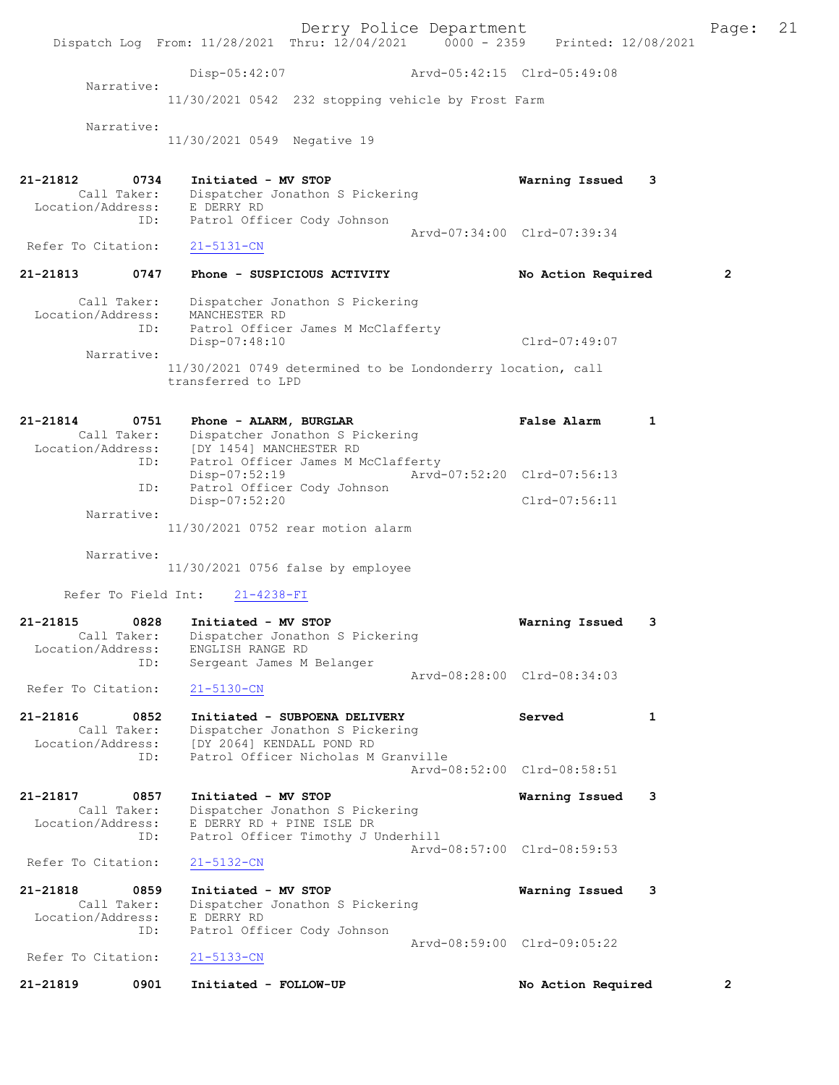Derry Police Department Fage: 21 Dispatch Log From: 11/28/2021 Thru: 12/04/2021 0000 - 2359 Printed: 12/08/2021 Disp-05:42:07 Arvd-05:42:15 Clrd-05:49:08 Narrative: 11/30/2021 0542 232 stopping vehicle by Frost Farm Narrative: 11/30/2021 0549 Negative 19 21-21812 0734 Initiated - MV STOP Warning Issued 3 Call Taker: Dispatcher Jonathon S Pickering Location/Address: E DERRY RD ID: Patrol Officer Cody Johnson Arvd-07:34:00 Clrd-07:39:34<br>21-5131-CN Refer To Citation: 21-21813 0747 Phone - SUSPICIOUS ACTIVITY No Action Required 2 Call Taker: Dispatcher Jonathon S Pickering Location/Address: MANCHESTER RD ID: Patrol Officer James M McClafferty Disp-07:48:10 Clrd-07:49:07 Narrative: 11/30/2021 0749 determined to be Londonderry location, call transferred to LPD 21-21814 0751 Phone - ALARM, BURGLAR False Alarm 1 Call Taker: Dispatcher Jonathon S Pickering Location/Address: [DY 1454] MANCHESTER RD ID: Patrol Officer James M McClafferty Disp-07:52:19 Arvd-07:52:20 Clrd-07:56:13 ID: Patrol Officer Cody Johnson Disp-07:52:20 Clrd-07:56:11 Narrative: 11/30/2021 0752 rear motion alarm Narrative: 11/30/2021 0756 false by employee Refer To Field Int: 21-4238-FI 21-21815 0828 Initiated - MV STOP Warning Issued 3 Call Taker: Dispatcher Jonathon S Pickering Location/Address: ENGLISH RANGE RD ess: Entered<br>ID: Sergeant James M Belanger Arvd-08:28:00 Clrd-08:34:03 Refer To Citation: 21-5130-CN 21-21816 0852 Initiated - SUBPOENA DELIVERY Served 1 Call Taker: Dispatcher Jonathon S Pickering Location/Address: [DY 2064] KENDALL POND RD ID: Patrol Officer Nicholas M Granville Arvd-08:52:00 Clrd-08:58:51 21-21817 0857 Initiated - MV STOP Warning Issued 3 Call Taker: Dispatcher Jonathon S Pickering Location/Address: E DERRY RD + PINE ISLE DR ID: Patrol Officer Timothy J Underhill Arvd-08:57:00 Clrd-08:59:53 Refer To Citation: 21-5132-CN 21-21818 0859 Initiated - MV STOP Warning Issued 3 Call Taker: Dispatcher Jonathon S Pickering Location/Address: E DERRY RD ID: Patrol Officer Cody Johnson Arvd-08:59:00 Clrd-09:05:22<br>21-5133-CN Refer To Citation: 21-21819 0901 Initiated - FOLLOW-UP No Action Required 2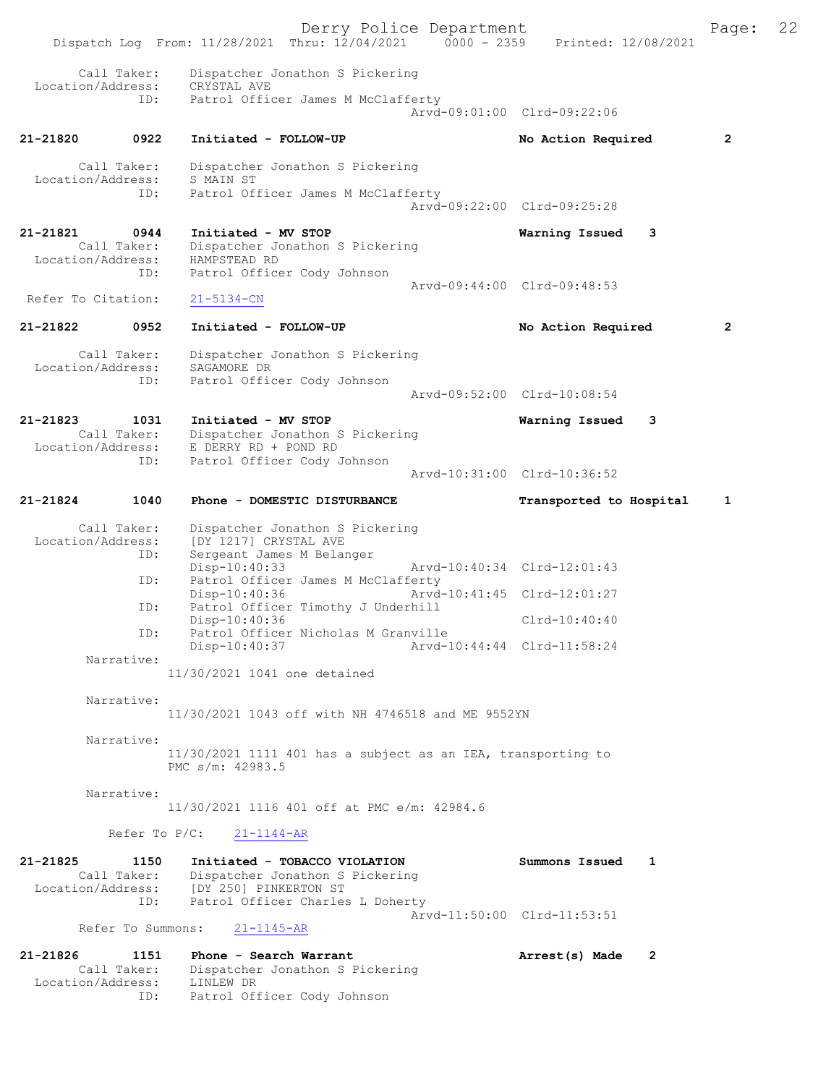Derry Police Department Fage: 22 Dispatch Log From: 11/28/2021 Thru: 12/04/2021 0000 - 2359 Printed: 12/08/2021 Call Taker: Dispatcher Jonathon S Pickering Location/Address: CRYSTAL AVE ID: Patrol Officer James M McClafferty Arvd-09:01:00 Clrd-09:22:06 21-21820 0922 Initiated - FOLLOW-UP No Action Required 2 Call Taker: Dispatcher Jonathon S Pickering Location/Address: S MAIN ST ID: Patrol Officer James M McClafferty Arvd-09:22:00 Clrd-09:25:28 21-21821 0944 Initiated - MV STOP Warning Issued 3 Call Taker: Dispatcher Jonathon S Pickering Location/Address: HAMPSTEAD RD ID: Patrol Officer Cody Johnson Arvd-09:44:00 Clrd-09:48:53<br>
21-5134-CN Refer To Citation: 21-21822 0952 Initiated - FOLLOW-UP No Action Required 2 Call Taker: Dispatcher Jonathon S Pickering Location/Address: SAGAMORE DR ID: Patrol Officer Cody Johnson Arvd-09:52:00 Clrd-10:08:54 21-21823 1031 Initiated - MV STOP Warning Issued 3 Call Taker: Dispatcher Jonathon S Pickering Location/Address: E DERRY RD + POND RD ID: Patrol Officer Cody Johnson Arvd-10:31:00 Clrd-10:36:52 21-21824 1040 Phone - DOMESTIC DISTURBANCE Transported to Hospital 1 Call Taker: Dispatcher Jonathon S Pickering Location/Address: [DY 1217] CRYSTAL AVE ID: Sergeant James M Belanger<br>Disp-10:40:33 Disp-10:40:33 Arvd-10:40:34 Clrd-12:01:43 ID: Patrol Officer James M McClafferty<br>Disp-10:40:36 Mrvd-10:41:45 Clrd-12:01:27 Disp-10:40:36 Arvd-10:41:45 Clrd-12:01:27 ID: Patrol Officer Timothy J Underhill Disp-10:40:36 Clrd-10:40:40 ID: Patrol Officer Nicholas M Granville<br>Disp-10:40:37 Arvd-1 Disp-10:40:37 Arvd-10:44:44 Clrd-11:58:24 Narrative: 11/30/2021 1041 one detained Narrative: 11/30/2021 1043 off with NH 4746518 and ME 9552YN Narrative: 11/30/2021 1111 401 has a subject as an IEA, transporting to PMC s/m: 42983.5 Narrative: 11/30/2021 1116 401 off at PMC e/m: 42984.6 Refer To P/C: 21-1144-AR 21-21825 1150 Initiated - TOBACCO VIOLATION Summons Issued 1 Call Taker: Dispatcher Jonathon S Pickering Location/Address: [DY 250] PINKERTON ST ID: Patrol Officer Charles L Doherty Arvd-11:50:00 Clrd-11:53:51 Refer To Summons: 21-1145-AR 21-21826 1151 Phone - Search Warrant Arrest(s) Made 2 Call Taker: Dispatcher Jonathon S Pickering Location/Address: LINLEW DR ID: Patrol Officer Cody Johnson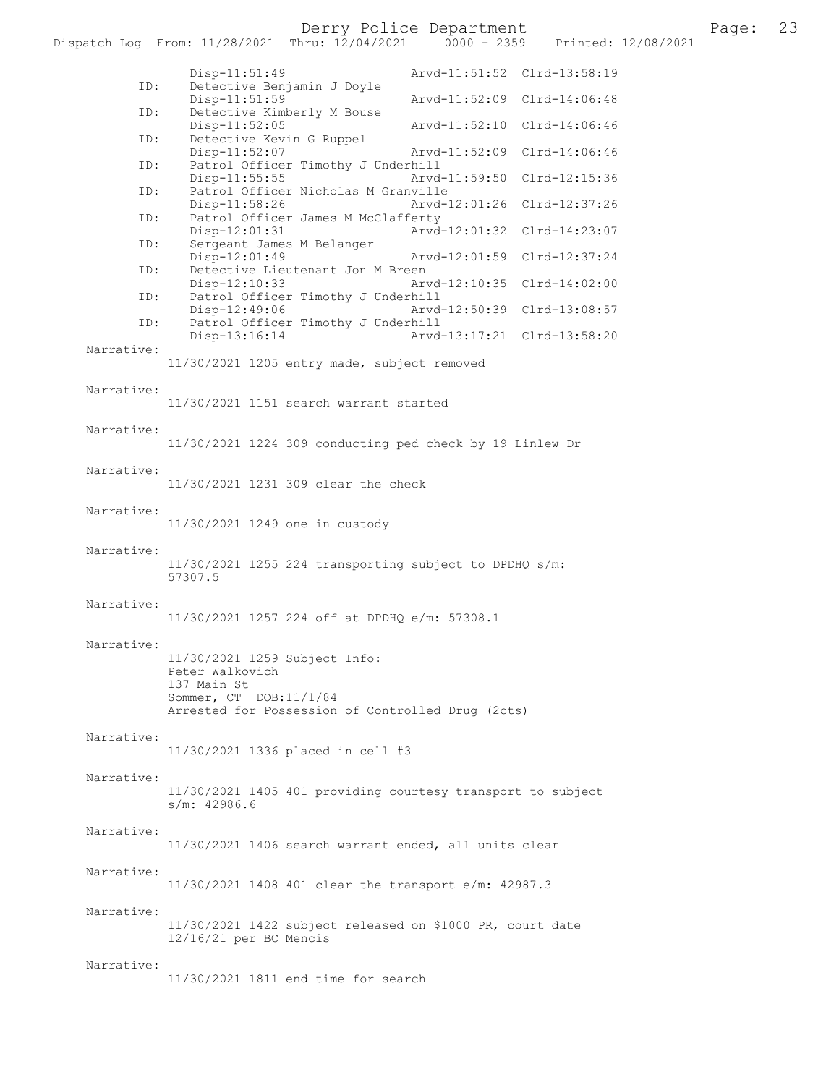Derry Police Department<br>hru:  $12/04/2021$  0000 - 2359 Printed:  $12/08/2021$  23 Dispatch Log From: 11/28/2021 Thru: 12/04/2021 Disp-11:51:49 Arvd-11:51:52 Clrd-13:58:19 ID: Detective Benjamin J Doyle Disp-11:51:59 Arvd-11:52:09 Clrd-14:06:48<br>ID: Detective Kimberly M Bouse Detective Kimberly M Bouse<br>Disp-11:52:05 Disp-11:52:05 Arvd-11:52:10 Clrd-14:06:46 ID: Detective Kevin G Ruppel Disp-11:52:07 Arvd-11:52:09 Clrd-14:06:46<br>TD: Patrol Officer Timothy J Underbill Patrol Officer Timothy J Underhill<br>Disp-11:55:55 Arvd Arvd-11:59:50 Clrd-12:15:36 ID: Patrol Officer Nicholas M Granville<br>Disp-11:58:26 Arvd-Arvd-12:01:26 Clrd-12:37:26 ID: Patrol Officer James M McClafferty Disp-12:01:31 Arvd-12:01:32 Clrd-14:23:07 ID: Sergeant James M Belanger Disp-12:01:49 Arvd-12:01:59 Clrd-12:37:24<br>ID: Detective Lieutenant Jon M Breen Detective Lieutenant Jon M Breen Disp-12:10:33 Arvd-12:10:35 Clrd-14:02:00<br>ID: Patrol Officer Timothy J Underhill Patrol Officer Timothy J Underhill Disp-12:49:06 Arvd-12:50:39 Clrd-13:08:57<br>TD: Patrol Officer Timothy J Underhill Patrol Officer Timothy J Underhill<br>Disp-13:16:14 Arvd Arvd-13:17:21 Clrd-13:58:20 Narrative: 11/30/2021 1205 entry made, subject removed Narrative: 11/30/2021 1151 search warrant started Narrative: 11/30/2021 1224 309 conducting ped check by 19 Linlew Dr Narrative: 11/30/2021 1231 309 clear the check Narrative: 11/30/2021 1249 one in custody Narrative: 11/30/2021 1255 224 transporting subject to DPDHQ s/m: 57307.5 Narrative: 11/30/2021 1257 224 off at DPDHQ e/m: 57308.1 Narrative: 11/30/2021 1259 Subject Info: Peter Walkovich 137 Main St Sommer, CT DOB:11/1/84 Arrested for Possession of Controlled Drug (2cts) Narrative: 11/30/2021 1336 placed in cell #3 Narrative: 11/30/2021 1405 401 providing courtesy transport to subject s/m: 42986.6 Narrative: 11/30/2021 1406 search warrant ended, all units clear Narrative: 11/30/2021 1408 401 clear the transport e/m: 42987.3 Narrative: 11/30/2021 1422 subject released on \$1000 PR, court date 12/16/21 per BC Mencis Narrative: 11/30/2021 1811 end time for search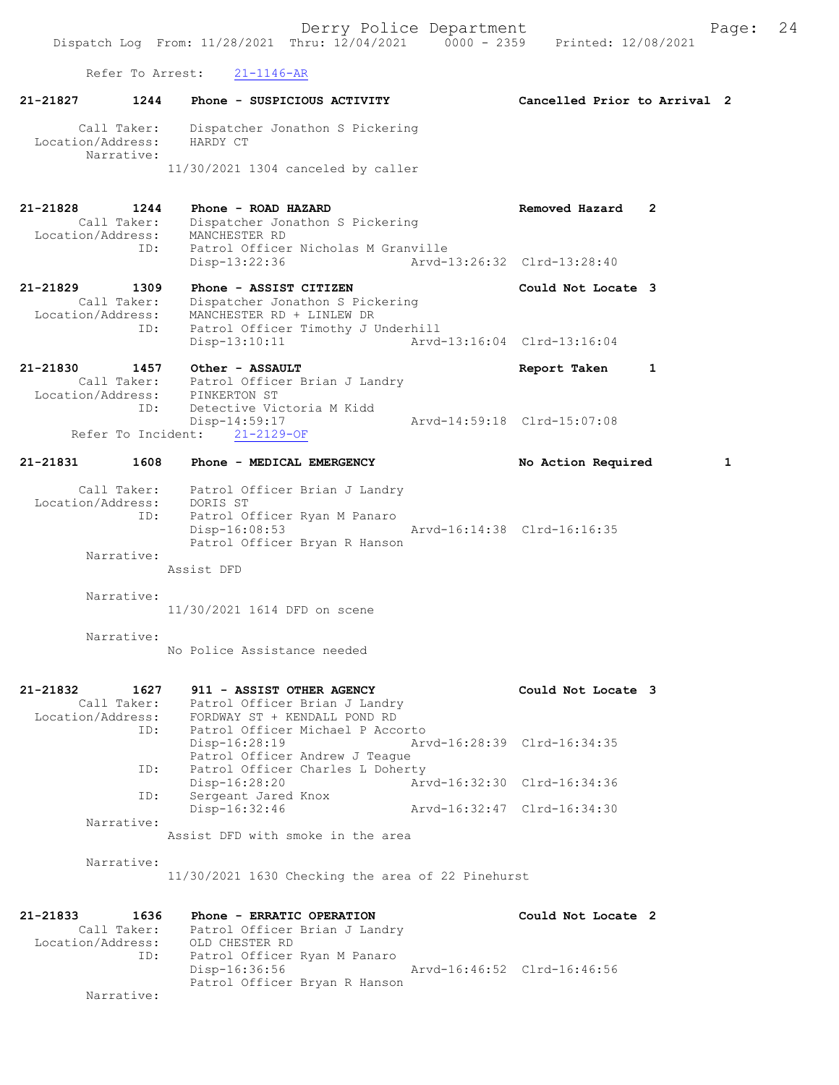Refer To Arrest: 21-1146-AR 21-21827 1244 Phone - SUSPICIOUS ACTIVITY Cancelled Prior to Arrival 2 Call Taker: Dispatcher Jonathon S Pickering Location/Address: HARDY CT Narrative: 11/30/2021 1304 canceled by caller 21-21828 1244 Phone - ROAD HAZARD Removed Hazard 2 Call Taker: Dispatcher Jonathon S Pickering Location/Address: MANCHESTER RD ID: Patrol Officer Nicholas M Granville Disp-13:22:36 Arvd-13:26:32 Clrd-13:28:40 21-21829 1309 Phone - ASSIST CITIZEN 1988 Could Not Locate 3 Call Taker: Dispatcher Jonathon S Pickering Location/Address: MANCHESTER RD + LINLEW DR ID: Patrol Officer Timothy J Underhill<br>Disp-13:10:11 Arvd- Disp-13:10:11 Arvd-13:16:04 Clrd-13:16:04 21-21830 1457 Other - ASSAULT Report Taken 1 Call Taker: Patrol Officer Brian J Landry Location/Address: PINKERTON ST ID: Detective Victoria M Kidd Disp-14:59:17 Arvd-14:59:18 Clrd-15:07:08 Refer To Incident: 21-2129-OF 21-21831 1608 Phone - MEDICAL EMERGENCY No Action Required 1 Call Taker: Patrol Officer Brian J Landry Location/Address: DORIS ST ID: Patrol Officer Ryan M Panaro Disp-16:08:53 Arvd-16:14:38 Clrd-16:16:35 Patrol Officer Bryan R Hanson Narrative: Assist DFD Narrative: 11/30/2021 1614 DFD on scene Narrative: No Police Assistance needed 21-21832 1627 911 - ASSIST OTHER AGENCY Could Not Locate 3 Call Taker: Patrol Officer Brian J Landry Location/Address: FORDWAY ST + KENDALL POND RD ID: Patrol Officer Michael P Accorto Disp-16:28:19 Arvd-16:28:39 Clrd-16:34:35 Patrol Officer Andrew J Teague ID: Patrol Officer Charles L Doherty Disp-16:28:20 Arvd-16:32:30 Clrd-16:34:36 ID: Sergeant Jared Knox Disp-16:32:46 Arvd-16:32:47 Clrd-16:34:30 Narrative: Assist DFD with smoke in the area Narrative: 11/30/2021 1630 Checking the area of 22 Pinehurst 21-21833 1636 Phone - ERRATIC OPERATION Could Not Locate 2 Call Taker: Patrol Officer Brian J Landry Location/Address: OLD CHESTER RD ID: Patrol Officer Ryan M Panaro Disp-16:36:56 Arvd-16:46:52 Clrd-16:46:56 Patrol Officer Bryan R Hanson

Narrative: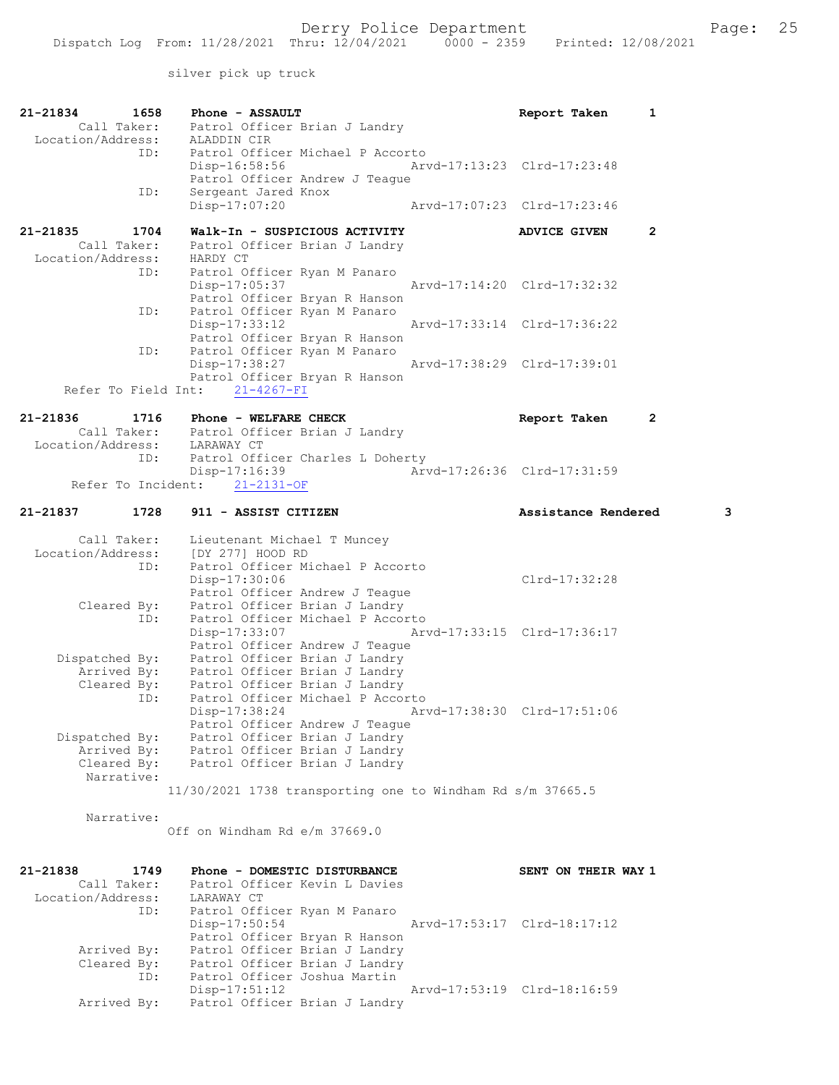silver pick up truck

| 21-21834<br>1658                 | Phone - ASSAULT                                                           | Report Taken<br>1           |   |
|----------------------------------|---------------------------------------------------------------------------|-----------------------------|---|
| Call Taker:<br>Location/Address: | Patrol Officer Brian J Landry<br>ALADDIN CIR                              |                             |   |
| ID:                              | Patrol Officer Michael P Accorto                                          |                             |   |
|                                  | Disp-16:58:56                                                             | Arvd-17:13:23 Clrd-17:23:48 |   |
| ID:                              | Patrol Officer Andrew J Teague<br>Sergeant Jared Knox                     |                             |   |
|                                  | Arvd-17:07:23 Clrd-17:23:46<br>$Disp-17:07:20$                            |                             |   |
| 21-21835<br>1704                 | Walk-In - SUSPICIOUS ACTIVITY                                             | 2<br><b>ADVICE GIVEN</b>    |   |
| Call Taker:                      | Patrol Officer Brian J Landry                                             |                             |   |
| Location/Address:                | HARDY CT                                                                  |                             |   |
| ID:                              | Patrol Officer Ryan M Panaro<br>Disp-17:05:37                             | Arvd-17:14:20 Clrd-17:32:32 |   |
|                                  | Patrol Officer Bryan R Hanson                                             |                             |   |
| ID:                              | Patrol Officer Ryan M Panaro<br>Disp-17:33:12                             | Arvd-17:33:14 Clrd-17:36:22 |   |
|                                  | Patrol Officer Bryan R Hanson                                             |                             |   |
| ID:                              | Patrol Officer Ryan M Panaro                                              |                             |   |
|                                  | Disp-17:38:27<br>Patrol Officer Bryan R Hanson                            | Arvd-17:38:29 Clrd-17:39:01 |   |
|                                  | Refer To Field Int: 21-4267-FI                                            |                             |   |
| 21-21836<br>1716                 | Phone - WELFARE CHECK                                                     | Report Taken<br>2           |   |
|                                  | Call Taker: Patrol Officer Brian J Landry<br>Location/Address: LARAWAY CT |                             |   |
|                                  |                                                                           |                             |   |
| ID:                              | Patrol Officer Charles L Doherty<br>Disp-17:16:39                         | Arvd-17:26:36 Clrd-17:31:59 |   |
|                                  | Refer To Incident: 21-2131-OF                                             |                             |   |
| 21-21837<br>1728                 | 911 - ASSIST CITIZEN                                                      | Assistance Rendered         | 3 |
|                                  |                                                                           |                             |   |
| Call Taker:<br>Location/Address: | Lieutenant Michael T Muncey<br>[DY 277] HOOD RD                           |                             |   |
| ID:                              | Patrol Officer Michael P Accorto                                          |                             |   |
|                                  | Disp-17:30:06                                                             | Clrd-17:32:28               |   |
| Cleared By:                      | Patrol Officer Andrew J Teague<br>Patrol Officer Brian J Landry           |                             |   |
| ID:                              | Patrol Officer Michael P Accorto                                          |                             |   |
|                                  |                                                                           |                             |   |
|                                  | Disp-17:33:07<br>Arvd-17:33:15 Clrd-17:36:17                              |                             |   |
| Dispatched By:                   | Patrol Officer Andrew J Teague<br>Patrol Officer Brian J Landry           |                             |   |
| Arrived By:                      | Patrol Officer Brian J Landry                                             |                             |   |
| Cleared By:<br>ID:               | Patrol Officer Brian J Landry<br>Patrol Officer Michael P Accorto         |                             |   |
|                                  | Disp-17:38:24                                                             | Arvd-17:38:30 Clrd-17:51:06 |   |
|                                  | Patrol Officer Andrew J Teaque                                            |                             |   |
| Dispatched By:<br>Arrived By:    | Patrol Officer Brian J Landry<br>Patrol Officer Brian J Landry            |                             |   |
| Cleared By:                      | Patrol Officer Brian J Landry                                             |                             |   |
| Narrative:                       | $11/30/2021$ 1738 transporting one to Windham Rd s/m 37665.5              |                             |   |
|                                  |                                                                           |                             |   |
| Narrative:                       |                                                                           |                             |   |
|                                  | Off on Windham Rd e/m 37669.0                                             |                             |   |
|                                  |                                                                           |                             |   |
| 21-21838<br>1749<br>Call Taker:  | Phone - DOMESTIC DISTURBANCE<br>Patrol Officer Kevin L Davies             | SENT ON THEIR WAY 1         |   |
| Location/Address:                | LARAWAY CT                                                                |                             |   |
| ID:                              | Patrol Officer Ryan M Panaro<br>Disp-17:50:54                             | Arvd-17:53:17 Clrd-18:17:12 |   |
|                                  | Patrol Officer Bryan R Hanson                                             |                             |   |
| Arrived By:                      | Patrol Officer Brian J Landry                                             |                             |   |
| Cleared By:<br>ID:               | Patrol Officer Brian J Landry<br>Patrol Officer Joshua Martin             |                             |   |
| Arrived By:                      | Disp-17:51:12<br>Patrol Officer Brian J Landry                            | Arvd-17:53:19 Clrd-18:16:59 |   |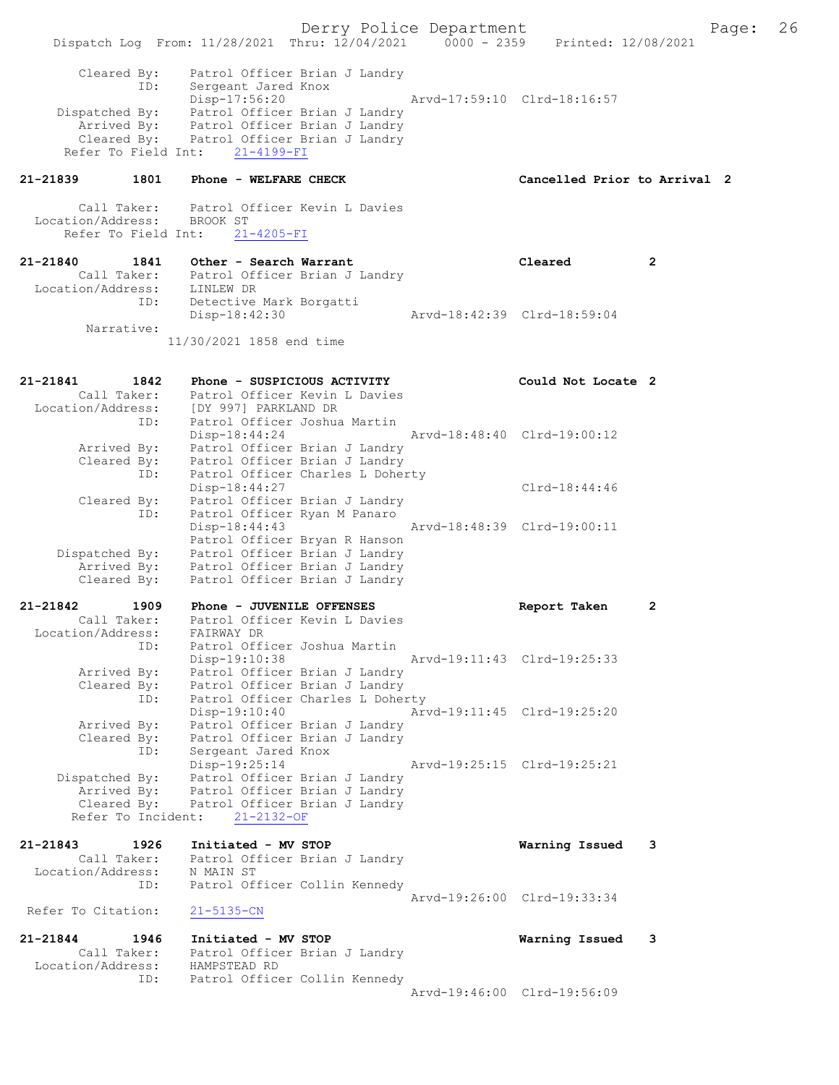Derry Police Department Fage: 26 Dispatch Log From: 11/28/2021 Thru: 12/04/2021 0000 - 2359 Printed: 12/08/2021 Cleared By: Patrol Officer Brian J Landry ID: Sergeant Jared Knox Disp-17:56:20 Arvd-17:59:10 Clrd-18:16:57 Dispatched By: Patrol Officer Brian J Landry Arrived By: Patrol Officer Brian J Landry Cleared By: Patrol Officer Brian J Landry Refer To Field Int: 21-4199-FI 21-21839 1801 Phone - WELFARE CHECK Cancelled Prior to Arrival 2 Call Taker: Patrol Officer Kevin L Davies Location/Address: BROOK ST Refer To Field Int: 21-4205-FI 21-21840 1841 Other - Search Warrant Cleared 2 Call Taker: Patrol Officer Brian J Landry Location/Address: LINLEW DR ID: Detective Mark Borgatti Disp-18:42:30 Arvd-18:42:39 Clrd-18:59:04 Narrative: 11/30/2021 1858 end time 21-21841 1842 Phone - SUSPICIOUS ACTIVITY Could Not Locate 2 Call Taker: Patrol Officer Kevin L Davies Location/Address: [DY 997] PARKLAND DR ID: Patrol Officer Joshua Martin Disp-18:44:24 Arvd-18:48:40 Clrd-19:00:12 Arrived By: Patrol Officer Brian J Landry Cleared By: Patrol Officer Brian J Landry ID: Patrol Officer Charles L Doherty Disp-18:44:27 Clrd-18:44:46 Cleared By: Patrol Officer Brian J Landry ID: Patrol Officer Ryan M Panaro Disp-18:44:43 Arvd-18:48:39 Clrd-19:00:11 Patrol Officer Bryan R Hanson Dispatched By: Patrol Officer Brian J Landry Arrived By: Patrol Officer Brian J Landry Cleared By: Patrol Officer Brian J Landry 21-21842 1909 Phone - JUVENILE OFFENSES Report Taken 2 Call Taker: Patrol Officer Kevin L Davies Location/Address: FAIRWAY DR ID: Patrol Officer Joshua Martin Disp-19:10:38 Arvd-19:11:43 Clrd-19:25:33 Arrived By: Patrol Officer Brian J Landry Cleared By: Patrol Officer Brian J Landry ID: Patrol Officer Charles L Doherty Disp-19:10:40 Arvd-19:11:45 Clrd-19:25:20 Arrived By: Patrol Officer Brian J Landry Cleared By: Patrol Officer Brian J Landry ID: Sergeant Jared Knox Disp-19:25:14 Arvd-19:25:15 Clrd-19:25:21 Dispatched By: Patrol Officer Brian J Landry Arrived By: Patrol Officer Brian J Landry Cleared By: Patrol Officer Brian J Landry Refer To Incident: 21-2132-OF 21-21843 1926 Initiated - MV STOP Warning Issued 3 Call Taker: Patrol Officer Brian J Landry Location/Address: N MAIN ST ID: Patrol Officer Collin Kennedy Arvd-19:26:00 Clrd-19:33:34<br>21-5135-CN Refer To Citation: 21-21844 1946 Initiated - MV STOP Warning Issued 3 Call Taker: Patrol Officer Brian J Landry Location/Address: HAMPSTEAD RD ID: Patrol Officer Collin Kennedy Arvd-19:46:00 Clrd-19:56:09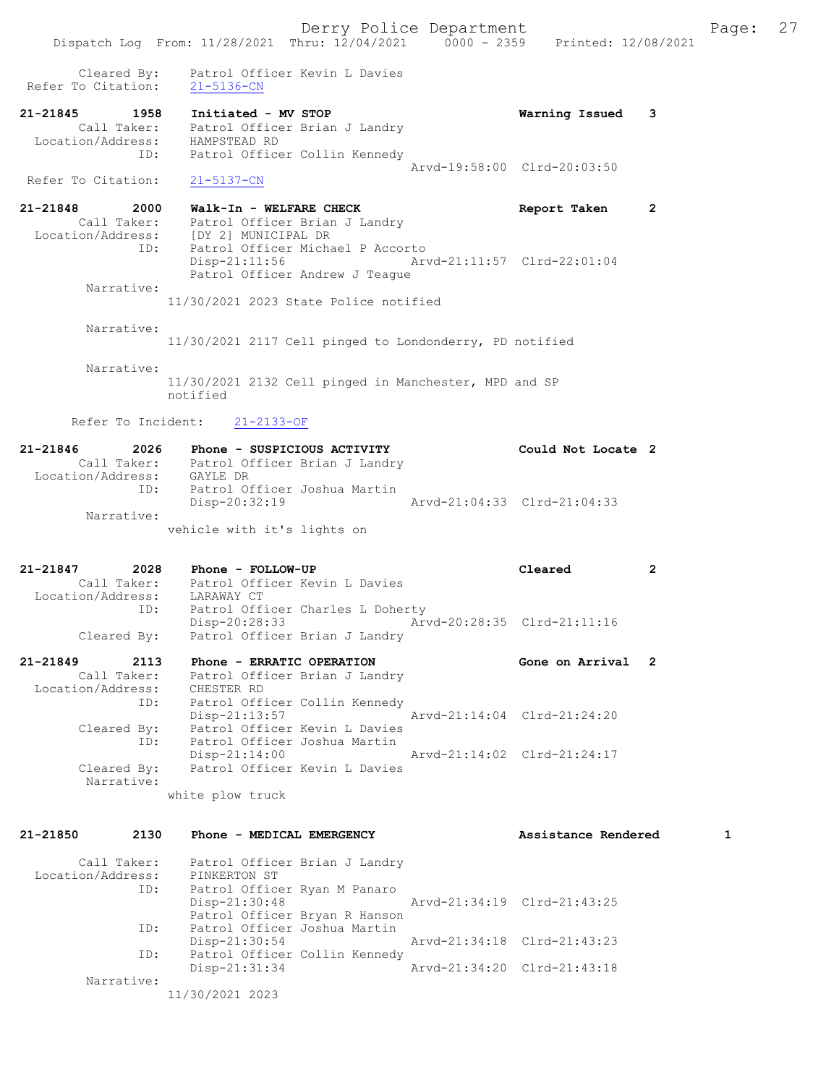21-21848 2000 Walk-In - WELFARE CHECK Report Taken 2 Call Taker: Patrol Officer Brian J Landry Location/Address: [DY 2] MUNICIPAL DR ID: Patrol Officer Michael P Accorto Disp-21:11:56 Arvd-21:11:57 Clrd-22:01:04 Patrol Officer Andrew J Teague Narrative:

11/30/2021 2023 State Police notified

Narrative:

11/30/2021 2117 Cell pinged to Londonderry, PD notified

Narrative:

11/30/2021 2132 Cell pinged in Manchester, MPD and SP notified

Refer To Incident: 21-2133-OF

| 21-21846          | 2026        | Phone - SUSPICIOUS ACTIVITY   | Could Not Locate 2          |  |
|-------------------|-------------|-------------------------------|-----------------------------|--|
|                   | Call Taker: | Patrol Officer Brian J Landry |                             |  |
| Location/Address: |             | GAYLE DR                      |                             |  |
|                   | TD:         | Patrol Officer Joshua Martin  |                             |  |
|                   |             | Disp-20:32:19                 | Arvd-21:04:33 Clrd-21:04:33 |  |
|                   | Narrative:  |                               |                             |  |
|                   |             | vehicle with it's lights on   |                             |  |

21-21847 2028 Phone - FOLLOW-UP Cleared 2 Call Taker: Patrol Officer Kevin L Davies Location/Address: LARAWAY CT ID: Patrol Officer Charles L Doherty Disp-20:28:33 Arvd-20:28:35 Clrd-21:11:16 Cleared By: Patrol Officer Brian J Landry

21-21849 2113 Phone - ERRATIC OPERATION Gone on Arrival 2 Call Taker: Patrol Officer Brian J Landry Location/Address: CHESTER RD ID: Patrol Officer Collin Kennedy Disp-21:13:57 Arvd-21:14:04 Clrd-21:24:20 Cleared By: Patrol Officer Kevin L Davies ID: Patrol Officer Joshua Martin Disp-21:14:00 Arvd-21:14:02 Clrd-21:24:17<br>Cleared By: Patrol Officer Kevin L Davies Patrol Officer Kevin L Davies Narrative: white plow truck

| 21-21850          | 2130 | Phone - MEDICAL EMERGENCY     | Assistance Rendered         |  |
|-------------------|------|-------------------------------|-----------------------------|--|
| Call Taker:       |      | Patrol Officer Brian J Landry |                             |  |
| Location/Address: |      | PINKERTON ST                  |                             |  |
|                   | ID:  | Patrol Officer Ryan M Panaro  |                             |  |
|                   |      | $Disp-21:30:48$               | Arvd-21:34:19 Clrd-21:43:25 |  |
|                   |      | Patrol Officer Bryan R Hanson |                             |  |
|                   | ID:  | Patrol Officer Joshua Martin  |                             |  |
|                   |      | $Disp-21:30:54$               | Arvd-21:34:18 Clrd-21:43:23 |  |
|                   | ID:  | Patrol Officer Collin Kennedy |                             |  |
|                   |      | Disp-21:31:34                 | Arvd-21:34:20 Clrd-21:43:18 |  |
| Narrative:        |      |                               |                             |  |
|                   |      | 11/30/2021 2023               |                             |  |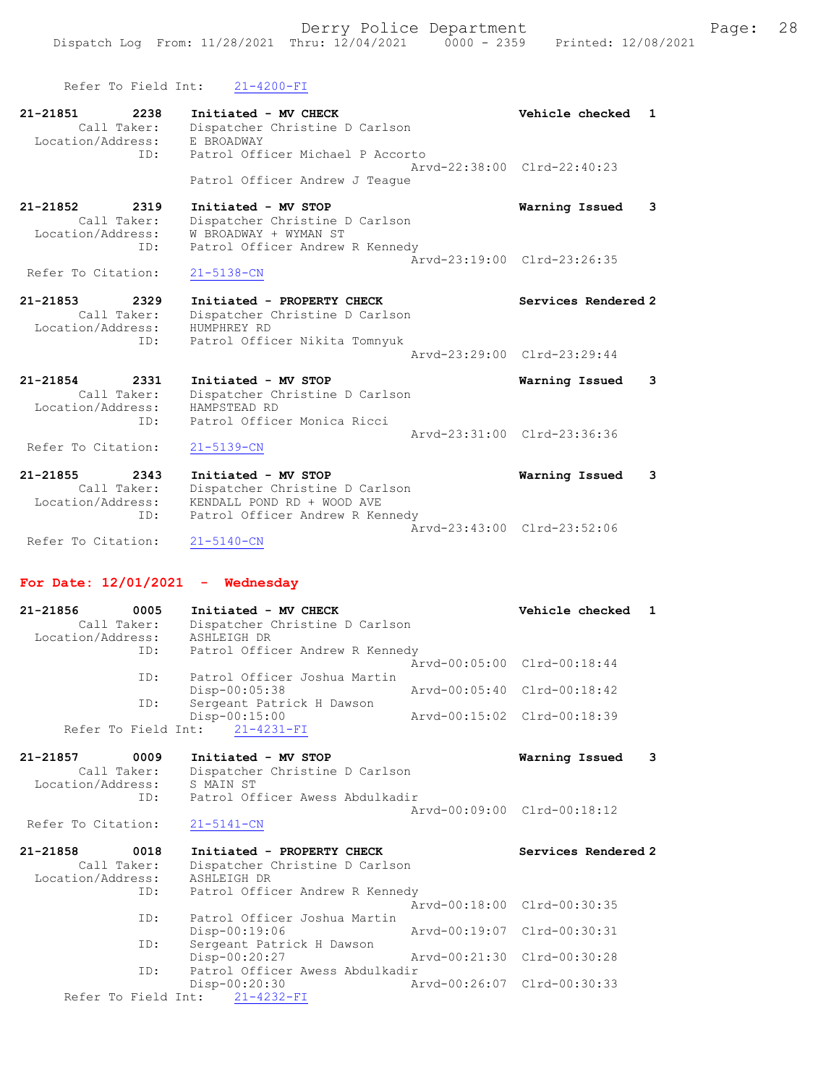| Refer To Field Int:                                             | $21 - 4200 - FI$                                                                                                       |                                                |   |
|-----------------------------------------------------------------|------------------------------------------------------------------------------------------------------------------------|------------------------------------------------|---|
| 21-21851<br>2238<br>Call Taker:<br>Location/Address:<br>TD:     | Initiated - MV CHECK<br>Dispatcher Christine D Carlson<br>E BROADWAY<br>Patrol Officer Michael P Accorto               | Vehicle checked<br>Arvd-22:38:00 Clrd-22:40:23 | 1 |
|                                                                 | Patrol Officer Andrew J Teaque                                                                                         |                                                |   |
| 21-21852<br>2319<br>Call Taker:<br>Location/Address:<br>ID:     | Initiated - MV STOP<br>Dispatcher Christine D Carlson<br>W BROADWAY + WYMAN ST<br>Patrol Officer Andrew R Kennedy      | Warning Issued                                 | 3 |
| Refer To Citation:                                              | $21 - 5138 - CN$                                                                                                       | Arvd-23:19:00 Clrd-23:26:35                    |   |
| $21 - 21853$<br>2329<br>Call Taker:<br>Location/Address:<br>ID: | Initiated - PROPERTY CHECK<br>Dispatcher Christine D Carlson<br>HUMPHREY RD<br>Patrol Officer Nikita Tomnyuk           | Services Rendered 2                            |   |
|                                                                 |                                                                                                                        | Arvd-23:29:00 Clrd-23:29:44                    |   |
| 21-21854<br>2331<br>Call Taker:<br>Location/Address:<br>ID:     | Initiated - MV STOP<br>Dispatcher Christine D Carlson<br>HAMPSTEAD RD<br>Patrol Officer Monica Ricci                   | Warning Issued                                 | 3 |
| Refer To Citation:                                              | $21 - 5139 - CN$                                                                                                       | Aryd-23:31:00 Clrd-23:36:36                    |   |
| 21-21855<br>2343<br>Call Taker:<br>Location/Address:<br>ID:     | Initiated - MV STOP<br>Dispatcher Christine D Carlson<br>KENDALL POND RD + WOOD AVE<br>Patrol Officer Andrew R Kennedy | Warning Issued                                 | 3 |
| Refer To Citation:                                              | $21 - 5140 - CN$                                                                                                       | Arvd-23:43:00 Clrd-23:52:06                    |   |
| For Date: $12/01/2021$ - Wednesday                              |                                                                                                                        |                                                |   |

| 21-21856<br>Call Taker:<br>Location/Address: | 0005 | Initiated - MV CHECK<br>Dispatcher Christine D Carlson<br>ASHLEIGH DR |                             | Vehicle checked 1 |  |
|----------------------------------------------|------|-----------------------------------------------------------------------|-----------------------------|-------------------|--|
|                                              | ID:  | Patrol Officer Andrew R Kennedy                                       |                             |                   |  |
|                                              |      |                                                                       | Arvd-00:05:00 Clrd-00:18:44 |                   |  |
|                                              | ID:  | Patrol Officer Joshua Martin                                          |                             |                   |  |
|                                              |      | $Disp-00:05:38$                                                       | Arvd-00:05:40 Clrd-00:18:42 |                   |  |
|                                              | ID:  | Sergeant Patrick H Dawson                                             |                             |                   |  |
|                                              |      | $Disp-00:15:00$                                                       | Aryd-00:15:02 Clrd-00:18:39 |                   |  |
|                                              |      | Refer To Field Int: 21-4231-FI                                        |                             |                   |  |

| 21-21857          | 0009        | Initiated - MV STOP             |                             | Warning Issued 3 |  |
|-------------------|-------------|---------------------------------|-----------------------------|------------------|--|
|                   | Call Taker: | Dispatcher Christine D Carlson  |                             |                  |  |
| Location/Address: |             | S MAIN ST                       |                             |                  |  |
|                   | ID:         | Patrol Officer Awess Abdulkadir |                             |                  |  |
|                   |             |                                 | Aryd-00:09:00 Clrd-00:18:12 |                  |  |

Refer To Citation: 21-5141-CN

| 21-21858          | 0018 | Initiated - PROPERTY CHECK      | Services Rendered 2         |
|-------------------|------|---------------------------------|-----------------------------|
| Call Taker:       |      | Dispatcher Christine D Carlson  |                             |
| Location/Address: |      | ASHLEIGH DR                     |                             |
|                   | ID:  | Patrol Officer Andrew R Kennedy |                             |
|                   |      |                                 | Arvd-00:18:00 Clrd-00:30:35 |
|                   | ID:  | Patrol Officer Joshua Martin    |                             |
|                   |      | $Disp-00:19:06$                 | Arvd-00:19:07 Clrd-00:30:31 |
|                   | ID:  | Sergeant Patrick H Dawson       |                             |
|                   |      | Disp-00:20:27                   | Arvd-00:21:30 Clrd-00:30:28 |
|                   | ID:  | Patrol Officer Awess Abdulkadir |                             |
|                   |      | Disp-00:20:30                   | Arvd-00:26:07 Clrd-00:30:33 |
|                   |      | Refer To Field Int: 21-4232-FI  |                             |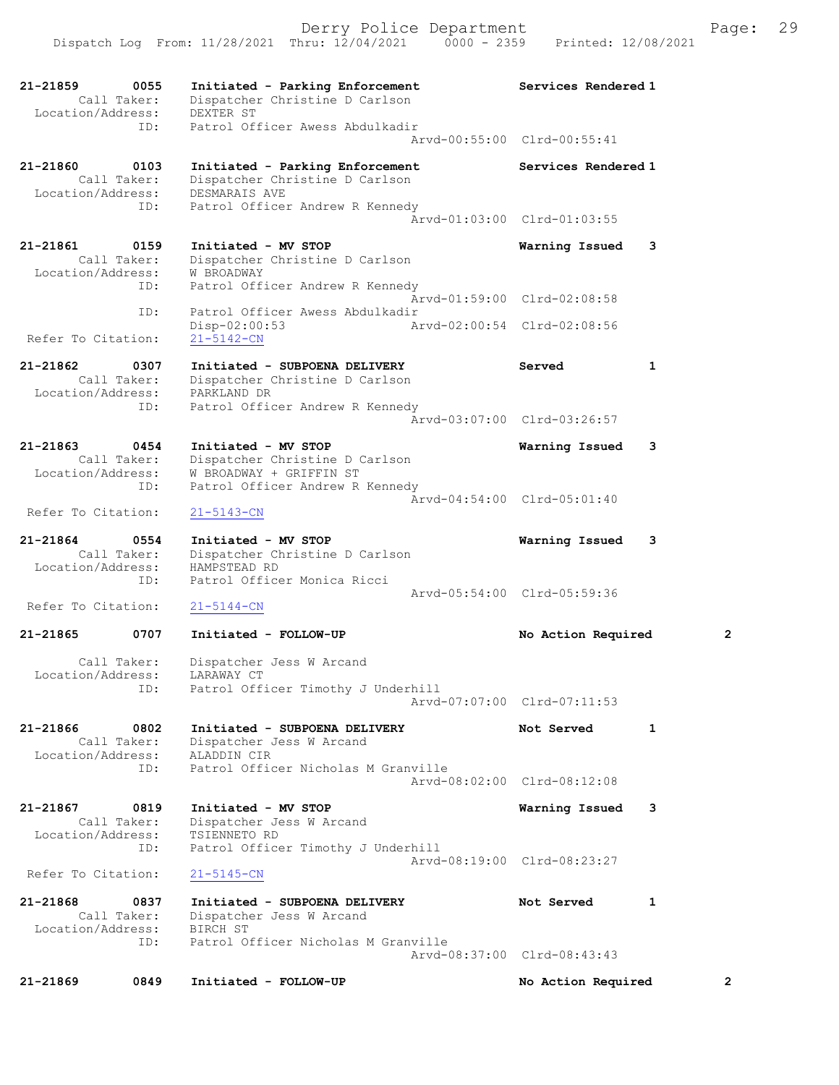| 21-21859<br>0055<br>Call Taker:                             | Initiated - Parking Enforcement<br>Dispatcher Christine D Carlson                                               | Services Rendered 1                           |                |
|-------------------------------------------------------------|-----------------------------------------------------------------------------------------------------------------|-----------------------------------------------|----------------|
| Location/Address:<br>ID:                                    | DEXTER ST<br>Patrol Officer Awess Abdulkadir                                                                    | Arvd-00:55:00 Clrd-00:55:41                   |                |
| 21-21860<br>0103<br>Call Taker:<br>Location/Address:        | Initiated - Parking Enforcement<br>Dispatcher Christine D Carlson<br>DESMARAIS AVE                              | Services Rendered 1                           |                |
| ID:                                                         | Patrol Officer Andrew R Kennedy                                                                                 | Arvd-01:03:00 Clrd-01:03:55                   |                |
| 21-21861<br>0159<br>Call Taker:                             | Initiated - MV STOP<br>Dispatcher Christine D Carlson                                                           | Warning Issued                                | 3              |
| Location/Address:<br>ID:                                    | W BROADWAY<br>Patrol Officer Andrew R Kennedy                                                                   | Arvd-01:59:00 Clrd-02:08:58                   |                |
| ID:<br>Refer To Citation:                                   | Patrol Officer Awess Abdulkadir<br>Disp-02:00:53<br>$21 - 5142 - CN$                                            | Arvd-02:00:54 Clrd-02:08:56                   |                |
| 21-21862<br>0307<br>Call Taker:                             | Initiated - SUBPOENA DELIVERY<br>Dispatcher Christine D Carlson                                                 | Served                                        | 1              |
| Location/Address:<br>ID:                                    | PARKLAND DR<br>Patrol Officer Andrew R Kennedy                                                                  |                                               |                |
| 21-21863<br>0454                                            | Initiated - MV STOP                                                                                             | Arvd-03:07:00 Clrd-03:26:57<br>Warning Issued | 3              |
| Call Taker:<br>Location/Address:<br>ID:                     | Dispatcher Christine D Carlson<br>W BROADWAY + GRIFFIN ST<br>Patrol Officer Andrew R Kennedy                    |                                               |                |
| Refer To Citation:                                          | 21-5143-CN                                                                                                      | Arvd-04:54:00 Clrd-05:01:40                   |                |
| 21-21864<br>0554<br>Call Taker:<br>Location/Address:        | Initiated - MV STOP<br>Dispatcher Christine D Carlson<br>HAMPSTEAD RD                                           | Warning Issued                                | 3              |
| ID:<br>Refer To Citation:                                   | Patrol Officer Monica Ricci<br>21-5144-CN                                                                       | Arvd-05:54:00 Clrd-05:59:36                   |                |
| $21 - 21865$<br>0707                                        | Initiated - FOLLOW-UP                                                                                           | No Action Required                            | $\overline{2}$ |
| Call Taker:<br>Location/Address:                            | Dispatcher Jess W Arcand<br>LARAWAY CT                                                                          |                                               |                |
| ID:                                                         | Patrol Officer Timothy J Underhill                                                                              | Arvd-07:07:00 Clrd-07:11:53                   |                |
| 21-21866<br>0802<br>Call Taker:<br>Location/Address:<br>ID: | Initiated - SUBPOENA DELIVERY<br>Dispatcher Jess W Arcand<br>ALADDIN CIR<br>Patrol Officer Nicholas M Granville | Not Served                                    | 1              |
|                                                             |                                                                                                                 | Arvd-08:02:00 Clrd-08:12:08                   |                |
| 21-21867<br>0819<br>Call Taker:<br>Location/Address:<br>ID: | Initiated - MV STOP<br>Dispatcher Jess W Arcand<br>TSIENNETO RD<br>Patrol Officer Timothy J Underhill           | Warning Issued                                | 3              |
| Refer To Citation:                                          | $21 - 5145 - CN$                                                                                                | Arvd-08:19:00 Clrd-08:23:27                   |                |
| 21-21868<br>0837<br>Call Taker:                             | Initiated - SUBPOENA DELIVERY<br>Dispatcher Jess W Arcand                                                       | Not Served                                    | 1              |
| Location/Address:<br>ID:                                    | BIRCH ST<br>Patrol Officer Nicholas M Granville                                                                 | Arvd-08:37:00 Clrd-08:43:43                   |                |
| 21-21869<br>0849                                            | Initiated - FOLLOW-UP                                                                                           | No Action Required                            | $\mathbf{2}$   |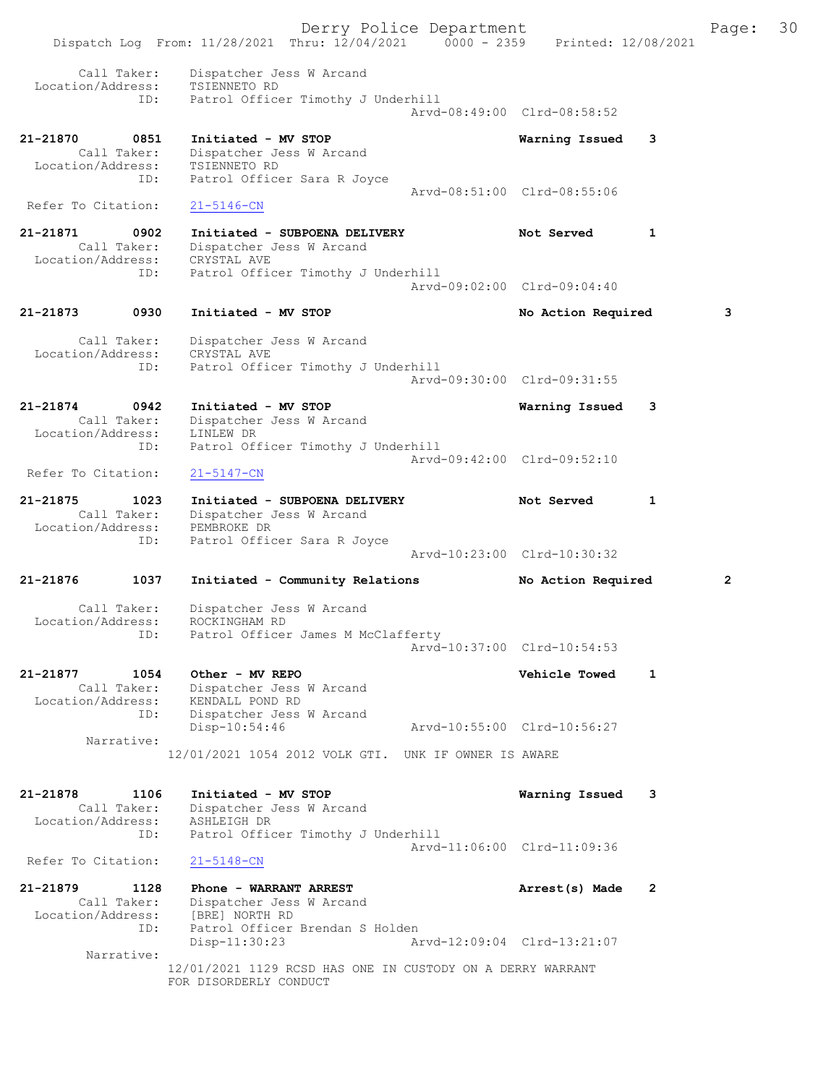Derry Police Department Fage: 30 Dispatch Log From: 11/28/2021 Thru: 12/04/2021 0000 - 2359 Printed: 12/08/2021 Call Taker: Dispatcher Jess W Arcand Location/Address: TSIENNETO RD ID: Patrol Officer Timothy J Underhill Arvd-08:49:00 Clrd-08:58:52 21-21870 0851 Initiated - MV STOP Warning Issued 3 Call Taker: Dispatcher Jess W Arcand Location/Address: TSIENNETO RD ID: Patrol Officer Sara R Joyce Arvd-08:51:00 Clrd-08:55:06 Refer To Citation: 21-5146-CN 21-21871 0902 Initiated - SUBPOENA DELIVERY Not Served 1 Call Taker: Dispatcher Jess W Arcand Location/Address: CRYSTAL AVE ID: Patrol Officer Timothy J Underhill Arvd-09:02:00 Clrd-09:04:40 21-21873 0930 Initiated - MV STOP No Action Required 3 Call Taker: Dispatcher Jess W Arcand Location/Address: CRYSTAL AVE ID: Patrol Officer Timothy J Underhill Arvd-09:30:00 Clrd-09:31:55 21-21874 0942 Initiated - MV STOP Warning Issued 3 Call Taker: Dispatcher Jess W Arcand Location/Address: LINLEW DR ID: Patrol Officer Timothy J Underhill Arvd-09:42:00 Clrd-09:52:10<br>21-5147-CN Refer To Citation: 21-21875 1023 Initiated - SUBPOENA DELIVERY Not Served 1 Call Taker: Dispatcher Jess W Arcand Location/Address: PEMBROKE DR ID: Patrol Officer Sara R Joyce Arvd-10:23:00 Clrd-10:30:32 21-21876 1037 Initiated - Community Relations No Action Required 2 Call Taker: Dispatcher Jess W Arcand Location/Address: ROCKINGHAM RD ID: Patrol Officer James M McClafferty Arvd-10:37:00 Clrd-10:54:53 21-21877 1054 Other - MV REPO Vehicle Towed 1 Call Taker: Dispatcher Jess W Arcand Location/Address: KENDALL POND RD ID: Dispatcher Jess W Arcand Disp-10:54:46 Arvd-10:55:00 Clrd-10:56:27 Narrative: 12/01/2021 1054 2012 VOLK GTI. UNK IF OWNER IS AWARE 21-21878 1106 Initiated - MV STOP Warning Issued 3 Call Taker: Dispatcher Jess W Arcand Location/Address: ASHLEIGH DR ID: Patrol Officer Timothy J Underhill Arvd-11:06:00 Clrd-11:09:36 Refer To Citation: 21-5148-CN 21-21879 1128 Phone - WARRANT ARREST 21-21879 Arrest(s) Made 2 Call Taker: Dispatcher Jess W Arcand Location/Address: [BRE] NORTH RD ID: Patrol Officer Brendan S Holden<br>Disp-11:30:23 Ar Disp-11:30:23 Arvd-12:09:04 Clrd-13:21:07 Narrative: 12/01/2021 1129 RCSD HAS ONE IN CUSTODY ON A DERRY WARRANT FOR DISORDERLY CONDUCT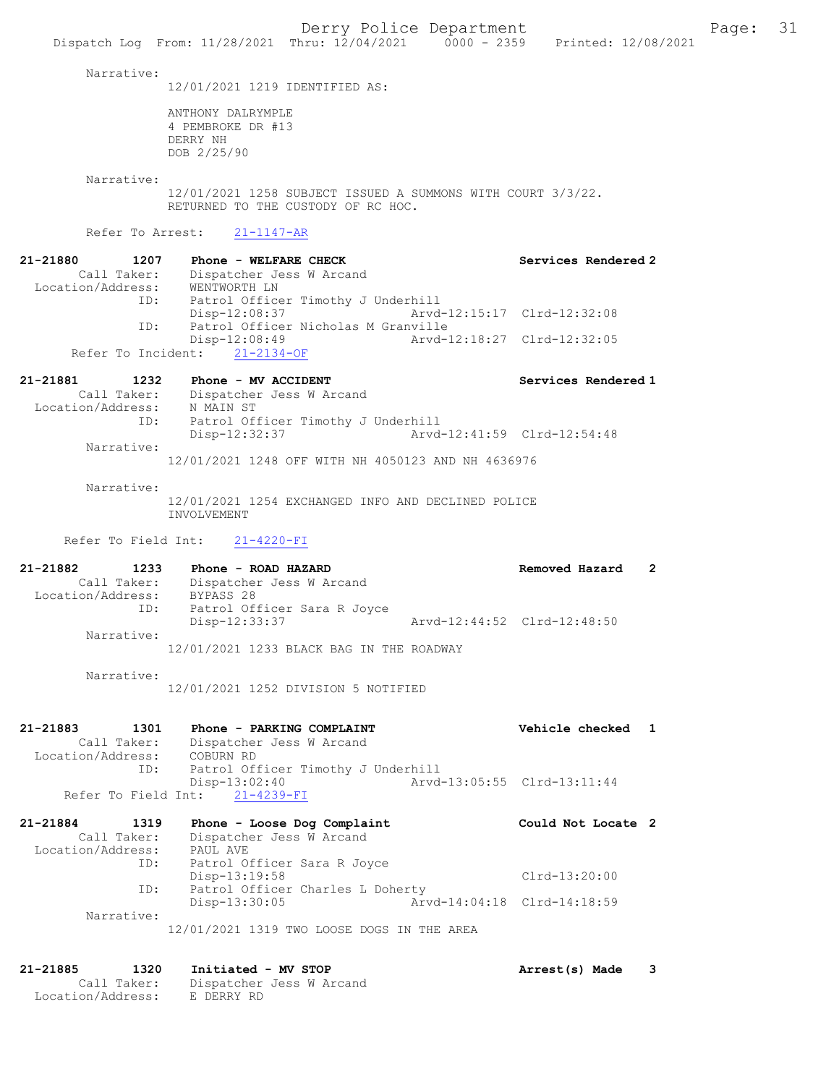Narrative:

12/01/2021 1219 IDENTIFIED AS:

ANTHONY DALRYMPLE 4 PEMBROKE DR #13 DERRY NH DOB 2/25/90

 Narrative: 12/01/2021 1258 SUBJECT ISSUED A SUMMONS WITH COURT 3/3/22. RETURNED TO THE CUSTODY OF RC HOC.

Refer To Arrest: 21-1147-AR

| 21-21880          | 1207        | Phone - WELFARE CHECK         | Services Rendered 2                 |
|-------------------|-------------|-------------------------------|-------------------------------------|
|                   | Call Taker: | Dispatcher Jess W Arcand      |                                     |
| Location/Address: |             | WENTWORTH LN                  |                                     |
|                   | ID:         |                               | Patrol Officer Timothy J Underhill  |
|                   |             | Disp-12:08:37                 |                                     |
|                   | ID:         |                               | Patrol Officer Nicholas M Granville |
|                   |             | $Disp-12:08:49$               | Arvd-12:18:27 Clrd-12:32:05         |
|                   |             | Refer To Incident: 21-2134-OF |                                     |

| 21-21881          | 1232        | Phone - MV ACCIDENT                |                             | Services Rendered 1 |
|-------------------|-------------|------------------------------------|-----------------------------|---------------------|
|                   | Call Taker: | Dispatcher Jess W Arcand           |                             |                     |
| Location/Address: |             | N MAIN ST                          |                             |                     |
|                   | ID:         | Patrol Officer Timothy J Underhill |                             |                     |
|                   |             | Disp-12:32:37                      | Arvd-12:41:59 Clrd-12:54:48 |                     |
|                   | Narrative:  |                                    |                             |                     |

12/01/2021 1248 OFF WITH NH 4050123 AND NH 4636976

Narrative:

12/01/2021 1254 EXCHANGED INFO AND DECLINED POLICE INVOLVEMENT

Refer To Field Int: 21-4220-FI

| 21-21882          | 1233        | Phone - ROAD HAZARD                      |  |  |                             | Removed Hazard |  |
|-------------------|-------------|------------------------------------------|--|--|-----------------------------|----------------|--|
|                   | Call Taker: | Dispatcher Jess W Arcand                 |  |  |                             |                |  |
| Location/Address: |             | BYPASS 28                                |  |  |                             |                |  |
|                   | ID:         | Patrol Officer Sara R Joyce              |  |  |                             |                |  |
|                   |             | Disp-12:33:37                            |  |  | Arvd-12:44:52 Clrd-12:48:50 |                |  |
|                   | Narrative:  |                                          |  |  |                             |                |  |
|                   |             | 12/01/2021 1233 BLACK BAG IN THE ROADWAY |  |  |                             |                |  |

Narrative:

12/01/2021 1252 DIVISION 5 NOTIFIED

| 21-21883          | 1301        |                                | Phone - PARKING COMPLAINT          |                             | Vehicle checked 1 |  |
|-------------------|-------------|--------------------------------|------------------------------------|-----------------------------|-------------------|--|
|                   | Call Taker: |                                | Dispatcher Jess W Arcand           |                             |                   |  |
| Location/Address: |             | COBURN RD                      |                                    |                             |                   |  |
|                   | ID:         |                                | Patrol Officer Timothy J Underhill |                             |                   |  |
|                   |             | Disp-13:02:40                  |                                    | Arvd-13:05:55 Clrd-13:11:44 |                   |  |
|                   |             | Refer To Field Int: 21-4239-FI |                                    |                             |                   |  |

| 21-21884          | 1319        | Phone - Loose Dog Complaint                | Could Not Locate 2          |
|-------------------|-------------|--------------------------------------------|-----------------------------|
|                   | Call Taker: | Dispatcher Jess W Arcand                   |                             |
| Location/Address: |             | PAUL AVE                                   |                             |
|                   | ID:         | Patrol Officer Sara R Joyce                |                             |
|                   |             | $Disp-13:19:58$                            | Clrd-13:20:00               |
|                   | ID:         | Patrol Officer Charles L Doherty           |                             |
|                   |             | Disp-13:30:05                              | Arvd-14:04:18 Clrd-14:18:59 |
|                   | Narrative:  |                                            |                             |
|                   |             | 12/01/2021 1319 TWO LOOSE DOGS IN THE AREA |                             |

21-21885 1320 Initiated - MV STOP Arrest(s) Made 3 Call Taker: Dispatcher Jess W Arcand Location/Address: E DERRY RD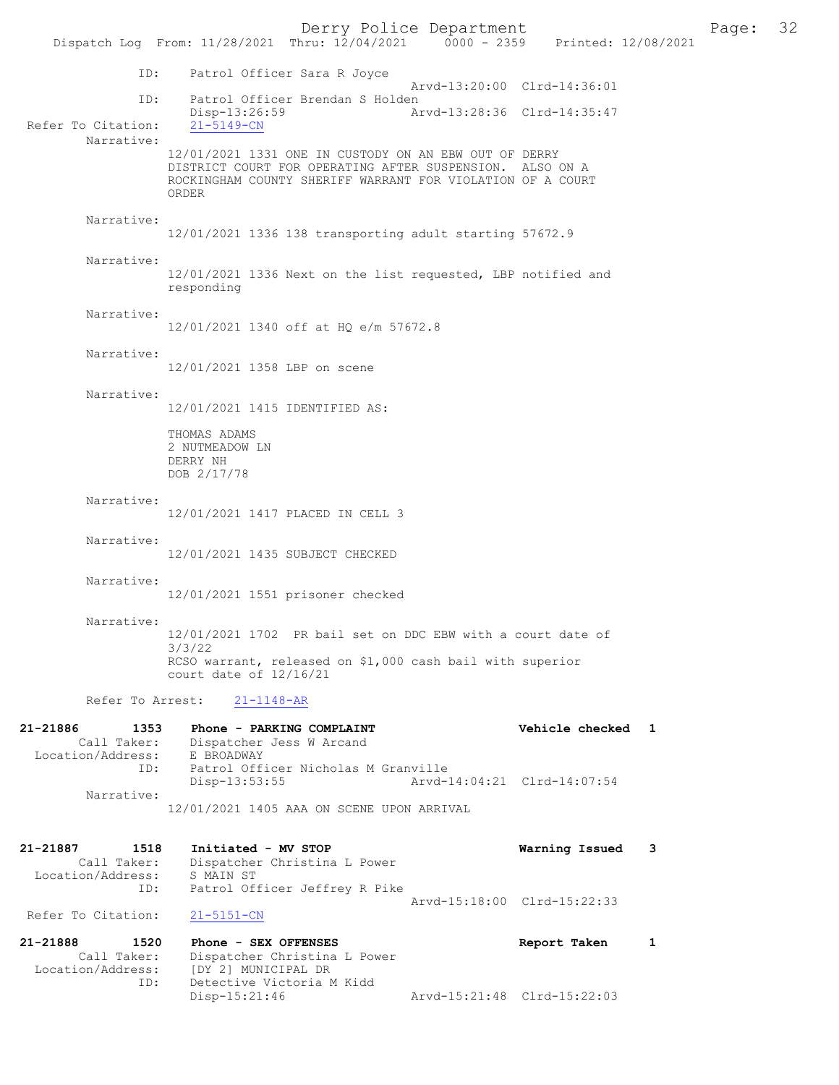Derry Police Department<br>
Page: 32<br>
Printed: 12/08/2021<br>
Printed: 12/08/2021 Dispatch Log From: 11/28/2021 Thru: 12/04/2021 ID: Patrol Officer Sara R Joyce Arvd-13:20:00 Clrd-14:36:01 ID: Patrol Officer Brendan S Holden<br>Disp-13:26:59 A Disp-13:26:59 Arvd-13:28:36 Clrd-14:35:47 Refer To Citation: Narrative: 12/01/2021 1331 ONE IN CUSTODY ON AN EBW OUT OF DERRY DISTRICT COURT FOR OPERATING AFTER SUSPENSION. ALSO ON A ROCKINGHAM COUNTY SHERIFF WARRANT FOR VIOLATION OF A COURT ORDER Narrative: 12/01/2021 1336 138 transporting adult starting 57672.9 Narrative: 12/01/2021 1336 Next on the list requested, LBP notified and responding Narrative: 12/01/2021 1340 off at HQ e/m 57672.8 Narrative: 12/01/2021 1358 LBP on scene Narrative: 12/01/2021 1415 IDENTIFIED AS: THOMAS ADAMS 2 NUTMEADOW LN DERRY NH DOB 2/17/78 Narrative: 12/01/2021 1417 PLACED IN CELL 3 Narrative: 12/01/2021 1435 SUBJECT CHECKED Narrative: 12/01/2021 1551 prisoner checked Narrative: 12/01/2021 1702 PR bail set on DDC EBW with a court date of 3/3/22 RCSO warrant, released on \$1,000 cash bail with superior court date of 12/16/21 Refer To Arrest: 21-1148-AR 21-21886 1353 Phone - PARKING COMPLAINT Vehicle checked 1 Call Taker: Dispatcher Jess W Arcand Location/Address: E BROADWAY ID: Patrol Officer Nicholas M Granville Disp-13:53:55 Arvd-14:04:21 Clrd-14:07:54 Narrative: 12/01/2021 1405 AAA ON SCENE UPON ARRIVAL 21-21887 1518 Initiated - MV STOP Warning Issued 3 Call Taker: Dispatcher Christina L Power<br>ion/Address: S MAIN ST Location/Address: ID: Patrol Officer Jeffrey R Pike Arvd-15:18:00 Clrd-15:22:33<br>21-5151-CN

21-21888 1520 Phone - SEX OFFENSES Report Taken 1 Call Taker: Dispatcher Christina L Power<br>Location/Address: [DY 2] MUNICIPAL DR [DY 2] MUNICIPAL DR ID: Detective Victoria M Kidd<br>Disp-15:21:46 Disp-15:21:46 Arvd-15:21:48 Clrd-15:22:03

Refer To Citation: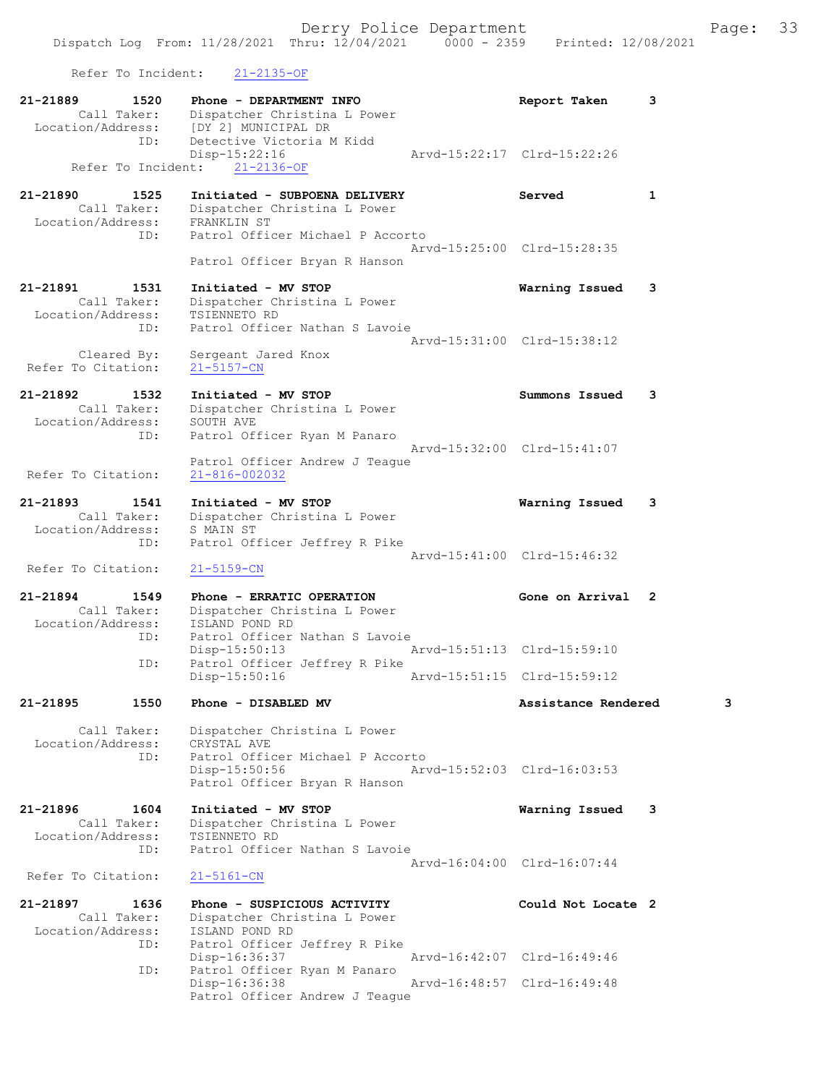Refer To Incident: 21-2135-OF

| 21-21889<br>1520<br>Call Taker:<br>Location/Address:<br>ID: | Phone - DEPARTMENT INFO<br>Dispatcher Christina L Power<br>[DY 2] MUNICIPAL DR<br>Detective Victoria M Kidd                       | Report Taken                | 3            |
|-------------------------------------------------------------|-----------------------------------------------------------------------------------------------------------------------------------|-----------------------------|--------------|
| Refer To Incident:                                          | Disp-15:22:16<br>$21 - 2136 - OF$                                                                                                 | Arvd-15:22:17 Clrd-15:22:26 |              |
| 21-21890<br>1525<br>Call Taker:<br>Location/Address:        | Initiated - SUBPOENA DELIVERY<br>Dispatcher Christina L Power<br>FRANKLIN ST                                                      | Served                      | $\mathbf{1}$ |
| ID:                                                         | Patrol Officer Michael P Accorto                                                                                                  | Arvd-15:25:00 Clrd-15:28:35 |              |
| 21-21891<br>1531                                            | Patrol Officer Bryan R Hanson<br>Initiated - MV STOP                                                                              | Warning Issued              | 3            |
| Call Taker:<br>Location/Address:<br>ID:                     | Dispatcher Christina L Power<br>TSIENNETO RD<br>Patrol Officer Nathan S Lavoie                                                    |                             |              |
| Cleared By:<br>Refer To Citation:                           | Sergeant Jared Knox<br>$21 - 5157 - CN$                                                                                           | Arvd-15:31:00 Clrd-15:38:12 |              |
| 21-21892<br>1532<br>Call Taker:<br>Location/Address:        | Initiated - MV STOP<br>Dispatcher Christina L Power<br>SOUTH AVE                                                                  | Summons Issued              | 3            |
| ID:                                                         | Patrol Officer Ryan M Panaro<br>Patrol Officer Andrew J Teague                                                                    | Arvd-15:32:00 Clrd-15:41:07 |              |
| Refer To Citation:<br>21-21893<br>1541                      | 21-816-002032<br>Initiated - MV STOP                                                                                              | Warning Issued              | 3            |
| Call Taker:<br>Location/Address:<br>ID:                     | Dispatcher Christina L Power<br>S MAIN ST<br>Patrol Officer Jeffrey R Pike                                                        |                             |              |
| Refer To Citation:                                          | $21 - 5159 - CN$                                                                                                                  | Arvd-15:41:00 Clrd-15:46:32 |              |
| 21-21894<br>1549<br>Call Taker:<br>Location/Address:        | Phone - ERRATIC OPERATION<br>Dispatcher Christina L Power<br>ISLAND POND RD                                                       | Gone on Arrival 2           |              |
| ID:<br>ID:                                                  | Patrol Officer Nathan S Lavoie<br>$Disp-15:50:13$<br>Patrol Officer Jeffrey R Pike                                                | Arvd-15:51:13 Clrd-15:59:10 |              |
|                                                             | Disp-15:50:16                                                                                                                     | Arvd-15:51:15 Clrd-15:59:12 |              |
| 21-21895<br>1550                                            | Phone - DISABLED MV                                                                                                               | Assistance Rendered         | з            |
| Call Taker:<br>Location/Address:<br>ID:                     | Dispatcher Christina L Power<br>CRYSTAL AVE<br>Patrol Officer Michael P Accorto<br>Disp-15:50:56<br>Patrol Officer Bryan R Hanson | Arvd-15:52:03 Clrd-16:03:53 |              |
| 21-21896<br>1604<br>Call Taker:<br>Location/Address:        | Initiated - MV STOP<br>Dispatcher Christina L Power<br>TSIENNETO RD                                                               | Warning Issued              | 3            |
| ID:<br>Refer To Citation:                                   | Patrol Officer Nathan S Lavoie<br>$21 - 5161 - CN$                                                                                | Arvd-16:04:00 Clrd-16:07:44 |              |
| 21-21897<br>1636<br>Call Taker:<br>Location/Address:        | Phone - SUSPICIOUS ACTIVITY<br>Dispatcher Christina L Power<br>ISLAND POND RD                                                     | Could Not Locate 2          |              |
| ID:<br>ID:                                                  | Patrol Officer Jeffrey R Pike<br>Disp-16:36:37<br>Patrol Officer Ryan M Panaro                                                    | Arvd-16:42:07 Clrd-16:49:46 |              |
|                                                             | Disp-16:36:38<br>Patrol Officer Andrew J Teague                                                                                   | Arvd-16:48:57 Clrd-16:49:48 |              |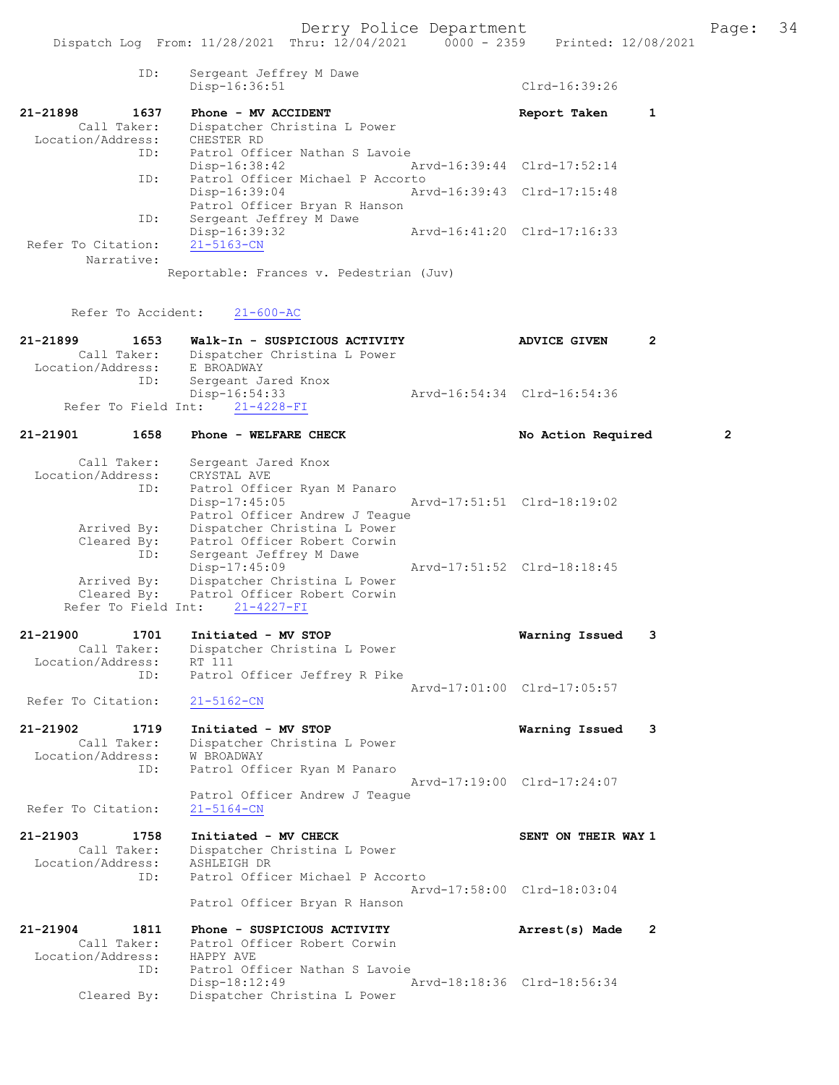|                                                                       | Dispatch Log From: 11/28/2021 Thru: 12/04/2021                                                                                                                                          | $0000 - 2359$<br>Printed: 12/08/2021               |
|-----------------------------------------------------------------------|-----------------------------------------------------------------------------------------------------------------------------------------------------------------------------------------|----------------------------------------------------|
| ID:                                                                   | Sergeant Jeffrey M Dawe<br>Disp-16:36:51                                                                                                                                                | Clrd-16:39:26                                      |
| 21-21898<br>1637<br>Call Taker:<br>Location/Address:                  | Phone - MV ACCIDENT<br>Dispatcher Christina L Power<br>CHESTER RD                                                                                                                       | 1<br>Report Taken                                  |
| ID:                                                                   | Patrol Officer Nathan S Lavoie<br>Disp-16:38:42                                                                                                                                         | Arvd-16:39:44 Clrd-17:52:14                        |
| ID:                                                                   | Patrol Officer Michael P Accorto<br>Disp-16:39:04<br>Patrol Officer Bryan R Hanson                                                                                                      | Arvd-16:39:43 Clrd-17:15:48                        |
| ID:<br>Refer To Citation:                                             | Sergeant Jeffrey M Dawe<br>Disp-16:39:32<br>$21 - 5163 - CN$                                                                                                                            | Arvd-16:41:20 Clrd-17:16:33                        |
| Narrative:                                                            | Reportable: Frances v. Pedestrian (Juv)                                                                                                                                                 |                                                    |
| Refer To Accident:                                                    | $21 - 600 - AC$                                                                                                                                                                         |                                                    |
| 21-21899<br>1653<br>Call Taker:<br>Location/Address:                  | Walk-In - SUSPICIOUS ACTIVITY<br>Dispatcher Christina L Power<br>E BROADWAY                                                                                                             | 2<br><b>ADVICE GIVEN</b>                           |
| ID:<br>Refer To Field Int:                                            | Sergeant Jared Knox<br>Disp-16:54:33<br>$21 - 4228 - FI$                                                                                                                                | Arvd-16:54:34 Clrd-16:54:36                        |
| 21-21901<br>1658                                                      | Phone - WELFARE CHECK                                                                                                                                                                   | 2<br>No Action Required                            |
| Call Taker:<br>Location/Address:<br>ID:<br>Arrived By:<br>Cleared By: | Sergeant Jared Knox<br>CRYSTAL AVE<br>Patrol Officer Ryan M Panaro<br>$Disp-17:45:05$<br>Patrol Officer Andrew J Teaque<br>Dispatcher Christina L Power<br>Patrol Officer Robert Corwin | Arvd-17:51:51 Clrd-18:19:02                        |
| ID:<br>Arrived By:<br>Cleared By:<br>Refer To Field Int:              | Sergeant Jeffrey M Dawe<br>Disp-17:45:09<br>Dispatcher Christina L Power<br>Patrol Officer Robert Corwin<br>$21 - 4227 - FI$                                                            | Arvd-17:51:52 Clrd-18:18:45                        |
| 21-21900<br>1701<br>Call Taker:<br>Location/Address:                  | Initiated - MV STOP<br>Dispatcher Christina L Power<br>RT 111                                                                                                                           | Warning Issued<br>3                                |
| ID:<br>Refer To Citation:                                             | Patrol Officer Jeffrey R Pike<br>$21 - 5162 - CN$                                                                                                                                       | Arvd-17:01:00 Clrd-17:05:57                        |
| 21-21902<br>1719<br>Call Taker:<br>Location/Address:<br>ID:           | Initiated - MV STOP<br>Dispatcher Christina L Power<br>W BROADWAY<br>Patrol Officer Ryan M Panaro                                                                                       | Warning Issued<br>3                                |
| Refer To Citation:                                                    | Patrol Officer Andrew J Teague<br>$21 - 5164 - CN$                                                                                                                                      | Arvd-17:19:00 Clrd-17:24:07                        |
| 21-21903<br>1758<br>Call Taker:<br>Location/Address:<br>ID:           | Initiated - MV CHECK<br>Dispatcher Christina L Power<br>ASHLEIGH DR<br>Patrol Officer Michael P Accorto                                                                                 | SENT ON THEIR WAY 1                                |
|                                                                       | Patrol Officer Bryan R Hanson                                                                                                                                                           | Arvd-17:58:00 Clrd-18:03:04                        |
| 21-21904<br>1811<br>Call Taker:<br>Location/Address:<br>ID:           | Phone - SUSPICIOUS ACTIVITY<br>Patrol Officer Robert Corwin<br>HAPPY AVE<br>Patrol Officer Nathan S Lavoie<br>Disp-18:12:49                                                             | Arrest(s) Made<br>2<br>Arvd-18:18:36 Clrd-18:56:34 |
| Cleared By:                                                           | Dispatcher Christina L Power                                                                                                                                                            |                                                    |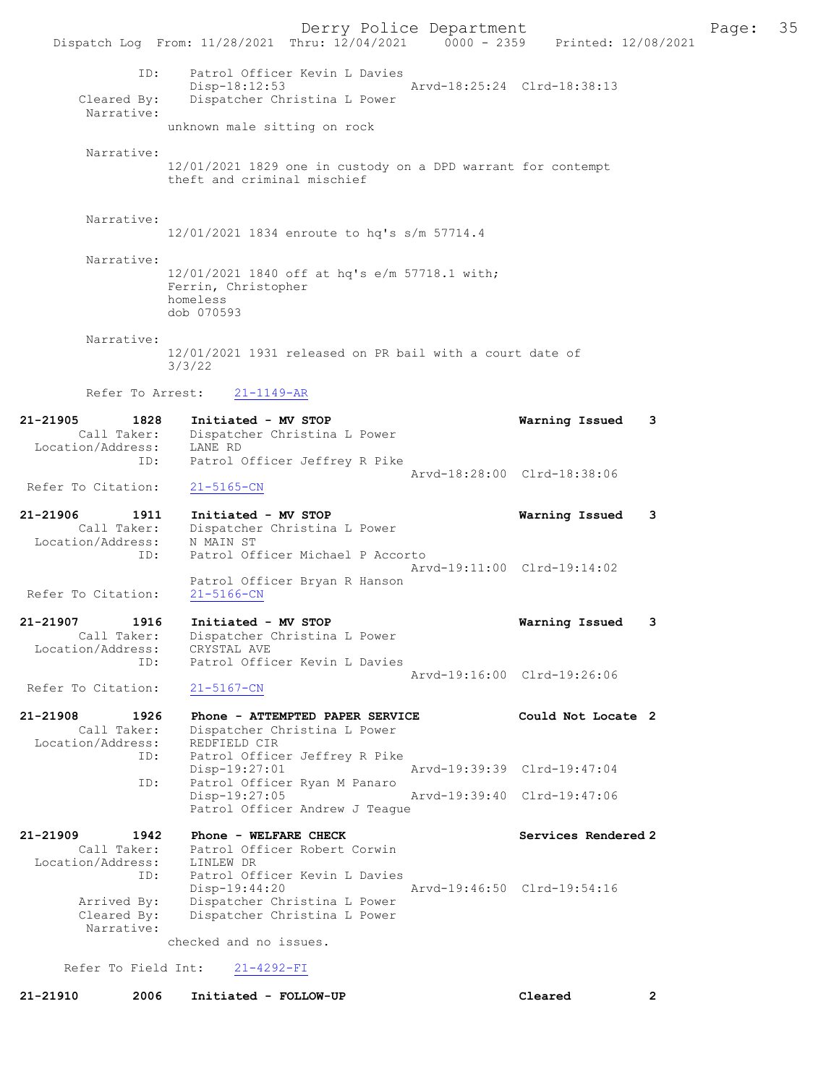Derry Police Department Fage: 35 Dispatch Log From: 11/28/2021 Thru: 12/04/2021 0000 - 2359 Printed: 12/08/2021 ID: Patrol Officer Kevin L Davies Disp-18:12:53 Arvd-18:25:24 Clrd-18:38:13 Cleared By: Dispatcher Christina L Power Narrative: unknown male sitting on rock Narrative: 12/01/2021 1829 one in custody on a DPD warrant for contempt theft and criminal mischief Narrative: 12/01/2021 1834 enroute to hq's s/m 57714.4 Narrative: 12/01/2021 1840 off at hq's e/m 57718.1 with; Ferrin, Christopher homeless dob 070593 Narrative: 12/01/2021 1931 released on PR bail with a court date of 3/3/22 Refer To Arrest: 21-1149-AR 21-21905 1828 Initiated - MV STOP Warning Issued 3 Call Taker: Dispatcher Christina L Power Location/Address: LANE RD ID: Patrol Officer Jeffrey R Pike Arvd-18:28:00 Clrd-18:38:06 Refer To Citation: 21-5165-CN 21-21906 1911 Initiated - MV STOP Warning Issued 3 Call Taker: Dispatcher Christina L Power Location/Address: N MAIN ST ID: Patrol Officer Michael P Accorto Arvd-19:11:00 Clrd-19:14:02 Patrol Officer Bryan R Hanson Refer To Citation: 21-5166-CN 21-21907 1916 Initiated - MV STOP Warning Issued 3 Call Taker: Dispatcher Christina L Power Location/Address: CRYSTAL AVE ID: Patrol Officer Kevin L Davies Arvd-19:16:00 Clrd-19:26:06 Refer To Citation: 21-5167-CN 21-21908 1926 Phone - ATTEMPTED PAPER SERVICE Could Not Locate 2 Call Taker: Dispatcher Christina L Power Location/Address: REDFIELD CIR ID: Patrol Officer Jeffrey R Pike Disp-19:27:01 Arvd-19:39:39 Clrd-19:47:04 ID: Patrol Officer Ryan M Panaro<br>Disp-19:27:05 Disp-19:27:05 Arvd-19:39:40 Clrd-19:47:06 Patrol Officer Andrew J Teague 21-21909 1942 Phone - WELFARE CHECK Services Rendered 2 Call Taker: Patrol Officer Robert Corwin Location/Address: LINLEW DR ID: Patrol Officer Kevin L Davies Disp-19:44:20 Arvd-19:46:50 Clrd-19:54:16 Arrived By: Dispatcher Christina L Power<br>Cleared By: Dispatcher Christina L Power Dispatcher Christina L Power Narrative: checked and no issues. Refer To Field Int: 21-4292-FI

21-21910 2006 Initiated - FOLLOW-UP Cleared 2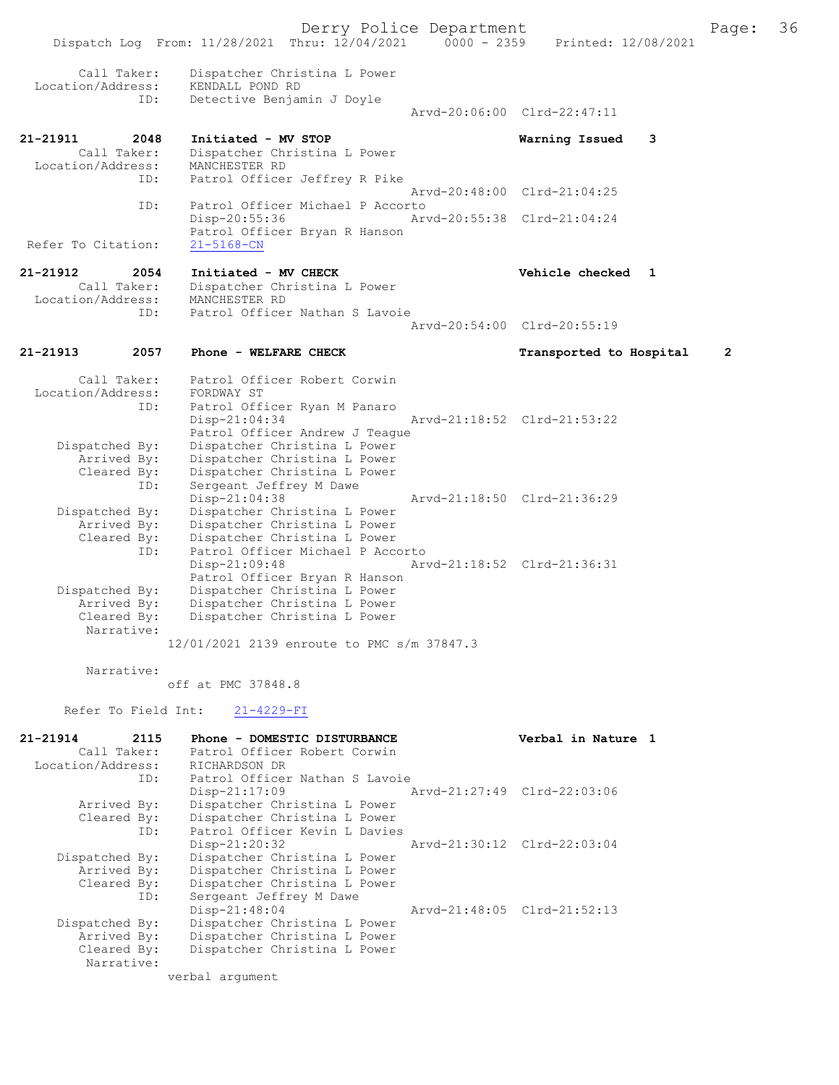Dispatch Log From: 11/28/2021 Thru: 12/04/2021 0000 - 2359 Printed: 12/08/2021 Call Taker: Dispatcher Christina L Power Location/Address: KENDALL POND RD Detective Benjamin J Doyle Arvd-20:06:00 Clrd-22:47:11 21-21911 2048 Initiated - MV STOP Warning Issued 3 Call Taker: Dispatcher Christina L Power Location/Address: MANCHESTER RD ID: Patrol Officer Jeffrey R Pike Arvd-20:48:00 Clrd-21:04:25 ID: Patrol Officer Michael P Accorto Disp-20:55:36 Arvd-20:55:38 Clrd-21:04:24 Patrol Officer Bryan R Hanson<br>21-5168-CN Refer To Citation: 21-21912 2054 Initiated - MV CHECK Vehicle checked 1 Call Taker: Dispatcher Christina L Power Location/Address: MANCHESTER RD<br>TD: Patrol Officer Patrol Officer Nathan S Lavoie Arvd-20:54:00 Clrd-20:55:19 21-21913 2057 Phone - WELFARE CHECK Transported to Hospital 2 Call Taker: Patrol Officer Robert Corwin<br>ion/Address: FORDWAY ST Location/Address: ID: Patrol Officer Ryan M Panaro<br>Disp-21:04:34 Arvd-21:18:52 Clrd-21:53:22 Patrol Officer Andrew J Teague Dispatched By: Dispatcher Christina L Power Arrived By: Dispatcher Christina L Power Cleared By: Dispatcher Christina L Power<br>ID: Sergeant Jeffrey M Dawe Sergeant Jeffrey M Dawe<br>Disp-21:04:38 Disp-21:04:38 Arvd-21:18:50 Clrd-21:36:29 Dispatched By: Dispatcher Christina L Power Arrived By: Dispatcher Christina L Power Cleared By: Dispatcher Christina L Power ID: Patrol Officer Michael P Accorto<br>Disp-21:09:48 Ary Arvd-21:18:52 Clrd-21:36:31 Patrol Officer Bryan R Hanson<br>Dispatched By: Dispatcher Christina L Power patched By: Dispatcher Christina L Power<br>Arrived By: Dispatcher Christina L Power Arrived By: Dispatcher Christina L Power<br>Cleared By: Dispatcher Christina L Power Dispatcher Christina L Power Narrative: 12/01/2021 2139 enroute to PMC s/m 37847.3 Narrative: off at PMC 37848.8 Refer To Field Int: 21-4229-FI 21-21914 2115 Phone - DOMESTIC DISTURBANCE Verbal in Nature 1<br>Call Taker: Patrol Officer Robert Corwin Call Taker: Patrol Officer Robert Corwin Location/Address: RICHARDSON DR ID: Patrol Officer Nathan S Lavoie<br>Disp-21:17:09 1 Disp-21:17:09 Arvd-21:27:49 Clrd-22:03:06<br>Arrived By: Dispatcher Christina L Power Dispatcher Christina L Power Cleared By: Dispatcher Christina L Power ID: Patrol Officer Kevin L Davies Disp-21:20:32 Arvd-21:30:12 Clrd-22:03:04<br>Dispatched By: Dispatcher Christina L Power Dispatcher Christina L Power Arrived By: Dispatcher Christina L Power<br>Cleared By: Dispatcher Christina L Power By: Dispatcher Christina L Power<br>ID: Sergeant Jeffrey M Dawe Sergeant Jeffrey M Dawe<br>Disp-21:48:04 Disp-21:48:04 Arvd-21:48:05 Clrd-21:52:13<br>Dispatched By: Dispatcher Christina L Power patched By: Dispatcher Christina L Power<br>Arrived By: Dispatcher Christina L Power Arrived By: Dispatcher Christina L Power<br>Cleared By: Dispatcher Christina L Power Dispatcher Christina L Power Narrative:

verbal argument

Derry Police Department The Page: 36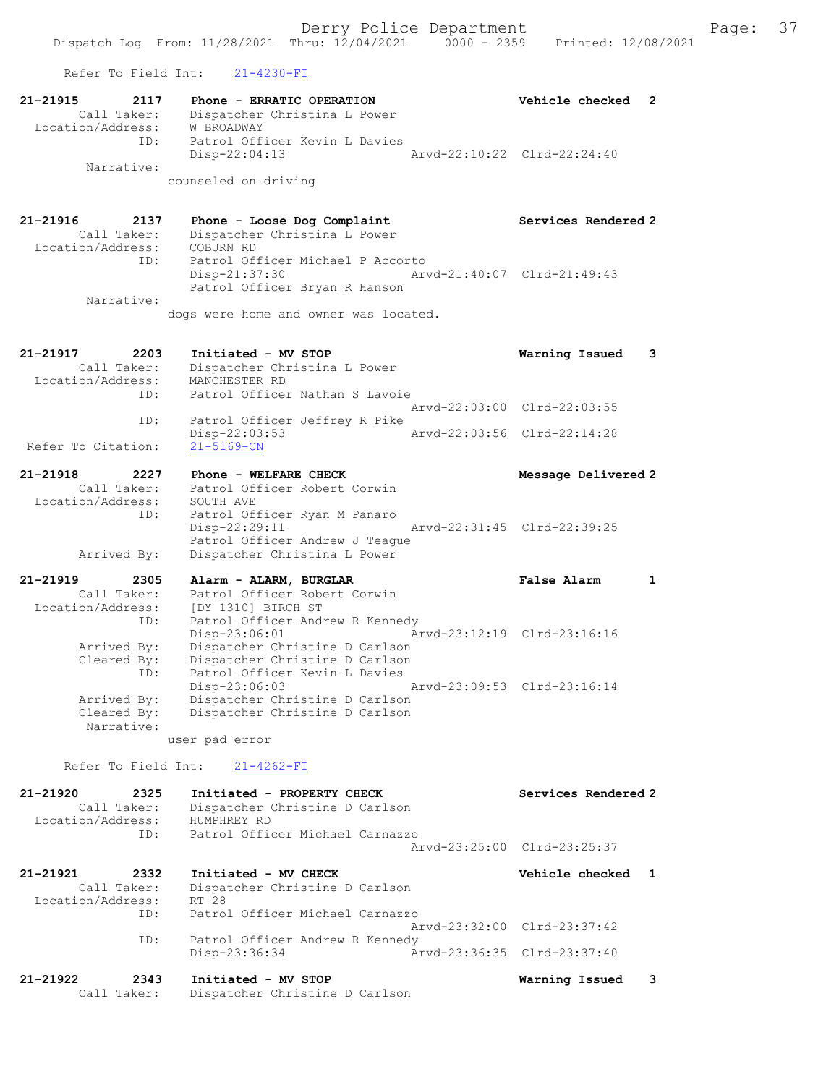Refer To Field Int: 21-4230-FI

| 21-21915<br>2117<br>Call Taker:                      | Phone - ERRATIC OPERATION<br>Dispatcher Christina L Power                                                              | Vehicle checked             | 2            |
|------------------------------------------------------|------------------------------------------------------------------------------------------------------------------------|-----------------------------|--------------|
| Location/Address:<br>ID:<br>Narrative:               | <b>W BROADWAY</b><br>Patrol Officer Kevin L Davies<br>Disp-22:04:13                                                    | Arvd-22:10:22 Clrd-22:24:40 |              |
|                                                      | counseled on driving                                                                                                   |                             |              |
| 21-21916<br>2137<br>Call Taker:<br>Location/Address: | Phone - Loose Dog Complaint<br>Dispatcher Christina L Power<br>COBURN RD                                               | Services Rendered 2         |              |
| ID:<br>Narrative:                                    | Patrol Officer Michael P Accorto<br>Disp-21:37:30<br>Patrol Officer Bryan R Hanson                                     | Arvd-21:40:07 Clrd-21:49:43 |              |
|                                                      | dogs were home and owner was located.                                                                                  |                             |              |
| 21-21917<br>2203<br>Call Taker:<br>Location/Address: | Initiated - MV STOP<br>Dispatcher Christina L Power<br>MANCHESTER RD                                                   | Warning Issued              | 3            |
| ID:                                                  | Patrol Officer Nathan S Lavoie                                                                                         | Arvd-22:03:00 Clrd-22:03:55 |              |
| ID:<br>Refer To Citation:                            | Patrol Officer Jeffrey R Pike<br>Disp-22:03:53<br>$21 - 5169 - CN$                                                     | Arvd-22:03:56 Clrd-22:14:28 |              |
| 21-21918<br>2227                                     | Phone - WELFARE CHECK                                                                                                  | Message Delivered 2         |              |
| Call Taker:<br>Location/Address:                     | Patrol Officer Robert Corwin<br>SOUTH AVE                                                                              |                             |              |
| ID:<br>Arrived By:                                   | Patrol Officer Ryan M Panaro<br>Disp-22:29:11<br>Patrol Officer Andrew J Teaque<br>Dispatcher Christina L Power        | Arvd-22:31:45 Clrd-22:39:25 |              |
| 21-21919<br>2305                                     | Alarm - ALARM, BURGLAR                                                                                                 | <b>False Alarm</b>          | $\mathbf{1}$ |
| Call Taker:<br>Location/Address:                     | Patrol Officer Robert Corwin<br>[DY 1310] BIRCH ST                                                                     |                             |              |
| ID:<br>Arrived By:<br>Cleared By:                    | Patrol Officer Andrew R Kennedy<br>$Disp-23:06:01$<br>Dispatcher Christine D Carlson<br>Dispatcher Christine D Carlson | Arvd-23:12:19 Clrd-23:16:16 |              |
| ID:<br>Arrived By:                                   | Patrol Officer Kevin L Davies<br>Disp-23:06:03<br>Dispatcher Christine D Carlson                                       | Arvd-23:09:53 Clrd-23:16:14 |              |
| Cleared By:<br>Narrative:                            | Dispatcher Christine D Carlson                                                                                         |                             |              |
| Refer To Field Int:                                  | user pad error<br>$21 - 4262 - FI$                                                                                     |                             |              |
| 21-21920<br>2325                                     | Initiated - PROPERTY CHECK                                                                                             | Services Rendered 2         |              |
| Call Taker:<br>Location/Address:<br>ID:              | Dispatcher Christine D Carlson<br>HUMPHREY RD<br>Patrol Officer Michael Carnazzo                                       |                             |              |
|                                                      |                                                                                                                        | Arvd-23:25:00 Clrd-23:25:37 |              |
| 21-21921<br>2332<br>Call Taker:<br>Location/Address: | Initiated - MV CHECK<br>Dispatcher Christine D Carlson<br>RT 28                                                        | Vehicle checked 1           |              |
| ID:                                                  | Patrol Officer Michael Carnazzo                                                                                        | Arvd-23:32:00 Clrd-23:37:42 |              |
| ID:                                                  | Patrol Officer Andrew R Kennedy<br>Disp-23:36:34                                                                       | Arvd-23:36:35 Clrd-23:37:40 |              |
| 21-21922<br>2343<br>Call Taker:                      | Initiated - MV STOP<br>Dispatcher Christine D Carlson                                                                  | Warning Issued              | 3            |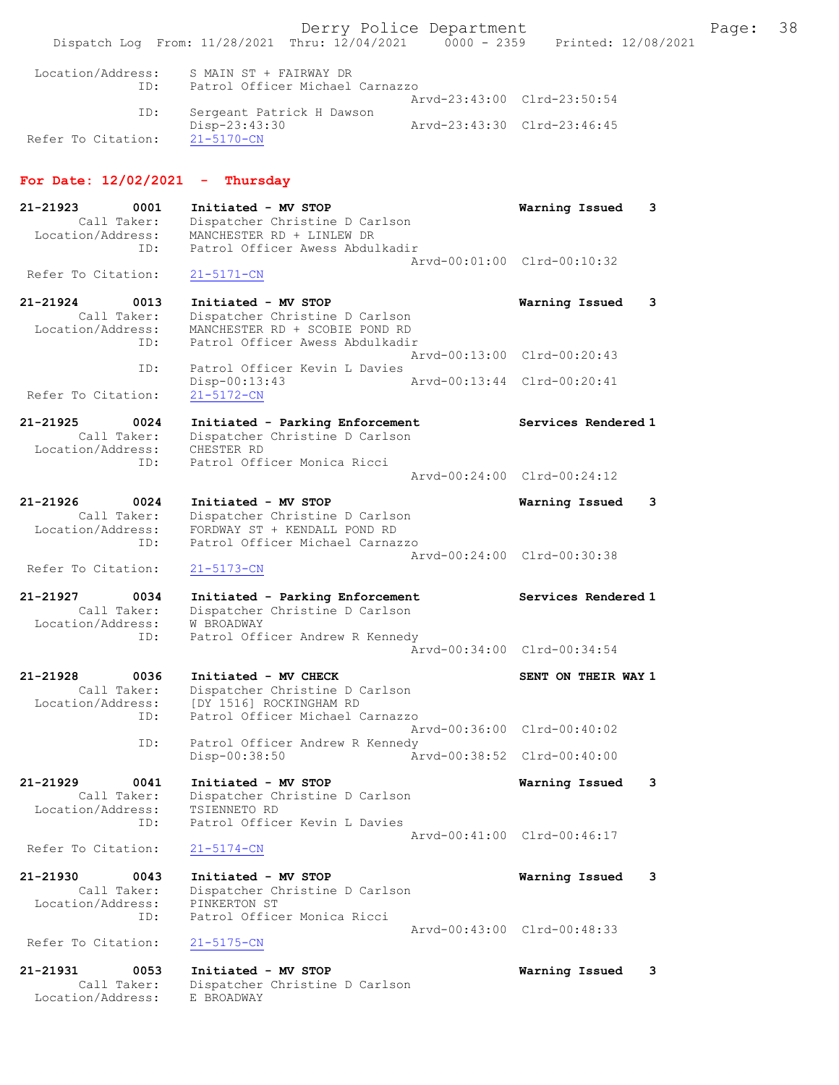Derry Police Department The Page: 38 Dispatch Log From: 11/28/2021 Thru: 12/04/2021 0000 - 2359 Printed: 12/08/2021 Location/Address: S MAIN ST + FAIRWAY DR ID: Patrol Officer Michael Carnazzo Arvd-23:43:00 Clrd-23:50:54<br>TD: Sergeant Patrick H Dawson Sergeant Patrick H Dawson<br>Disp-23:43:30 Disp-23:43:30 Arvd-23:43:30 Clrd-23:46:45 Refer To Citation: For Date: 12/02/2021 - Thursday 21-21923 0001 Initiated - MV STOP Warning Issued 3 Call Taker: Dispatcher Christine D Carlson Location/Address: MANCHESTER RD + LINLEW DR ID: Patrol Officer Awess Abdulkadir Arvd-00:01:00 Clrd-00:10:32<br>21-5171-CN Refer To Citation: 21-21924 0013 Initiated - MV STOP Warning Issued 3 Call Taker: Dispatcher Christine D Carlson Location/Address: MANCHESTER RD + SCOBIE POND RD ID: Patrol Officer Awess Abdulkadir Arvd-00:13:00 Clrd-00:20:43 ID: Patrol Officer Kevin L Davies Disp-00:13:43 Arvd-00:13:44 Clrd-00:20:41 Refer To Citation: 21-21925 0024 Initiated - Parking Enforcement Services Rendered 1 Call Taker: Dispatcher Christine D Carlson Location/Address: CHESTER RD ID: Patrol Officer Monica Ricci Arvd-00:24:00 Clrd-00:24:12 21-21926 0024 Initiated - MV STOP Warning Issued 3 Call Taker: Dispatcher Christine D Carlson Location/Address: FORDWAY ST + KENDALL POND RD ID: Patrol Officer Michael Carnazzo Arvd-00:24:00 Clrd-00:30:38 Refer To Citation: 21-5173-CN 21-21927 0034 Initiated - Parking Enforcement Services Rendered 1 Call Taker: Dispatcher Christine D Carlson Location/Address: W BROADWAY ID: Patrol Officer Andrew R Kennedy Arvd-00:34:00 Clrd-00:34:54 21-21928 0036 Initiated - MV CHECK SENT ON THEIR WAY 1 Call Taker: Dispatcher Christine D Carlson Location/Address: [DY 1516] ROCKINGHAM RD ID: Patrol Officer Michael Carnazzo Arvd-00:36:00 Clrd-00:40:02 ID: Patrol Officer Andrew R Kennedy<br>Disp-00:38:50 Ar Disp-00:38:50 Arvd-00:38:52 Clrd-00:40:00 21-21929 0041 Initiated - MV STOP Warning Issued 3 Call Taker: Dispatcher Christine D Carlson Location/Address: TSIENNETO RD ID: Patrol Officer Kevin L Davies Arvd-00:41:00 Clrd-00:46:17<br>21-5174-CN Refer To Citation: 21-21930 0043 Initiated - MV STOP Warning Issued 3 Call Taker: Dispatcher Christine D Carlson Location/Address: PINKERTON ST ID: Patrol Officer Monica Ricci Arvd-00:43:00 Clrd-00:48:33<br>21-5175-CN Refer To Citation: 21-21931 0053 Initiated - MV STOP **Warning Issued 3**<br>Call Taker: Dispatcher Christine D Carlson Call Taker: Dispatcher Christine D Carlson Location/Address: E BROADWAY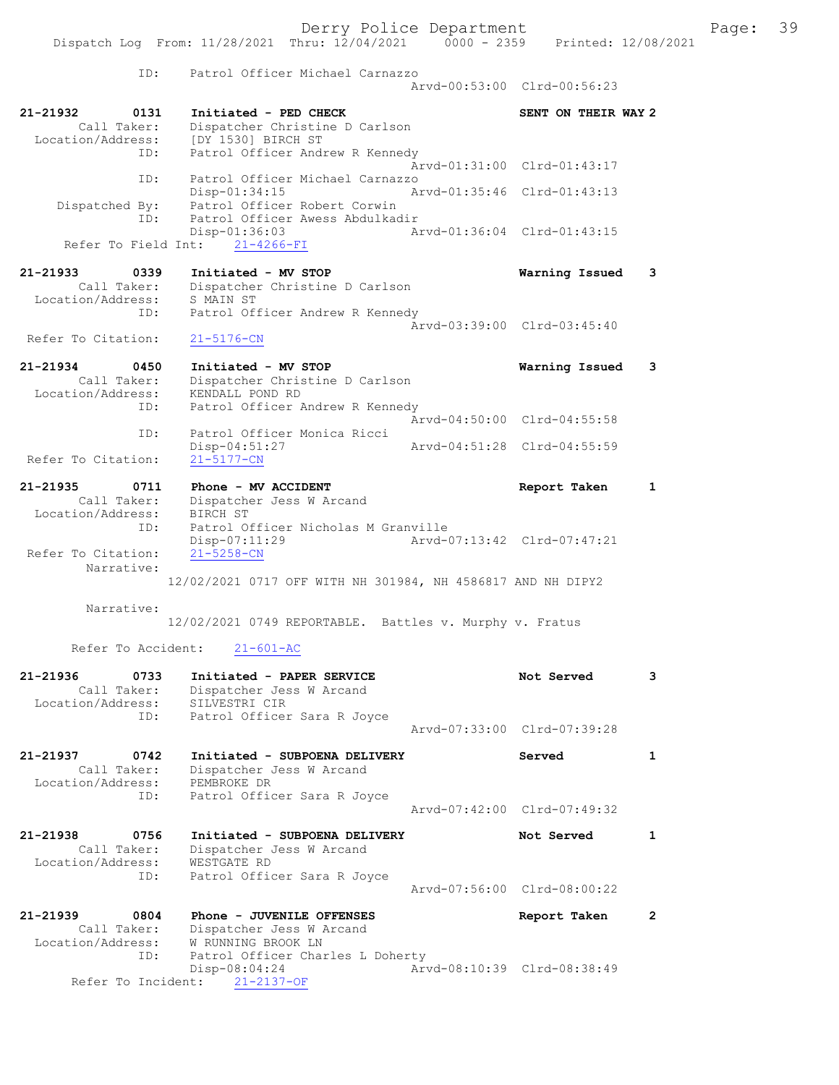|                                                      |                                                                                                   | Derry Police Department     |                             |              | Page: 39 |  |
|------------------------------------------------------|---------------------------------------------------------------------------------------------------|-----------------------------|-----------------------------|--------------|----------|--|
|                                                      | Dispatch Log From: 11/28/2021 Thru: 12/04/2021 0000 - 2359 Printed: 12/08/2021                    |                             |                             |              |          |  |
| ID:                                                  | Patrol Officer Michael Carnazzo                                                                   |                             | Arvd-00:53:00 Clrd-00:56:23 |              |          |  |
| 21-21932<br>0131                                     | Initiated - PED CHECK                                                                             |                             | SENT ON THEIR WAY 2         |              |          |  |
|                                                      | Call Taker: Dispatcher Christine D Carlson<br>Location/Address: [DY 1530] BIRCH ST                |                             |                             |              |          |  |
| ID:                                                  | Patrol Officer Andrew R Kennedy                                                                   |                             | Arvd-01:31:00 Clrd-01:43:17 |              |          |  |
| ID:                                                  | Patrol Officer Michael Carnazzo<br>$Disp-01:34:15$                                                | Arvd-01:35:46 Clrd-01:43:13 |                             |              |          |  |
| ID:                                                  | Dispatched By: Patrol Officer Robert Corwin<br>Patrol Officer Awess Abdulkadir<br>$Disp-01:36:03$ | Arvd-01:36:04 Clrd-01:43:15 |                             |              |          |  |
|                                                      | Refer To Field Int: 21-4266-FI                                                                    |                             |                             |              |          |  |
|                                                      |                                                                                                   |                             | Warning Issued              | 3            |          |  |
| Location/Address: S MAIN ST                          | Call Taker: Dispatcher Christine D Carlson                                                        |                             |                             |              |          |  |
| ID:                                                  | Patrol Officer Andrew R Kennedy                                                                   |                             | Arvd-03:39:00 Clrd-03:45:40 |              |          |  |
| Refer To Citation:                                   | $21 - 5176 - CN$                                                                                  |                             |                             |              |          |  |
|                                                      | 21-21934 0450 Initiated - MV STOP<br>Call Taker: Dispatcher Christine D Carlson                   |                             | Warning Issued              | 3            |          |  |
| Location/Address: KENDALL POND RD<br>ID:             | Patrol Officer Andrew R Kennedy                                                                   |                             | Arvd-04:50:00 Clrd-04:55:58 |              |          |  |
| ID:                                                  | Patrol Officer Monica Ricci<br>Disp-04:51:27                                                      |                             | Arvd-04:51:28 Clrd-04:55:59 |              |          |  |
| Refer To Citation:                                   | $21 - 5177 - CN$                                                                                  |                             |                             |              |          |  |
| 21-21935<br>0711<br>Location/Address: BIRCH ST       | Phone - MV ACCIDENT<br>Call Taker: Dispatcher Jess W Arcand                                       |                             | Report Taken                | $\mathbf{1}$ |          |  |
| ID:<br>Refer To Citation:                            | Patrol Officer Nicholas M Granville<br>$Disp-07:11:29$<br>$21 - 5258 - CN$                        | Arvd-07:13:42 Clrd-07:47:21 |                             |              |          |  |
| Narrative:                                           | 12/02/2021 0717 OFF WITH NH 301984, NH 4586817 AND NH DIPY2                                       |                             |                             |              |          |  |
| Narrative:                                           |                                                                                                   |                             |                             |              |          |  |
|                                                      | 12/02/2021 0749 REPORTABLE. Battles v. Murphy v. Fratus                                           |                             |                             |              |          |  |
| Refer To Accident:                                   | $21 - 601 - AC$                                                                                   |                             |                             |              |          |  |
| 21-21936<br>0733<br>Call Taker:<br>Location/Address: | Initiated - PAPER SERVICE<br>Dispatcher Jess W Arcand<br>SILVESTRI CIR                            |                             | Not Served                  | 3            |          |  |
| ID:                                                  | Patrol Officer Sara R Joyce                                                                       |                             | Arvd-07:33:00 Clrd-07:39:28 |              |          |  |
| 21-21937<br>0742<br>Call Taker:<br>Location/Address: | Initiated - SUBPOENA DELIVERY<br>Dispatcher Jess W Arcand<br>PEMBROKE DR                          |                             | Served                      | 1            |          |  |
| ID:                                                  | Patrol Officer Sara R Joyce                                                                       |                             | Arvd-07:42:00 Clrd-07:49:32 |              |          |  |
| 21-21938<br>0756<br>Call Taker:<br>Location/Address: | Initiated - SUBPOENA DELIVERY<br>Dispatcher Jess W Arcand<br>WESTGATE RD                          |                             | Not Served                  | 1            |          |  |
| ID:                                                  | Patrol Officer Sara R Joyce                                                                       |                             | Arvd-07:56:00 Clrd-08:00:22 |              |          |  |
| 21-21939<br>0804<br>Call Taker:<br>Location/Address: | Phone - JUVENILE OFFENSES<br>Dispatcher Jess W Arcand<br>W RUNNING BROOK LN                       |                             | Report Taken                | $\mathbf{2}$ |          |  |

ID: Patrol Officer Charles L Doherty

Refer To Incident: 21-2137-OF

Disp-08:04:24 Arvd-08:10:39 Clrd-08:38:49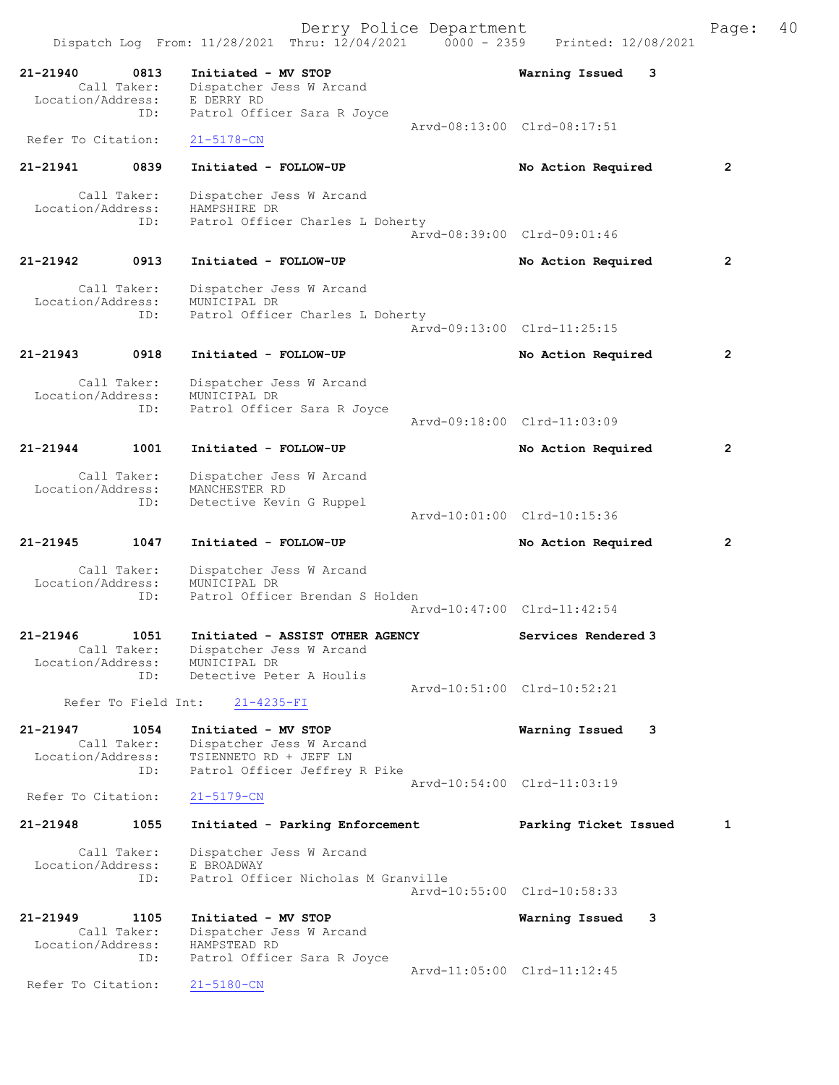Derry Police Department The Page: 40 Dispatch Log From: 11/28/2021 Thru: 12/04/2021 0000 - 2359 Printed: 12/08/2021 21-21940 0813 Initiated - MV STOP Warning Issued 3<br>Call Taker: Dispatcher Jess W Arcand Dispatcher Jess W Arcand<br>E DERRY RD Location/Address:<br>ID: Patrol Officer Sara R Joyce Arvd-08:13:00 Clrd-08:17:51 Refer To Citation: 21-5178-CN 21-21941 0839 Initiated - FOLLOW-UP No Action Required 2 Call Taker: Dispatcher Jess W Arcand Location/Address: HAMPSHIRE DR ID: Patrol Officer Charles L Doherty Arvd-08:39:00 Clrd-09:01:46 21-21942 0913 Initiated - FOLLOW-UP No Action Required 2 Call Taker: Dispatcher Jess W Arcand<br>ion/Address: MUNICIPAL DR Location/Address:<br>ID: Patrol Officer Charles L Doherty Arvd-09:13:00 Clrd-11:25:15 21-21943 0918 Initiated - FOLLOW-UP No Action Required 2 Call Taker: Dispatcher Jess W Arcand Location/Address: MUNICIPAL DR ID: Patrol Officer Sara R Joyce Arvd-09:18:00 Clrd-11:03:09 21-21944 1001 Initiated - FOLLOW-UP No Action Required 2 Call Taker: Dispatcher Jess W Arcand Location/Address: MANCHESTER RD<br>TD: Detective Kevi Detective Kevin G Ruppel Arvd-10:01:00 Clrd-10:15:36 21-21945 1047 Initiated - FOLLOW-UP No Action Required 2 Call Taker: Dispatcher Jess W Arcand Location/Address: MUNICIPAL DR<br>TD: Patrol Office Patrol Officer Brendan S Holden Arvd-10:47:00 Clrd-11:42:54 21-21946 1051 Initiated - ASSIST OTHER AGENCY Services Rendered 3 Call Taker: Dispatcher Jess W Arcand Location/Address: MUNICIPAL DR ID: Detective Peter A Houlis Arvd-10:51:00 Clrd-10:52:21<br>21-4235-FI Refer To Field Int: 21-21947 1054 Initiated - MV STOP Warning Issued 3 Call Taker: Dispatcher Jess W Arcand Location/Address: TSIENNETO RD + JEFF LN ID: Patrol Officer Jeffrey R Pike Arvd-10:54:00 Clrd-11:03:19<br>21-5179-CN Refer To Citation: 21-21948 1055 Initiated - Parking Enforcement Parking Ticket Issued 1 Call Taker: Dispatcher Jess W Arcand Location/Address: E BROADWAY ID: Patrol Officer Nicholas M Granville Arvd-10:55:00 Clrd-10:58:33 21-21949 1105 Initiated - MV STOP Warning Issued 3 Call Taker: Dispatcher Jess W Arcand Location/Address: HAMPSTEAD RD ID: Patrol Officer Sara R Joyce Arvd-11:05:00 Clrd-11:12:45 Refer To Citation: 21-5180-CN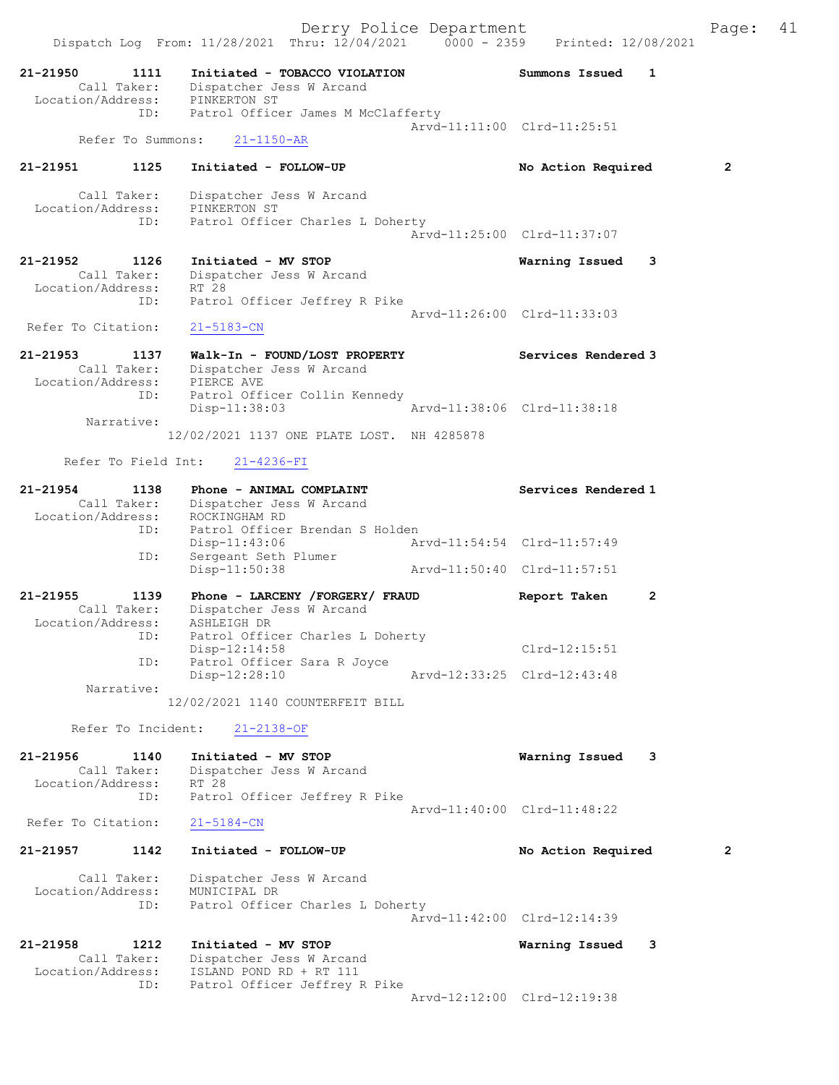21-21950 1111 Initiated - TOBACCO VIOLATION Summons Issued 1 Call Taker: Dispatcher Jess W Arcand Location/Address: PINKERTON ST ID: Patrol Officer James M McClafferty Arvd-11:11:00 Clrd-11:25:51 Refer To Summons: 21-1150-AR 21-21951 1125 Initiated - FOLLOW-UP No Action Required 2 Call Taker: Dispatcher Jess W Arcand Location/Address: PINKERTON ST ID: Patrol Officer Charles L Doherty Arvd-11:25:00 Clrd-11:37:07 21-21952 1126 Initiated - MV STOP Warning Issued 3 Call Taker: Dispatcher Jess W Arcand Location/Address: RT 28 ID: Patrol Officer Jeffrey R Pike Arvd-11:26:00 Clrd-11:33:03 Refer To Citation: 21-5183-CN 21-21953 1137 Walk-In - FOUND/LOST PROPERTY Services Rendered 3 Call Taker: Dispatcher Jess W Arcand Location/Address: PIERCE AVE ID: Patrol Officer Collin Kennedy Disp-11:38:03 Arvd-11:38:06 Clrd-11:38:18 Narrative: 12/02/2021 1137 ONE PLATE LOST. NH 4285878 Refer To Field Int: 21-4236-FI 21-21954 1138 Phone - ANIMAL COMPLAINT Number of Services Rendered 1 Call Taker: Dispatcher Jess W Arcand Location/Address: ROCKINGHAM RD ID: Patrol Officer Brendan S Holden Disp-11:43:06 Arvd-11:54:54 Clrd-11:57:49 ID: Sergeant Seth Plumer Disp-11:50:38 Arvd-11:50:40 Clrd-11:57:51 21-21955 1139 Phone - LARCENY /FORGERY/ FRAUD Report Taken 2 Call Taker: Dispatcher Jess W Arcand Location/Address: ASHLEIGH DR ID: Patrol Officer Charles L Doherty Disp-12:14:58 Clrd-12:15:51 ID: Patrol Officer Sara R Joyce<br>Disp-12:28:10 Disp-12:28:10 Arvd-12:33:25 Clrd-12:43:48 Narrative: 12/02/2021 1140 COUNTERFEIT BILL Refer To Incident: 21-2138-OF 21-21956 1140 Initiated - MV STOP Warning Issued 3 Call Taker: Dispatcher Jess W Arcand Location/Address: RT 28 ID: Patrol Officer Jeffrey R Pike Arvd-11:40:00 Clrd-11:48:22<br>21-5184-CN Refer To Citation: 21-21957 1142 Initiated - FOLLOW-UP No Action Required 2 Call Taker: Dispatcher Jess W Arcand Location/Address: MUNICIPAL DR ID: Patrol Officer Charles L Doherty Arvd-11:42:00 Clrd-12:14:39 21-21958 1212 Initiated - MV STOP Warning Issued 3 Call Taker: Dispatcher Jess W Arcand Location/Address: ISLAND POND RD + RT 111 ID: Patrol Officer Jeffrey R Pike Arvd-12:12:00 Clrd-12:19:38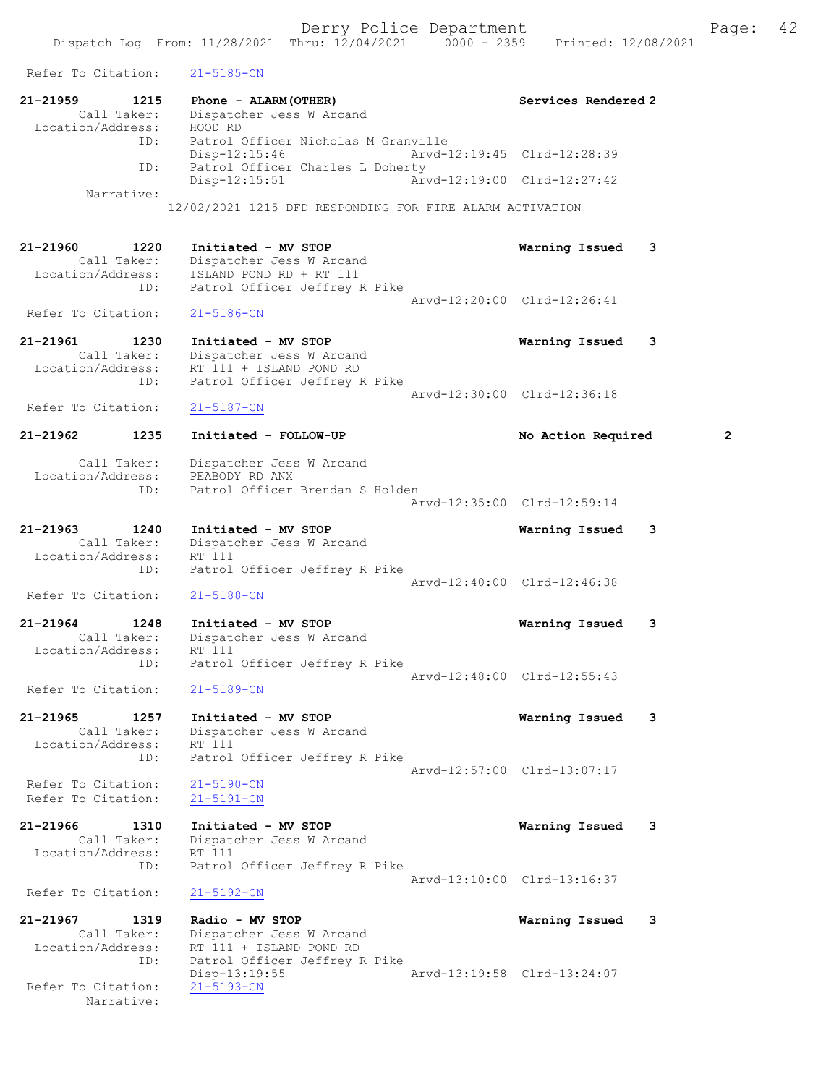Refer To Citation: 21-5185-CN 21-21959 1215 Phone - ALARM(OTHER) Services Rendered 2 Call Taker: Dispatcher Jess W Arcand Location/Address: HOOD RD ID: Patrol Officer Nicholas M Granville Disp-12:15:46 Arvd-12:19:45 Clrd-12:28:39 ID: Patrol Officer Charles L Doherty Disp-12:15:51 Arvd-12:19:00 Clrd-12:27:42 Narrative: 12/02/2021 1215 DFD RESPONDING FOR FIRE ALARM ACTIVATION 21-21960 1220 Initiated - MV STOP Warning Issued 3 Call Taker: Dispatcher Jess W Arcand Location/Address: ISLAND POND RD + RT 111 ID: Patrol Officer Jeffrey R Pike Arvd-12:20:00 Clrd-12:26:41 Refer To Citation: 21-5186-CN 21-21961 1230 Initiated - MV STOP Warning Issued 3 Call Taker: Dispatcher Jess W Arcand Location/Address: RT 111 + ISLAND POND RD ID: Patrol Officer Jeffrey R Pike Patrol Officer Jeffrey R Pike<br>Arvd-12:30:00 Clrd-12:36:18<br>21-5187-CN Refer To Citation: 21-21962 1235 Initiated - FOLLOW-UP No Action Required 2 Call Taker: Dispatcher Jess W Arcand Location/Address: PEABODY RD ANX ID: Patrol Officer Brendan S Holden Arvd-12:35:00 Clrd-12:59:14 21-21963 1240 Initiated - MV STOP Warning Issued 3<br>Call Taker: Dispatcher Jess W Arcand Dispatcher Jess W Arcand<br>RT 111 Location/Address:<br>ID: Patrol Officer Jeffrey R Pike Arvd-12:40:00 Clrd-12:46:38<br>21-5188-CN Refer To Citation: 21-21964 1248 Initiated - MV STOP Warning Issued 3 Call Taker: Dispatcher Jess W Arcand<br>tion/Address: RT 111 Location/Address:<br>In: Patrol Officer Jeffrey R Pike Arvd-12:48:00 Clrd-12:55:43 Refer To Citation: 21-5189-CN 21-21965 1257 Initiated - MV STOP Warning Issued 3 Call Taker: Dispatcher Jess W Arcand Location/Address: RT 111 ess: KT 111<br>ID: Patrol Officer Jeffrey R Pike Arvd-12:57:00 Clrd-13:07:17 Refer To Citation: 21-5190-CN Refer To Citation: 21-5191-CN 21-21966 1310 Initiated - MV STOP Warning Issued 3 Call Taker: Dispatcher Jess W Arcand<br>tion/Address: RT 111 Location/Address: ID: Patrol Officer Jeffrey R Pike Arvd-13:10:00 Clrd-13:16:37<br>21-5192-CN Refer To Citation: 21-21967 1319 Radio - MV STOP Warning Issued 3 Call Taker: Dispatcher Jess W Arcand<br>Location/Address: RT 111 + ISLAND POND RD RT 111 + ISLAND POND RD ...<br>ID: Patrol Officer Jeffrey R Pike<br>Disp-13:19:55 Disp-13:19:55<br>
21-5193-CN<br>
21-5193-CN Refer To Citation:

Narrative: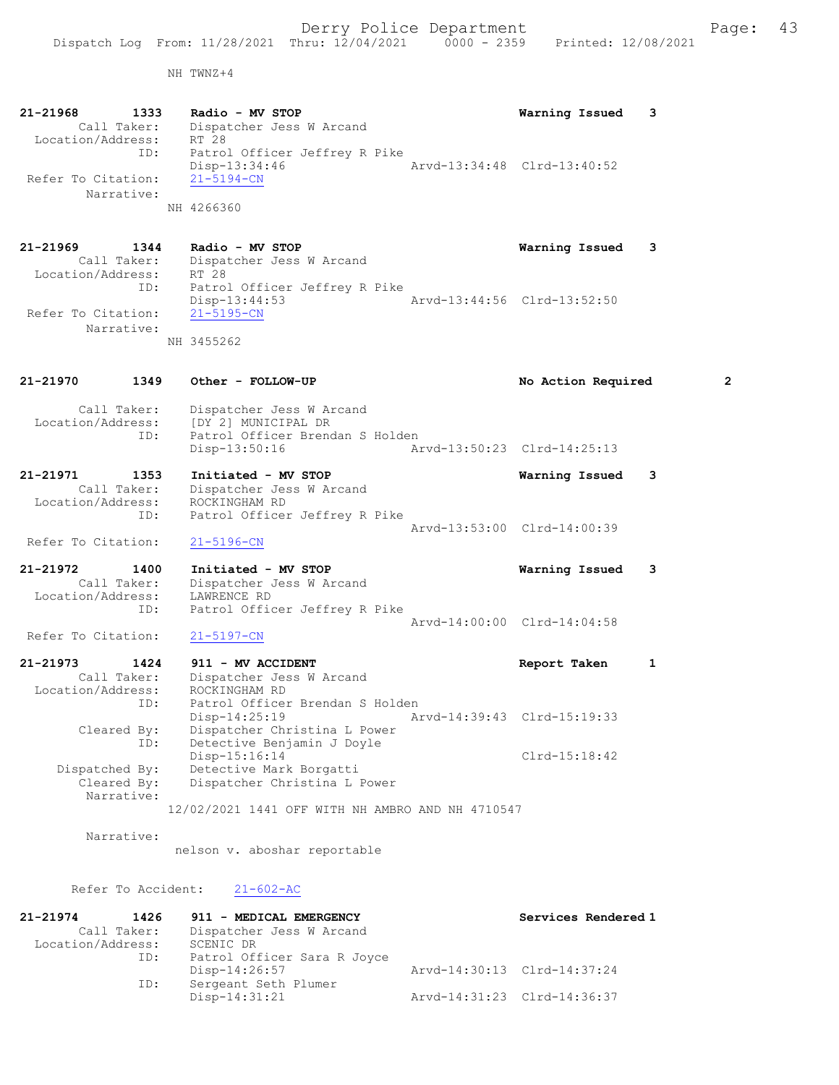NH TWNZ+4

21-21968 1333 Radio - MV STOP Warning Issued 3 Call Taker: Dispatcher Jess W Arcand Location/Address: RT 28 ID: Patrol Officer Jeffrey R Pike Disp-13:34:46 Arvd-13:34:48 Clrd-13:40:52 Refer To Citation: 21-5194-CN Narrative: NH 4266360 21-21969 1344 Radio - MV STOP Warning Issued 3 Call Taker: Dispatcher Jess W Arcand Location/Address: RT 28 ID: Patrol Officer Jeffrey R Pike Disp-13:44:53 Arvd-13:44:56 Clrd-13:52:50 Refer To Citation: 21-5195-CN Narrative: NH 3455262 21-21970 1349 Other - FOLLOW-UP No Action Required 2 Call Taker: Dispatcher Jess W Arcand Location/Address: [DY 2] MUNICIPAL DR ID: Patrol Officer Brendan S Holden<br>Disp-13:50:16 Ar Arvd-13:50:23 Clrd-14:25:13 21-21971 1353 Initiated - MV STOP Warning Issued 3 Call Taker: Dispatcher Jess W Arcand Location/Address: ROCKINGHAM RD ID: Patrol Officer Jeffrey R Pike Arvd-13:53:00 Clrd-14:00:39 Refer To Citation: 21-5196-CN 21-21972 1400 Initiated - MV STOP Warning Issued 3 Call Taker: Dispatcher Jess W Arcand Location/Address: LAWRENCE RD ID: Patrol Officer Jeffrey R Pike Arvd-14:00:00 Clrd-14:04:58<br>21-5197-CN Refer To Citation: 21-21973 1424 911 - MV ACCIDENT Report Taken 1 Call Taker: Dispatcher Jess W Arcand Location/Address: ROCKINGHAM RD ID: Patrol Officer Brendan S Holden Disp-14:25:19 Arvd-14:39:43 Clrd-15:19:33 Cleared By: Dispatcher Christina L Power ID: Detective Benjamin J Doyle Disp-15:16:14 Dispatched By: Detective Mark Borgatti Clrd-15:18:42 Detective Mark Borgatti Cleared By: Dispatcher Christina L Power

12/02/2021 1441 OFF WITH NH AMBRO AND NH 4710547

Narrative:

Narrative:

nelson v. aboshar reportable

Refer To Accident: 21-602-AC

| $21 - 21974$<br>1426 | 911 - MEDICAL EMERGENCY     |                             | Services Rendered 1 |
|----------------------|-----------------------------|-----------------------------|---------------------|
| Call Taker:          | Dispatcher Jess W Arcand    |                             |                     |
| Location/Address:    | SCENIC DR                   |                             |                     |
| ID:                  | Patrol Officer Sara R Joyce |                             |                     |
|                      | $Disp-14:26:57$             | Arvd-14:30:13 Clrd-14:37:24 |                     |
| ID:                  | Sergeant Seth Plumer        |                             |                     |
|                      | $Disp-14:31:21$             | Arvd-14:31:23 Clrd-14:36:37 |                     |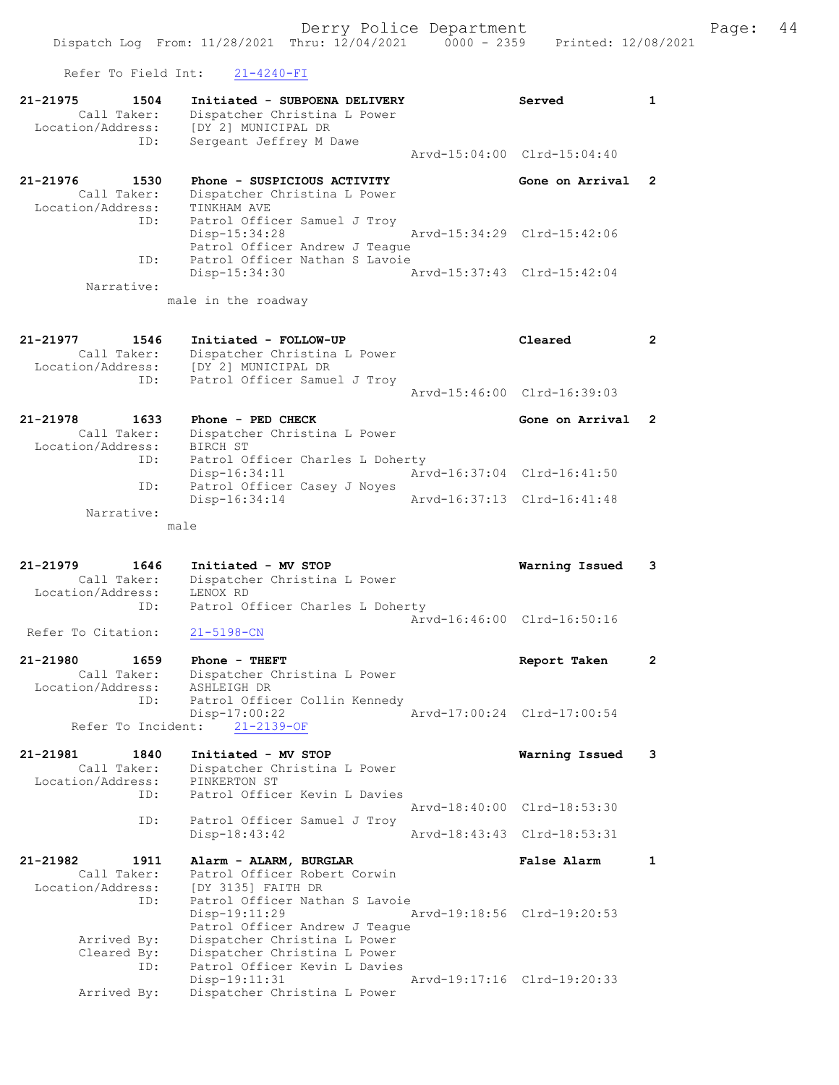Arvd-15:46:00 Clrd-16:39:03



| 21-21978          | 1633        | Phone - PED CHECK                |                             | Gone on Arrival 2           |  |
|-------------------|-------------|----------------------------------|-----------------------------|-----------------------------|--|
|                   | Call Taker: | Dispatcher Christina L Power     |                             |                             |  |
| Location/Address: |             | BIRCH ST                         |                             |                             |  |
|                   | ID:         | Patrol Officer Charles L Doherty |                             |                             |  |
|                   |             | Disp-16:34:11                    | Arvd-16:37:04 Clrd-16:41:50 |                             |  |
|                   | ID:         | Patrol Officer Casey J Noyes     |                             |                             |  |
|                   |             | $Disp-16:34:14$                  |                             | Arvd-16:37:13 Clrd-16:41:48 |  |
|                   | Narrative:  |                                  |                             |                             |  |

male

21-21979 1646 Initiated - MV STOP Warning Issued 3 Call Taker: Dispatcher Christina L Power Location/Address: LENOX RD ID: Patrol Officer Charles L Doherty Arvd-16:46:00 Clrd-16:50:16 Refer To Citation: 21-5198-CN

| 21-21980          | 1659        | Phone - THEFT                 | Report Taken                |  |
|-------------------|-------------|-------------------------------|-----------------------------|--|
|                   | Call Taker: | Dispatcher Christina L Power  |                             |  |
| Location/Address: |             | ASHLEIGH DR                   |                             |  |
|                   | ID:         | Patrol Officer Collin Kennedy |                             |  |
|                   |             | Disp-17:00:22                 | Arvd-17:00:24 Clrd-17:00:54 |  |
|                   |             | Refer To Incident: 21-2139-OF |                             |  |

21-21981 1840 Initiated - MV STOP Warning Issued 3 Call Taker: Dispatcher Christina L Power Location/Address: PINKERTON ST ID: Patrol Officer Kevin L Davies Arvd-18:40:00 Clrd-18:53:30 ID: Patrol Officer Samuel J Troy Disp-18:43:42 Arvd-18:43:43 Clrd-18:53:31 21-21982 1911 Alarm - ALARM, BURGLAR False Alarm 1 Call Taker: Patrol Officer Robert Corwin Location/Address: [DY 3135] FAITH DR ID: Patrol Officer Nathan S Lavoie Disp-19:11:29 Arvd-19:18:56 Clrd-19:20:53 Patrol Officer Andrew J Teague

 Arrived By: Dispatcher Christina L Power Cleared By: Dispatcher Christina L Power ID: Patrol Officer Kevin L Davies Disp-19:11:31 Arvd-19:17:16 Clrd-19:20:33<br>Arrived By: Dispatcher Christina L Power Dispatcher Christina L Power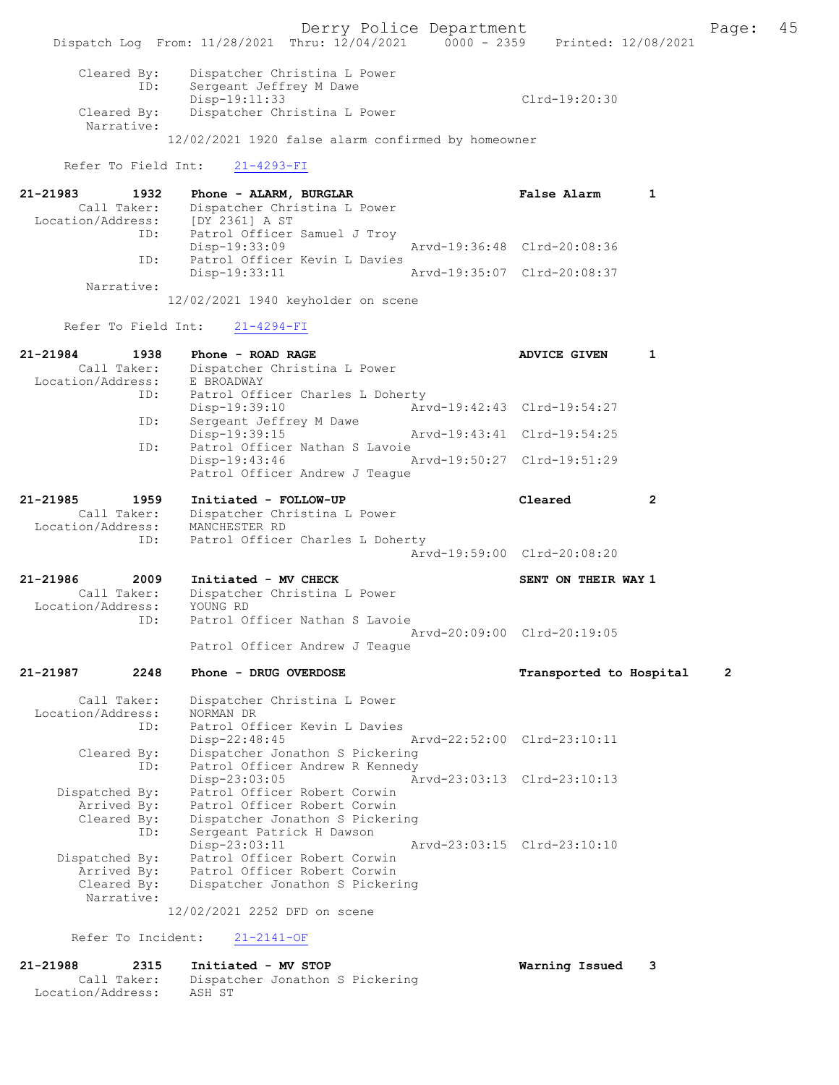Derry Police Department Fage: 45 Dispatch Log From: 11/28/2021 Thru: 12/04/2021 0000 - 2359 Printed: 12/08/2021 Cleared By: Dispatcher Christina L Power ID: Sergeant Jeffrey M Dawe<br>Disp-19:11:33 and the proposition of the proposition of the proposition of the proposition of the proposition of the proposition of the client of the client of the client of the client of the client of the client of the client of the cl Dispatcher Christina L Power Narrative: 12/02/2021 1920 false alarm confirmed by homeowner Refer To Field Int: 21-4293-FI 21-21983 1932 Phone - ALARM, BURGLAR False Alarm 1 Call Taker: Dispatcher Christina L Power<br>Cion/Address: [DY 2361] A ST Location/Address: ID: Patrol Officer Samuel J Troy Disp-19:33:09<br>
D. Patrol Officer Kevin L Davies<br>
D. Patrol Officer Kevin L Davies Patrol Officer Kevin L Davies Disp-19:33:11 Arvd-19:35:07 Clrd-20:08:37 Narrative: 12/02/2021 1940 keyholder on scene Refer To Field Int: 21-4294-FI 21-21984 1938 Phone - ROAD RAGE **ADVICE GIVEN** 1 Call Taker: Dispatcher Christina L Power Location/Address: E BROADWAY ID: Patrol Officer Charles L Doherty<br>Disp-19:39:10 Arv Disp-19:39:10 <br>
Disp-19:39:10 <br>
Dispose arvd-19:42:43 Clrd-19:54:27<br>
Dispose arvd-19:42:43 Clrd-19:54:27 Sergeant Jeffrey M Dawe<br>Disp-19:39:15 Disp-19:39:15 Arvd-19:43:41 Clrd-19:54:25<br>ID: Patrol Officer Nathan S Lavoie Patrol Officer Nathan S Lavoie Disp-19:43:46 Arvd-19:50:27 Clrd-19:51:29 Patrol Officer Andrew J Teague 21-21985 1959 Initiated - FOLLOW-UP Cleared 2 Call Taker: Dispatcher Christina L Power Location/Address: MANCHESTER RD ID: Patrol Officer Charles L Doherty Arvd-19:59:00 Clrd-20:08:20 21-21986 2009 Initiated - MV CHECK NATEL SENT ON THEIR WAY 1 Call Taker: Dispatcher Christina L Power Location/Address: YOUNG RD ID: Patrol Officer Nathan S Lavoie Arvd-20:09:00 Clrd-20:19:05 Patrol Officer Andrew J Teague 21-21987 2248 Phone - DRUG OVERDOSE Transported to Hospital 2 Call Taker: Dispatcher Christina L Power Location/Address: NORMAN DR ID: Patrol Officer Kevin L Davies<br>Disp-22:48:45 Disp-22:48:45 Arvd-22:52:00 Clrd-23:10:11<br>Cleared By: Dispatcher Jonathon S Pickering Cleared By: Dispatcher Jonathon S Pickering ID: Patrol Officer Andrew R Kennedy Disp-23:03:05 Arvd-23:03:13 Clrd-23:10:13 Dispatched By: Patrol Officer Robert Corwin Arrived By: Patrol Officer Robert Corwin Cleared By: Dispatcher Jonathon S Pickering ID: Sergeant Patrick H Dawson Disp-23:03:11 Arvd-23:03:15 Clrd-23:10:10 Dispatched By: Patrol Officer Robert Corwin Arrived By: Patrol Officer Robert Corwin Cleared By: Dispatcher Jonathon S Pickering Narrative: 12/02/2021 2252 DFD on scene

Refer To Incident: 21-2141-OF

| 21-21988          | 2315        | Initiated - MV STOP             |  | Warning Issued | $_{3}$ |
|-------------------|-------------|---------------------------------|--|----------------|--------|
|                   | Call Taker: | Dispatcher Jonathon S Pickering |  |                |        |
| Location/Address: |             | ASH ST                          |  |                |        |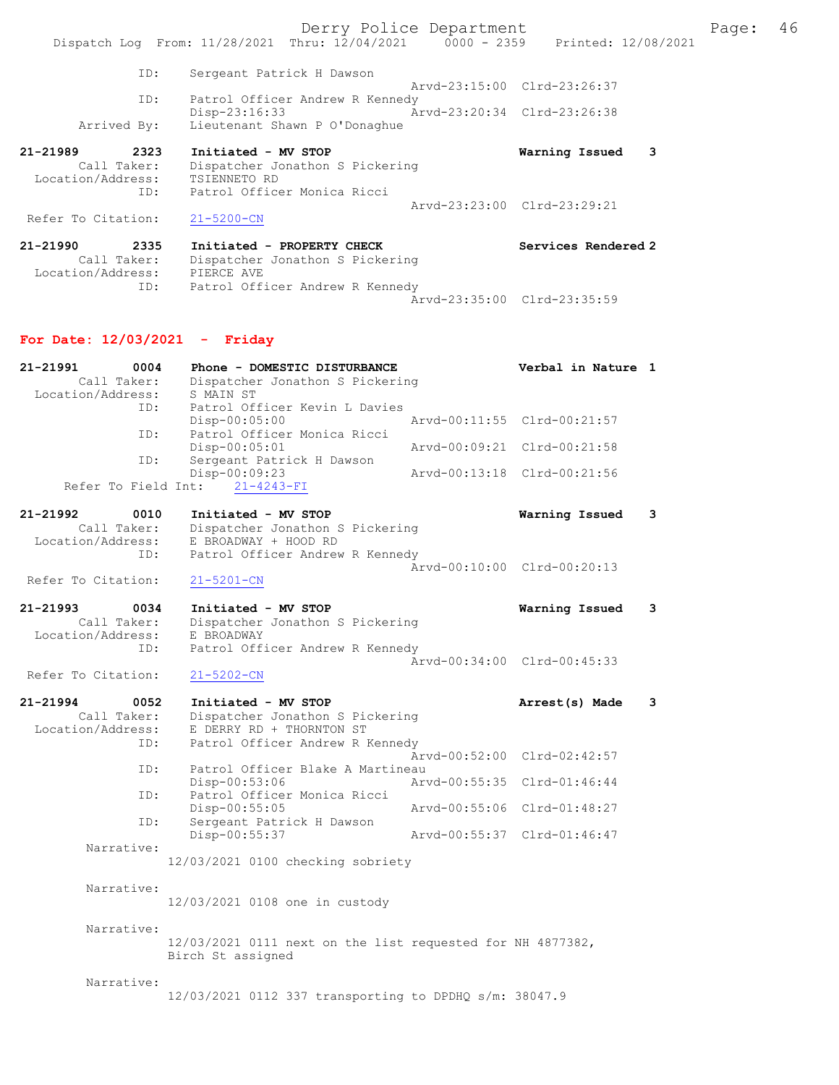Derry Police Department The Page: 46 Dispatch Log From: 11/28/2021 Thru: 12/04/2021 0000 - 2359 Printed: 12/08/2021 ID: Sergeant Patrick H Dawson Arvd-23:15:00 Clrd-23:26:37<br>TD: Patrol Officer Andrew R Kennedy Patrol Officer Andrew R Kennedy Disp-23:16:33 Arvd-23:20:34 Clrd-23:26:38 Arrived By: Lieutenant Shawn P O'Donaghue 21-21989 2323 Initiated - MV STOP Warning Issued 3 Call Taker: Dispatcher Jonathon S Pickering Location/Address: TSIENNETO RD ID: Patrol Officer Monica Ricci Arvd-23:23:00 Clrd-23:29:21<br>21-5200-CN Refer To Citation: 21-21990 2335 Initiated - PROPERTY CHECK Services Rendered 2 Call Taker: Dispatcher Jonathon S Pickering Location/Address: PIERCE AVE ID: Patrol Officer Andrew R Kennedy Arvd-23:35:00 Clrd-23:35:59 For Date: 12/03/2021 - Friday 21-21991 0004 Phone - DOMESTIC DISTURBANCE Verbal in Nature 1 Call Taker: Dispatcher Jonathon S Pickering Location/Address: S MAIN ST ID: Patrol Officer Kevin L Davies Disp-00:05:00 Arvd-00:11:55 Clrd-00:21:57 ID: Patrol Officer Monica Ricci Disp-00:05:01 Arvd-00:09:21 Clrd-00:21:58 ID: Sergeant Patrick H Dawson Disp-00:09:23 Arvd-00:13:18 Clrd-00:21:56 Refer To Field Int: 21-4243-FI 21-21992 0010 Initiated - MV STOP Warning Issued 3 Call Taker: Dispatcher Jonathon S Pickering Location/Address: E BROADWAY + HOOD RD ID: Patrol Officer Andrew R Kennedy Arvd-00:10:00 Clrd-00:20:13<br>21-5201-CN Refer To Citation: 21-21993 0034 Initiated - MV STOP Warning Issued 3<br>Call Taker: Dispatcher Jonathon S Pickering Call Taker: Dispatcher Jonathon S Pickering Location/Address: E BROADWAY ID: Patrol Officer Andrew R Kennedy Arvd-00:34:00 Clrd-00:45:33 Refer To Citation: 21-5202-CN 21-21994 0052 Initiated - MV STOP Arrest(s) Made 3 Call Taker: Dispatcher Jonathon S Pickering Location/Address: E DERRY RD + THORNTON ST ID: Patrol Officer Andrew R Kennedy Arvd-00:52:00 Clrd-02:42:57 ID: Patrol Officer Blake A Martineau<br>Disp-00:53:06 Art Disp-00:53:06 Arvd-00:55:35 Clrd-01:46:44 ID: Patrol Officer Monica Ricci Disp-00:55:05 Arvd-00:55:06 Clrd-01:48:27<br>TD: Sergeant Patrick H Dawson Sergeant Patrick H Dawson<br>Disp-00:55:37 Disp-00:55:37 Arvd-00:55:37 Clrd-01:46:47 Narrative: 12/03/2021 0100 checking sobriety Narrative: 12/03/2021 0108 one in custody Narrative: 12/03/2021 0111 next on the list requested for NH 4877382, Birch St assigned Narrative: 12/03/2021 0112 337 transporting to DPDHQ s/m: 38047.9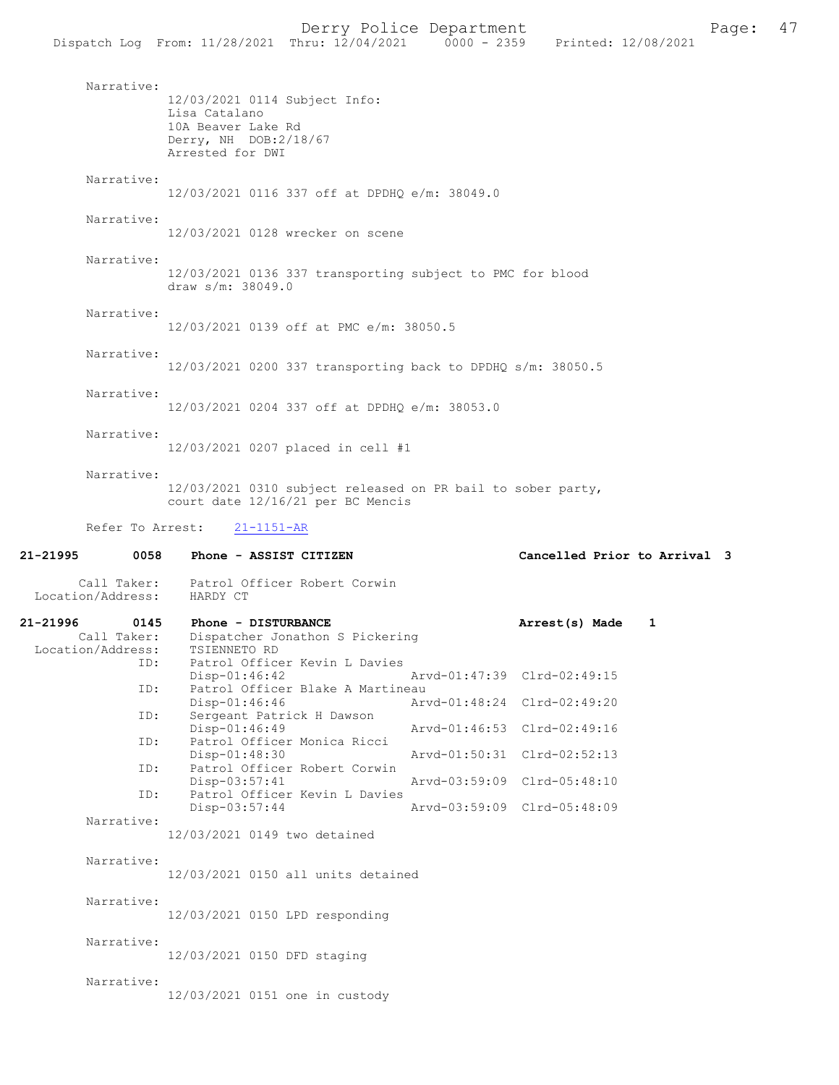Narrative: 12/03/2021 0114 Subject Info: Lisa Catalano 10A Beaver Lake Rd Derry, NH DOB:2/18/67 Arrested for DWI Narrative: 12/03/2021 0116 337 off at DPDHQ e/m: 38049.0 Narrative: 12/03/2021 0128 wrecker on scene Narrative: 12/03/2021 0136 337 transporting subject to PMC for blood draw s/m: 38049.0 Narrative: 12/03/2021 0139 off at PMC e/m: 38050.5 Narrative: 12/03/2021 0200 337 transporting back to DPDHQ s/m: 38050.5 Narrative: 12/03/2021 0204 337 off at DPDHQ e/m: 38053.0 Narrative: 12/03/2021 0207 placed in cell #1 Narrative: 12/03/2021 0310 subject released on PR bail to sober party, court date 12/16/21 per BC Mencis Refer To Arrest: 21-1151-AR 21-21995 0058 Phone - ASSIST CITIZEN Cancelled Prior to Arrival 3 Call Taker: Patrol Officer Robert Corwin<br>.on/Address: HARDY CT Location/Address: 21-21996 0145 Phone - DISTURBANCE 21-21996 0145 Phone - DISTURBANCE 21-21996 21-21996 21 Dispatcher Jonathon S Pickering<br>TSIENNETO RD Location/Address:<br>TD: Patrol Officer Kevin L Davies<br>Disp-01:46:42 Disp-01:46:42 Arvd-01:47:39 Clrd-02:49:15<br>ID: Patrol Officer Blake A Martineau Patrol Officer Blake A Martineau<br>Disp-01:46:46 Art Disp-01:46:46 Arvd-01:48:24 Clrd-02:49:20<br>ID: Sergeant Patrick H Dawson Sergeant Patrick H Dawson<br>Disp-01:46:49 Arvd-01:46:53 Clrd-02:49:16 ID: Patrol Officer Monica Ricci<br>Disp-01:48:30 Disp-01:48:30 Arvd-01:50:31 Clrd-02:52:13<br>TD: Patrol Officer Robert Corwin Patrol Officer Robert Corwin<br>Disp-03:57:41 Arvd-03:59:09 Clrd-05:48:10 ID: Patrol Officer Kevin L Davies Disp-03:57:44 Arvd-03:59:09 Clrd-05:48:09 Narrative: 12/03/2021 0149 two detained Narrative: 12/03/2021 0150 all units detained Narrative: 12/03/2021 0150 LPD responding Narrative: 12/03/2021 0150 DFD staging Narrative:

12/03/2021 0151 one in custody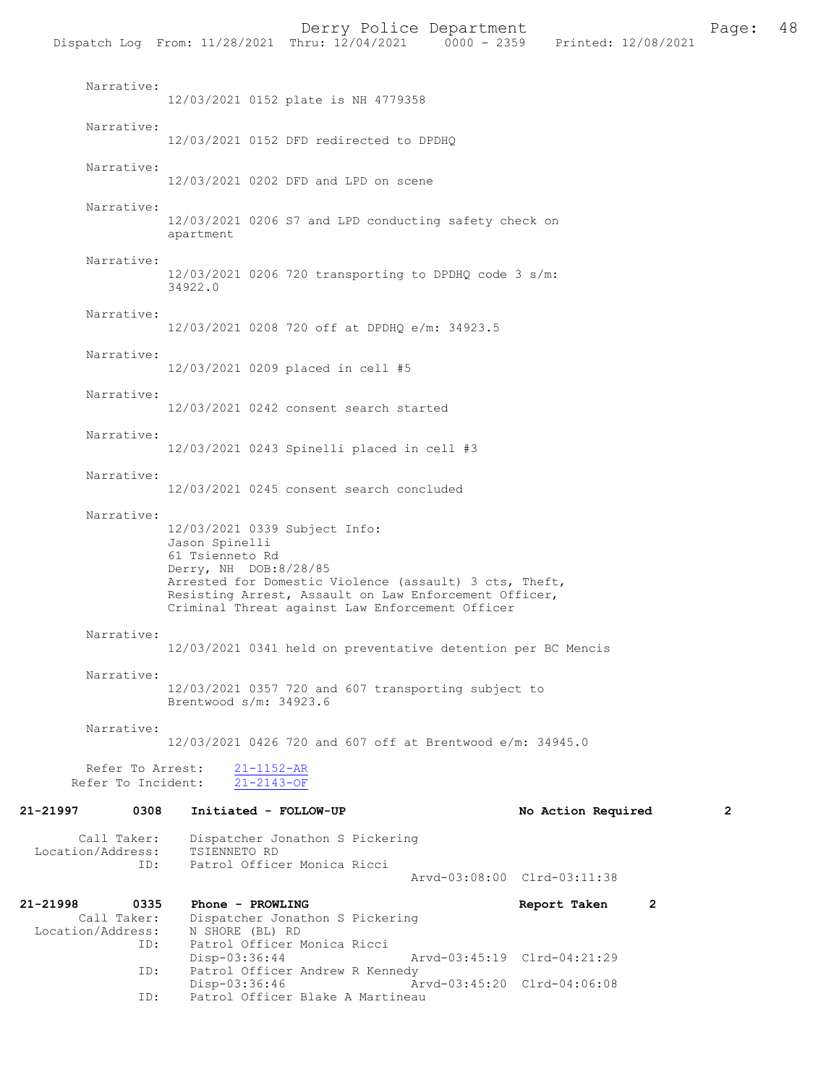|                                                             | Dispatch Log From: 11/28/2021 Thru: 12/04/2021 0000 - 2359 Printed: 12/08/2021              |                                                                                                                                                                    |                             |                    |                |                |
|-------------------------------------------------------------|---------------------------------------------------------------------------------------------|--------------------------------------------------------------------------------------------------------------------------------------------------------------------|-----------------------------|--------------------|----------------|----------------|
| Narrative:                                                  |                                                                                             | 12/03/2021 0152 plate is NH 4779358                                                                                                                                |                             |                    |                |                |
| Narrative:                                                  |                                                                                             | 12/03/2021 0152 DFD redirected to DPDHQ                                                                                                                            |                             |                    |                |                |
| Narrative:                                                  |                                                                                             | 12/03/2021 0202 DFD and LPD on scene                                                                                                                               |                             |                    |                |                |
| Narrative:                                                  | apartment                                                                                   | 12/03/2021 0206 S7 and LPD conducting safety check on                                                                                                              |                             |                    |                |                |
| Narrative:                                                  | 34922.0                                                                                     | 12/03/2021 0206 720 transporting to DPDHQ code 3 s/m:                                                                                                              |                             |                    |                |                |
| Narrative:                                                  |                                                                                             | 12/03/2021 0208 720 off at DPDHQ e/m: 34923.5                                                                                                                      |                             |                    |                |                |
| Narrative:                                                  |                                                                                             | 12/03/2021 0209 placed in cell #5                                                                                                                                  |                             |                    |                |                |
| Narrative:                                                  |                                                                                             | 12/03/2021 0242 consent search started                                                                                                                             |                             |                    |                |                |
| Narrative:                                                  |                                                                                             | 12/03/2021 0243 Spinelli placed in cell #3                                                                                                                         |                             |                    |                |                |
| Narrative:                                                  |                                                                                             | 12/03/2021 0245 consent search concluded                                                                                                                           |                             |                    |                |                |
| Narrative:                                                  | 12/03/2021 0339 Subject Info:<br>Jason Spinelli<br>61 Tsienneto Rd<br>Derry, NH DOB:8/28/85 | Arrested for Domestic Violence (assault) 3 cts, Theft,<br>Resisting Arrest, Assault on Law Enforcement Officer,<br>Criminal Threat against Law Enforcement Officer |                             |                    |                |                |
| Narrative:                                                  |                                                                                             | 12/03/2021 0341 held on preventative detention per BC Mencis                                                                                                       |                             |                    |                |                |
| Narrative:                                                  | Brentwood $s/m: 34923.6$                                                                    | 12/03/2021 0357 720 and 607 transporting subject to                                                                                                                |                             |                    |                |                |
| Narrative:                                                  |                                                                                             | 12/03/2021 0426 720 and 607 off at Brentwood e/m: 34945.0                                                                                                          |                             |                    |                |                |
| Refer To Arrest:<br>Refer To Incident:                      | $21 - 1152 - AR$<br>$21 - 2143 - OF$                                                        |                                                                                                                                                                    |                             |                    |                |                |
| 0308<br>21-21997                                            | Initiated - FOLLOW-UP                                                                       |                                                                                                                                                                    |                             | No Action Required |                | $\overline{2}$ |
| Call Taker:<br>Location/Address:<br>ID:                     | TSIENNETO RD                                                                                | Dispatcher Jonathon S Pickering<br>Patrol Officer Monica Ricci                                                                                                     | Arvd-03:08:00 Clrd-03:11:38 |                    |                |                |
| 21-21998<br>0335<br>Call Taker:<br>Location/Address:<br>ID: | Phone - PROWLING<br>N SHORE (BL) RD<br>Disp-03:36:44                                        | Dispatcher Jonathon S Pickering<br>Patrol Officer Monica Ricci                                                                                                     | Arvd-03:45:19 Clrd-04:21:29 | Report Taken       | $\overline{2}$ |                |
| ID:                                                         | Disp-03:36:46                                                                               | Patrol Officer Andrew R Kennedy                                                                                                                                    | Arvd-03:45:20 Clrd-04:06:08 |                    |                |                |
| ID:                                                         |                                                                                             | Patrol Officer Blake A Martineau                                                                                                                                   |                             |                    |                |                |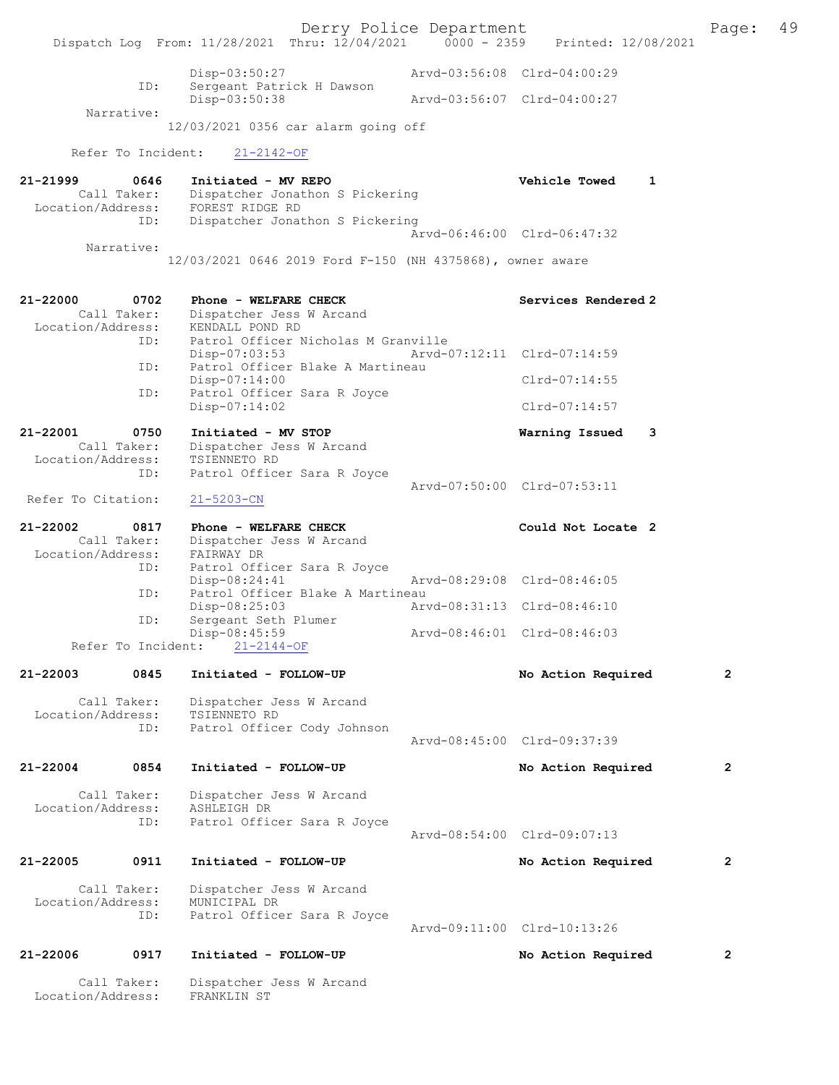Derry Police Department<br>Page: 49 Paru: 12/04/2021 0000 - 2359 Printed: 12/08/2021 Dispatch Log From: 11/28/2021 Thru: 12/04/2021 0000 - 2359 Disp-03:50:27 Arvd-03:56:08 Clrd-04:00:29 ID: Sergeant Patrick H Dawson<br>Disp-03:50:38 Disp-03:50:38 Arvd-03:56:07 Clrd-04:00:27 Narrative: 12/03/2021 0356 car alarm going off Refer To Incident: 21-2142-OF 21-21999 0646 Initiated - MV REPO Vehicle Towed 1 Call Taker: Dispatcher Jonathon S Pickering Call lanel.<br>Location/Address: FOREST RIDGE RD ID: Dispatcher Jonathon S Pickering Arvd-06:46:00 Clrd-06:47:32 Narrative: 12/03/2021 0646 2019 Ford F-150 (NH 4375868), owner aware 21-22000 0702 Phone - WELFARE CHECK Services Rendered 2<br>Call Taker: Dispatcher Jess W Arcand Dispatcher Jess W Arcand<br>KENDALL POND RD Location/Address:<br>ID: Patrol Officer Nicholas M Granville<br>Disp-07:03:53 Arvd-0 Disp-07:03:53 Arvd-07:12:11 Clrd-07:14:59<br>The Patrol Officer Blake A Martineau Patrol Officer Blake A Martineau Disp-07:14:00 Clrd-07:14:55<br>The Patrol Officer Sara R Joyce Patrol Officer Sara R Joyce Disp-07:14:02 Clrd-07:14:57 21-22001 0750 Initiated - MV STOP 1988 1989 Warning Issued 3<br>Call Taker: Dispatcher Jess W Arcand Dispatcher Jess W Arcand Location/Address: TSIENNETO RD<br>ID: Patrol Office Patrol Officer Sara R Joyce Arvd-07:50:00 Clrd-07:53:11 Refer To Citation: 21-5203-CN 21-22002 0817 Phone - WELFARE CHECK Could Not Locate 2<br>Call Taker: Dispatcher Jess W Arcand Dispatcher Jess W Arcand<br>FAIRWAY DR Location/Address: ID: Patrol Officer Sara R Joyce<br>Disp-08:24:41 Disp-08:24:41 Arvd-08:29:08 Clrd-08:46:05<br>TD: Patrol Officer Blake A Martineau Patrol Officer Blake A Martineau Disp-08:25:03 Arvd-08:31:13 Clrd-08:46:10 ID: Sergeant Seth Plumer<br>Disp-08:45:59 Disp-08:45:59 Arvd-08:46:01 Clrd-08:46:03 Refer To Incident: 21-2144-OF 21-22003 0845 Initiated - FOLLOW-UP No Action Required 2 Call Taker: Dispatcher Jess W Arcand<br>ion/Address: TSIENNETO RD Location/Address:<br>ID: Patrol Officer Cody Johnson Arvd-08:45:00 Clrd-09:37:39 21-22004 0854 Initiated - FOLLOW-UP No Action Required 2 Call Taker: Dispatcher Jess W Arcand Location/Address: ASHLEIGH DR<br>TD: Patrol Offic Patrol Officer Sara R Joyce Arvd-08:54:00 Clrd-09:07:13 21-22005 0911 Initiated - FOLLOW-UP No Action Required 2 Call Taker: Dispatcher Jess W Arcand<br>ion/Address: MUNICIPAL DR Location/Address: ID: Patrol Officer Sara R Joyce Arvd-09:11:00 Clrd-10:13:26 21-22006 0917 Initiated - FOLLOW-UP No Action Required 2 Call Taker: Dispatcher Jess W Arcand<br>ion/Address: FRANKLIN ST Location/Address: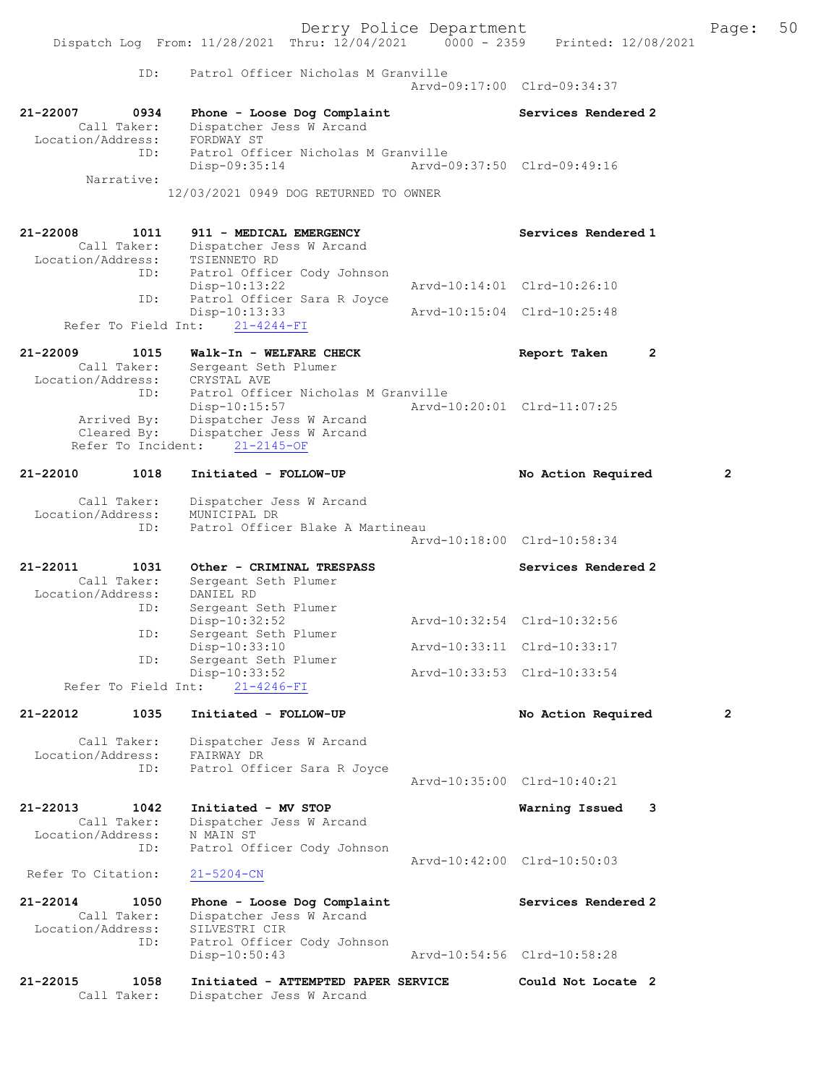Derry Police Department Fage: 50 Dispatch Log From: 11/28/2021 Thru: 12/04/2021 0000 - 2359 Printed: 12/08/2021 ID: Patrol Officer Nicholas M Granville Arvd-09:17:00 Clrd-09:34:37 21-22007 0934 Phone - Loose Dog Complaint Services Rendered 2 Call Taker: Dispatcher Jess W Arcand Location/Address: FORDWAY ST ID: Patrol Officer Nicholas M Granville Disp-09:35:14 Arvd-09:37:50 Clrd-09:49:16 Narrative: 12/03/2021 0949 DOG RETURNED TO OWNER 21-22008 1011 911 - MEDICAL EMERGENCY Services Rendered 1 Call Taker: Dispatcher Jess W Arcand Location/Address: TSIENNETO RD ESS: ISLENNEILY NE<br>ID: Patrol Officer Cody Johnson<br>Disp-10:13:22 Disp-10:13:22 Arvd-10:14:01 Clrd-10:26:10 ID: Patrol Officer Sara R Joyce Disp-10:13:33 Arvd-10:15:04 Clrd-10:25:48 Refer To Field Int: 21-4244-FI 21-22009 1015 Walk-In - WELFARE CHECK Report Taken 2 Call Taker: Sergeant Seth Plumer Location/Address: CRYSTAL AVE ID: Patrol Officer Nicholas M Granville Disp-10:15:57 Arvd-10:20:01 Clrd-11:07:25 Arrived By: Dispatcher Jess W Arcand Cleared By: Dispatcher Jess W Arcand Refer To Incident: 21-2145-OF 21-22010 1018 Initiated - FOLLOW-UP No Action Required 2 Call Taker: Dispatcher Jess W Arcand Location/Address: MUNICIPAL DR ID: Patrol Officer Blake A Martineau Arvd-10:18:00 Clrd-10:58:34 21-22011 1031 Other - CRIMINAL TRESPASS Services Rendered 2 Call Taker: Sergeant Seth Plumer Location/Address: DANIEL RD ID: Sergeant Seth Plumer Disp-10:32:52 Arvd-10:32:54 Clrd-10:32:56 ID: Sergeant Seth Plumer<br>Disp-10:32:52<br>ID: Sergeant Seth Plumer<br>Disp-10:33:10 Disp-10:33:10 Arvd-10:33:11 Clrd-10:33:17 ID: Sergeant Seth Plumer<br>Disp-10:33:52 Disp-10:33:52 Arvd-10:33:53 Clrd-10:33:54 Refer To Field Int: 21-4246-FI 21-22012 1035 Initiated - FOLLOW-UP No Action Required 2 Call Taker: Dispatcher Jess W Arcand Location/Address: FAIRWAY DR ID: Patrol Officer Sara R Joyce Arvd-10:35:00 Clrd-10:40:21 21-22013 1042 Initiated - MV STOP Warning Issued 3 Call Taker: Dispatcher Jess W Arcand Location/Address: N MAIN ST ID: Patrol Officer Cody Johnson Arvd-10:42:00 Clrd-10:50:03 Refer To Citation: 21-5204-CN 21-22014 1050 Phone - Loose Dog Complaint Services Rendered 2 Call Taker: Dispatcher Jess W Arcand Location/Address: SILVESTRI CIR ID: Patrol Officer Cody Johnson Disp-10:50:43 Arvd-10:54:56 Clrd-10:58:28 21-22015 1058 Initiated - ATTEMPTED PAPER SERVICE Could Not Locate 2 Call Taker: Dispatcher Jess W Arcand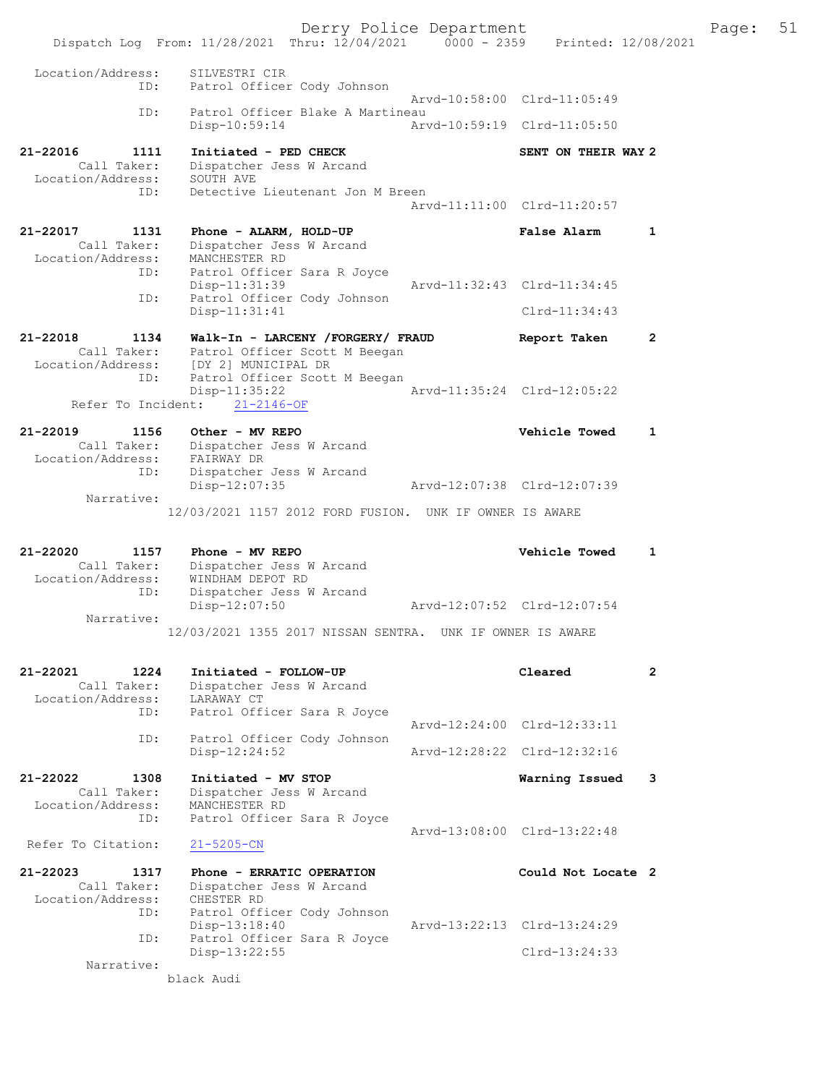Derry Police Department Fage: 51 Dispatch Log From: 11/28/2021 Thru: 12/04/2021 0000 - 2359 Printed: 12/08/2021 Location/Address: SILVESTRI CIR ID: Patrol Officer Cody Johnson Arvd-10:58:00 Clrd-11:05:49 ID: Patrol Officer Blake A Martineau<br>Disp-10:59:14 Arv Disp-10:59:14 Arvd-10:59:19 Clrd-11:05:50 21-22016 1111 Initiated - PED CHECK SENT ON THEIR WAY 2 Call Taker: Dispatcher Jess W Arcand Location/Address: SOUTH AVE ID: Detective Lieutenant Jon M Breen Arvd-11:11:00 Clrd-11:20:57 21-22017 1131 Phone - ALARM, HOLD-UP False Alarm 1 Call Taker: Dispatcher Jess W Arcand Location/Address: MANCHESTER RD ID: Patrol Officer Sara R Joyce Disp-11:31:39 Arvd-11:32:43 Clrd-11:34:45 ID: Patrol Officer Cody Johnson Disp-11:31:41 Clrd-11:34:43 21-22018 1134 Walk-In - LARCENY /FORGERY/ FRAUD Report Taken 2 Call Taker: Patrol Officer Scott M Beegan Location/Address: [DY 2] MUNICIPAL DR ID: Patrol Officer Scott M Beegan Disp-11:35:22 Arvd-11:35:24 Clrd-12:05:22 Refer To Incident: 21-2146-OF 21-22019 1156 Other - MV REPO Vehicle Towed 1 Call Taker: Dispatcher Jess W Arcand Location/Address: FAIRWAY DR ID: Dispatcher Jess W Arcand Disp-12:07:35 Arvd-12:07:38 Clrd-12:07:39 Narrative: 12/03/2021 1157 2012 FORD FUSION. UNK IF OWNER IS AWARE 21-22020 1157 Phone - MV REPO Vehicle Towed 1 Call Taker: Dispatcher Jess W Arcand Location/Address: WINDHAM DEPOT RD ID: Dispatcher Jess W Arcand Disp-12:07:50 Arvd-12:07:52 Clrd-12:07:54 Narrative: 12/03/2021 1355 2017 NISSAN SENTRA. UNK IF OWNER IS AWARE 21-22021 1224 Initiated - FOLLOW-UP Cleared 2 Call Taker: Dispatcher Jess W Arcand Location/Address: LARAWAY CT ID: Patrol Officer Sara R Joyce Arvd-12:24:00 Clrd-12:33:11 ID: Patrol Officer Cody Johnson Disp-12:24:52 Arvd-12:28:22 Clrd-12:32:16 21-22022 1308 Initiated - MV STOP Warning Issued 3 Call Taker: Dispatcher Jess W Arcand Location/Address: MANCHESTER RD ID: Patrol Officer Sara R Joyce Arvd-13:08:00 Clrd-13:22:48 Refer To Citation: 21-5205-CN 21-22023 1317 Phone - ERRATIC OPERATION Could Not Locate 2 Call Taker: Dispatcher Jess W Arcand Location/Address: CHESTER RD ID: Patrol Officer Cody Johnson Disp-13:18:40 Arvd-13:22:13 Clrd-13:24:29 ID: Patrol Officer Sara R Joyce Disp-13:22:55 Clrd-13:24:33 Narrative: black Audi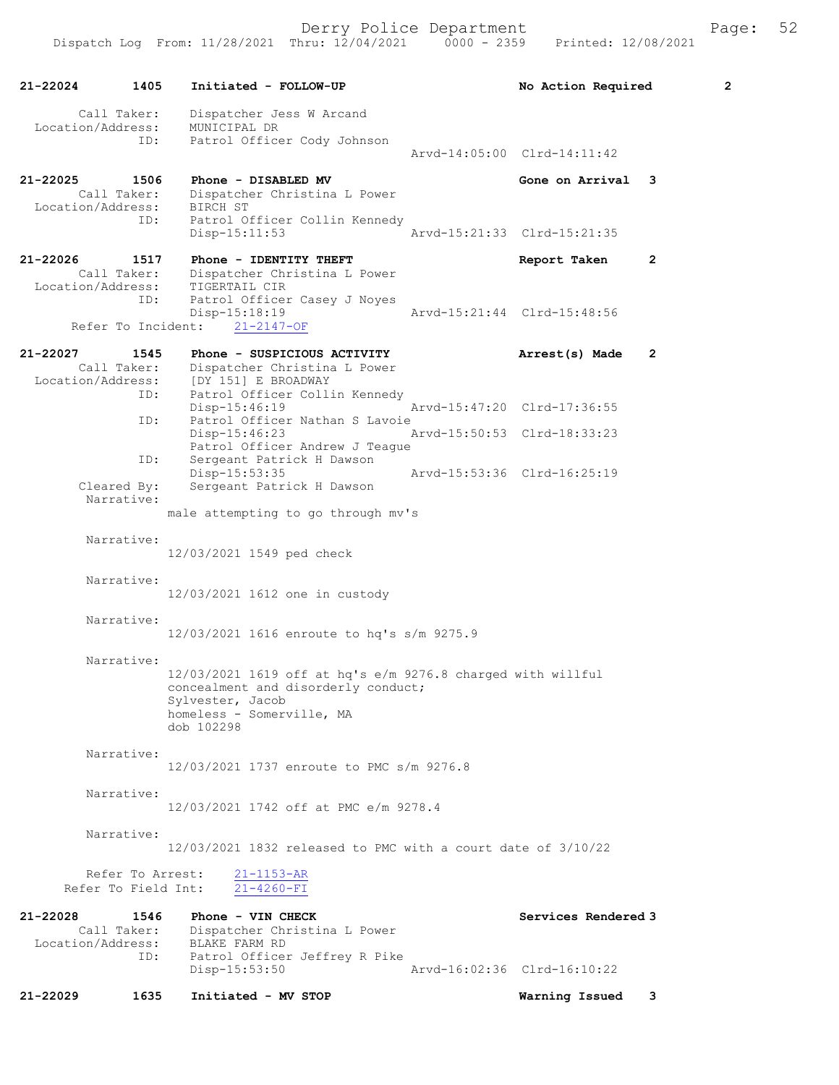21-22024 1405 Initiated - FOLLOW-UP No Action Required 2 Call Taker: Dispatcher Jess W Arcand Location/Address: MUNICIPAL DR ID: Patrol Officer Cody Johnson Arvd-14:05:00 Clrd-14:11:42 21-22025 1506 Phone - DISABLED MV Gone on Arrival 3 Call Taker: Dispatcher Christina L Power Location/Address: BIRCH ST ID: Patrol Officer Collin Kennedy<br>Disp-15:11:53  $Nrvd-15:21:33$  Clrd-15:21:35 21-22026 1517 Phone - IDENTITY THEFT Report Taken 2 Call Taker: Dispatcher Christina L Power Location/Address: TIGERTAIL CIR ID: Patrol Officer Casey J Noyes Disp-15:18:19 Arvd-15:21:44 Clrd-15:48:56 Refer To Incident: 21-2147-OF 21-22027 1545 Phone - SUSPICIOUS ACTIVITY Arrest(s) Made 2 Call Taker: Dispatcher Christina L Power Location/Address: [DY 151] E BROADWAY ID: Patrol Officer Collin Kennedy<br>Disp-15:46:19 Disp-15:46:19 Arvd-15:47:20 Clrd-17:36:55<br>ID: Patrol Officer Nathan S Lavoie Patrol Officer Nathan S Lavoie Disp-15:46:23 Arvd-15:50:53 Clrd-18:33:23 Patrol Officer Andrew J Teague<br>ID: Sergeant Patrick H Dawson Sergeant Patrick H Dawson<br>Disp-15:53:35 Disp-15:53:35 Arvd-15:53:36 Clrd-16:25:19 Cleared By: Sergeant Patrick H Dawson Narrative: male attempting to go through mv's Narrative: 12/03/2021 1549 ped check Narrative: 12/03/2021 1612 one in custody Narrative: 12/03/2021 1616 enroute to hq's s/m 9275.9 Narrative: 12/03/2021 1619 off at hq's e/m 9276.8 charged with willful concealment and disorderly conduct; Sylvester, Jacob homeless - Somerville, MA dob 102298 Narrative: 12/03/2021 1737 enroute to PMC s/m 9276.8 Narrative: 12/03/2021 1742 off at PMC e/m 9278.4 Narrative: 12/03/2021 1832 released to PMC with a court date of 3/10/22 Refer To Arrest:  $\frac{21-1153-AR}{21-4260-FI}$ Refer To Field Int: 21-22028 1546 Phone - VIN CHECK Services Rendered 3 Call Taker: Dispatcher Christina L Power Location/Address: BLAKE FARM RD ID: Patrol Officer Jeffrey R Pike Disp-15:53:50 Arvd-16:02:36 Clrd-16:10:22 21-22029 1635 Initiated - MV STOP Warning Issued 3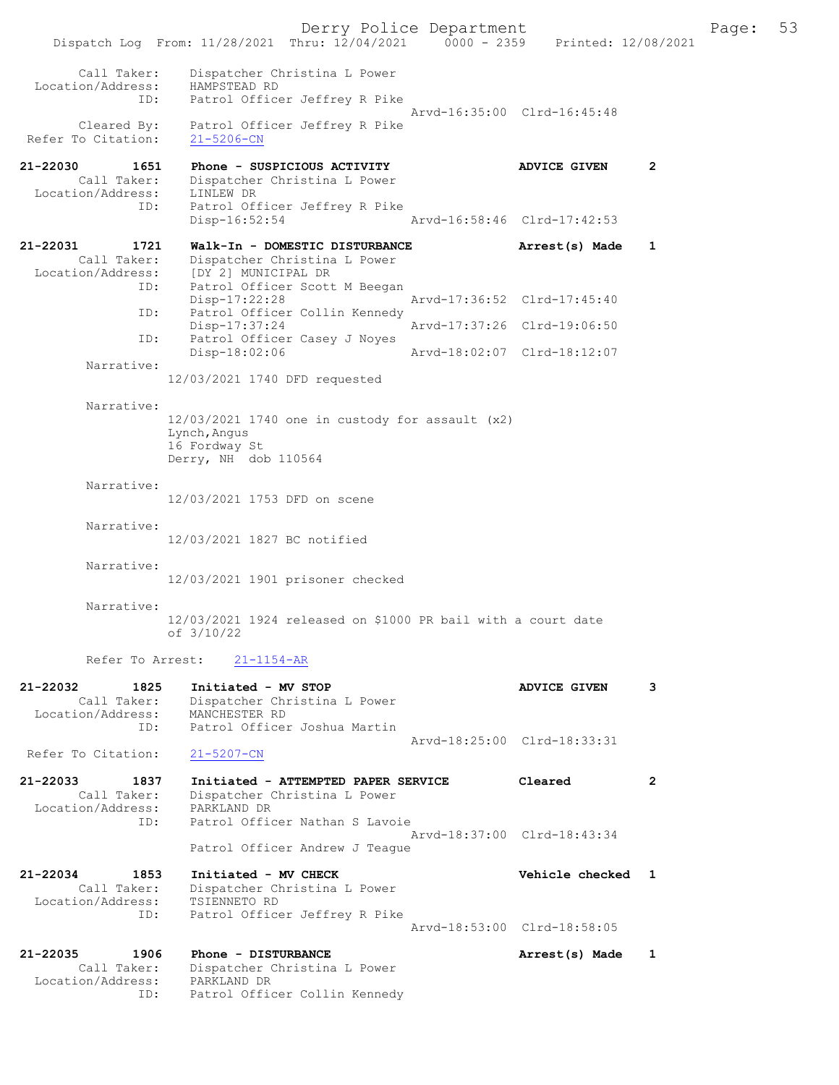Derry Police Department Fage: 53 Dispatch Log From: 11/28/2021 Thru: 12/04/2021 0000 - 2359 Printed: 12/08/2021 Call Taker: Dispatcher Christina L Power Location/Address: HAMPSTEAD RD ID: Patrol Officer Jeffrey R Pike Arvd-16:35:00 Clrd-16:45:48 Cleared By: Patrol Officer Jeffrey R Pike Refer To Citation: 21-5206-CN 21-22030 1651 Phone - SUSPICIOUS ACTIVITY ADVICE GIVEN 2 Call Taker: Dispatcher Christina L Power Location/Address: LINLEW DR ID: Patrol Officer Jeffrey R Pike Disp-16:52:54 Arvd-16:58:46 Clrd-17:42:53 21-22031 1721 Walk-In - DOMESTIC DISTURBANCE Arrest(s) Made 1 Call Taker: Dispatcher Christina L Power Location/Address: [DY 2] MUNICIPAL DR ID: Patrol Officer Scott M Beegan<br>Disp-17:22:28 Disp-17:22:28 Arvd-17:36:52 Clrd-17:45:40 ID: Patrol Officer Collin Kennedy<br>Disp-17:37:24 Disp-17:37:24 Arvd-17:37:26 Clrd-19:06:50 ID: Patrol Officer Casey J Noyes<br>Disp-18:02:06 Disp-18:02:06 Arvd-18:02:07 Clrd-18:12:07 Narrative: 12/03/2021 1740 DFD requested Narrative: 12/03/2021 1740 one in custody for assault (x2) Lynch,Angus 16 Fordway St Derry, NH dob 110564 Narrative: 12/03/2021 1753 DFD on scene Narrative: 12/03/2021 1827 BC notified Narrative: 12/03/2021 1901 prisoner checked Narrative: 12/03/2021 1924 released on \$1000 PR bail with a court date of 3/10/22 Refer To Arrest: 21-1154-AR 21-22032 1825 Initiated - MV STOP ADVICE GIVEN 3 Call Taker: Dispatcher Christina L Power Location/Address: MANCHESTER RD ID: Patrol Officer Joshua Martin Arvd-18:25:00 Clrd-18:33:31<br>21-5207-CN Refer To Citation: 21-22033 1837 Initiated - ATTEMPTED PAPER SERVICE Cleared 2 Call Taker: Dispatcher Christina L Power Location/Address: PARKLAND DR ID: Patrol Officer Nathan S Lavoie Arvd-18:37:00 Clrd-18:43:34 Patrol Officer Andrew J Teague 21-22034 1853 Initiated - MV CHECK Vehicle checked 1 Call Taker: Dispatcher Christina L Power Location/Address: TSIENNETO RD ID: Patrol Officer Jeffrey R Pike Arvd-18:53:00 Clrd-18:58:05 21-22035 1906 Phone - DISTURBANCE 1 Arrest(s) Made 1 Call Taker: Dispatcher Christina L Power Location/Address: PARKLAND DR ID: Patrol Officer Collin Kennedy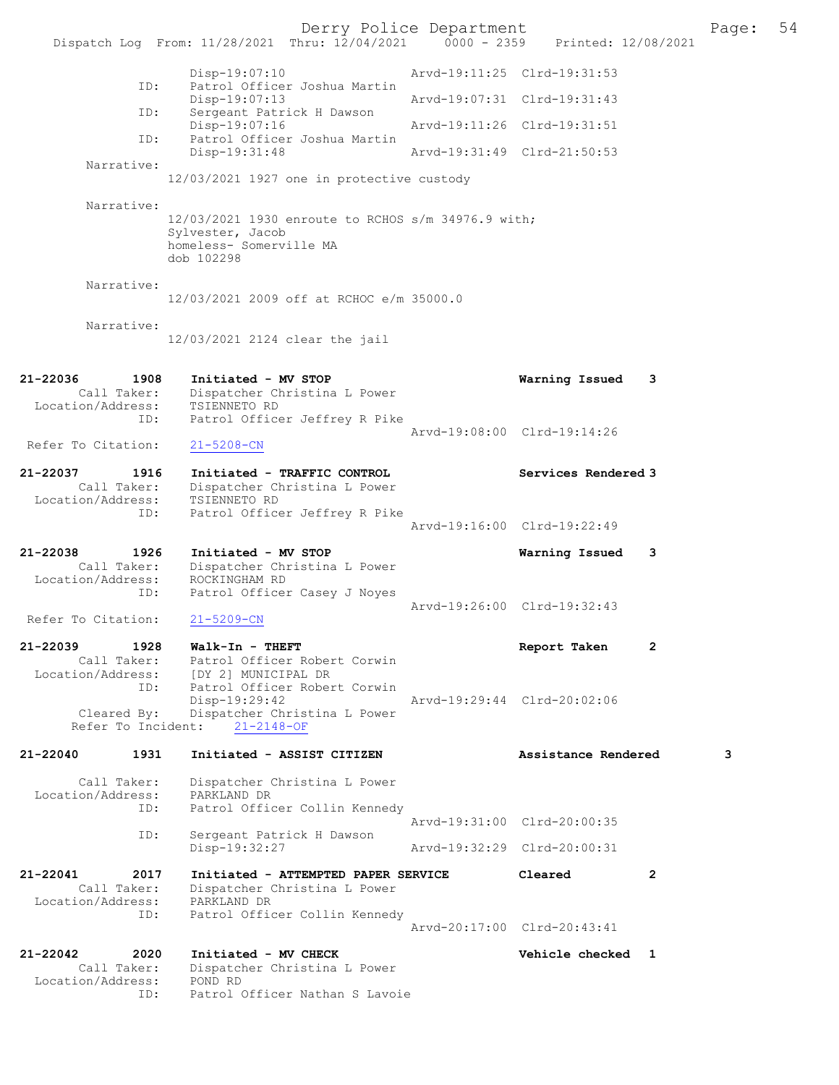Derry Police Department<br>
Page: 54 Printed: 12/08/2021 0000 - 2359 Printed: 12/08/2021 Dispatch Log From: 11/28/2021 Thru: 12/04/2021 0000 - 2359 Disp-19:07:10 Arvd-19:11:25 Clrd-19:31:53 ID: Patrol Officer Joshua Martin Disp-19:07:13 Arvd-19:07:31 Clrd-19:31:43<br>ID: Sergeant Patrick H Dawson Sergeant Patrick H Dawson<br>Disp-19:07:16 Disp-19:07:16 Arvd-19:11:26 Clrd-19:31:51<br>ID: Patrol Officer Joshua Martin Patrol Officer Joshua Martin Disp-19:31:48 Arvd-19:31:49 Clrd-21:50:53 Narrative: 12/03/2021 1927 one in protective custody Narrative: 12/03/2021 1930 enroute to RCHOS s/m 34976.9 with; Sylvester, Jacob homeless- Somerville MA dob 102298 Narrative: 12/03/2021 2009 off at RCHOC e/m 35000.0 Narrative: 12/03/2021 2124 clear the jail 21-22036 1908 Initiated - MV STOP Warning Issued 3 Call Taker: Dispatcher Christina L Power<br>:ion/Address: TSIENNETO RD Location/Address: ID: Patrol Officer Jeffrey R Pike Arvd-19:08:00 Clrd-19:14:26<br>21-5208-CN Refer To Citation: 21-22037 1916 Initiated - TRAFFIC CONTROL Services Rendered 3 Call Taker: Dispatcher Christina L Power<br>ion/Address: TSIENNETO RD Location/Address:<br>ID: Patrol Officer Jeffrey R Pike Arvd-19:16:00 Clrd-19:22:49 21-22038 1926 Initiated - MV STOP Warning Issued 3 Call Taker: Dispatcher Christina L Power Location/Address: ROCKINGHAM RD ID: Patrol Officer Casey J Noyes Arvd-19:26:00 Clrd-19:32:43<br>21-5209-CN Refer To Citation: 21-22039 1928 Walk-In - THEFT Report Taken 2 Call Taker: Patrol Officer Robert Corwin<br>Location/Address: [DY 2] MUNICIPAL DR LOCATION CONSIDERED IN THE SERVICE RODER ID: Patrol Officer Robert Corwin<br>Disp-19:29:42 Disp-19:29:42 Arvd-19:29:44 Clrd-20:02:06 Cleared By: Dispatcher Christina L Power Refer To Incident: 21-2148-OF 21-22040 1931 Initiated - ASSIST CITIZEN Assistance Rendered 3 Call Taker: Dispatcher Christina L Power<br>ion/Address: PARKLAND DR Location/Address: ID: Patrol Officer Collin Kennedy Arvd-19:31:00 Clrd-20:00:35<br>TD: Sergeant Patrick H Dawson Sergeant Patrick H Dawson<br>Disp-19:32:27 Disp-19:32:27 Arvd-19:32:29 Clrd-20:00:31 21-22041 2017 Initiated - ATTEMPTED PAPER SERVICE Cleared 2 Call Taker: Dispatcher Christina L Power Location/Address: PARKLAND DR ID: Patrol Officer Collin Kennedy Arvd-20:17:00 Clrd-20:43:41 21-22042 2020 Initiated - MV CHECK Vehicle checked 1 Call Taker: Dispatcher Christina L Power Location/Address: POND RD ID: Patrol Officer Nathan S Lavoie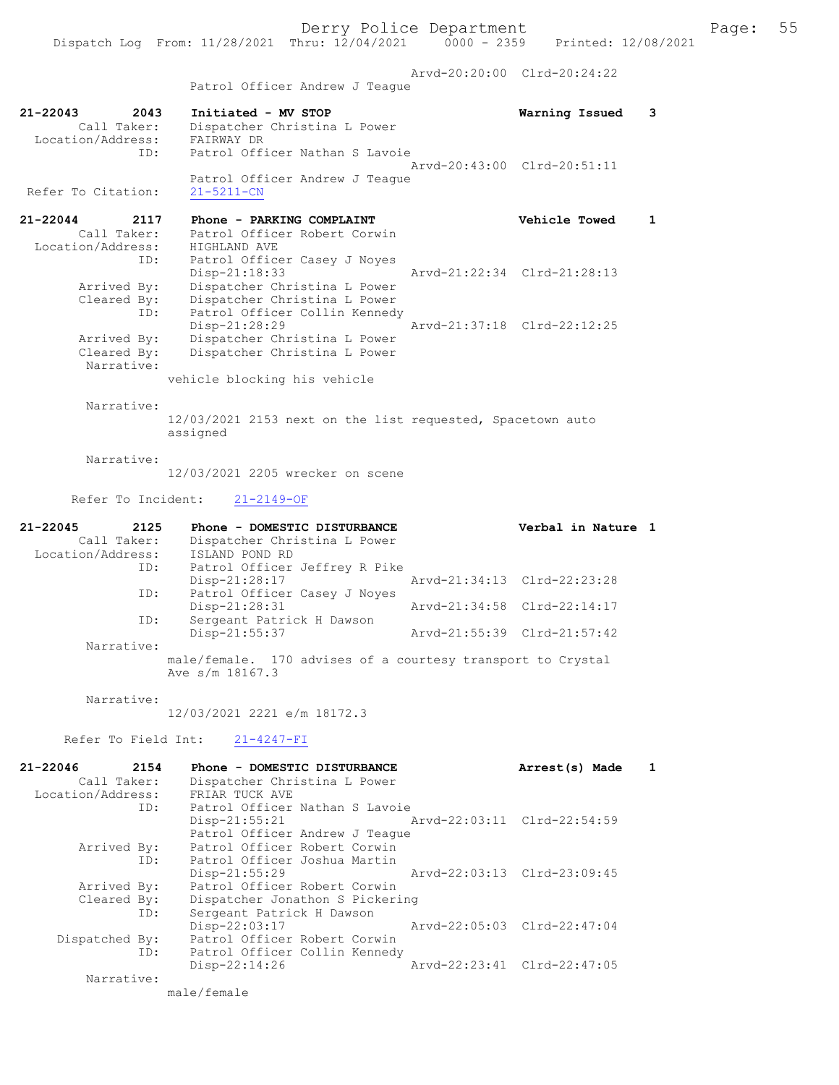Derry Police Department Fage: 55

 Arvd-20:20:00 Clrd-20:24:22 Patrol Officer Andrew J Teague

- 21-22043 2043 Initiated MV STOP Warning Issued 3 Call Taker: Dispatcher Christina L Power Location/Address: FAIRWAY DR ID: Patrol Officer Nathan S Lavoie Arvd-20:43:00 Clrd-20:51:11 Patrol Officer Andrew J Teague<br>21-5211-CN Refer To Citation:
- 21-22044 2117 Phone PARKING COMPLAINT Vehicle Towed 1 Call Taker: Patrol Officer Robert Corwin Location/Address: HIGHLAND AVE ID: Patrol Officer Casey J Noyes ID: Patrol Officer Casey J Noyes<br>Disp-21:18:33 Arvd-21:22:34 Clrd-21:28:13 Arrived By: Dispatcher Christina L Power Cleared By: Dispatcher Christina L Power ID: Patrol Officer Collin Kennedy Disp-21:28:29 Arvd-21:37:18 Clrd-22:12:25 Arrived By: Dispatcher Christina L Power Cleared By: Dispatcher Christina L Power Narrative:

vehicle blocking his vehicle

Narrative:

12/03/2021 2153 next on the list requested, Spacetown auto assigned

Narrative:

12/03/2021 2205 wrecker on scene

Refer To Incident: 21-2149-OF

| 21-22045          | 2125        | Phone - DOMESTIC DISTURBANCE                                | Verbal in Nature 1          |
|-------------------|-------------|-------------------------------------------------------------|-----------------------------|
|                   | Call Taker: | Dispatcher Christina L Power                                |                             |
| Location/Address: |             | ISLAND POND RD                                              |                             |
|                   | ID:         | Patrol Officer Jeffrey R Pike                               |                             |
|                   |             | Disp-21:28:17                                               | Arvd-21:34:13 Clrd-22:23:28 |
|                   | ID:         | Patrol Officer Casey J Noves                                |                             |
|                   |             | Disp-21:28:31                                               | Arvd-21:34:58 Clrd-22:14:17 |
|                   | ID:         | Sergeant Patrick H Dawson                                   |                             |
|                   |             | Disp-21:55:37                                               | Arvd-21:55:39 Clrd-21:57:42 |
|                   | Narrative:  |                                                             |                             |
|                   |             | male/female. 170 advises of a courtesy transport to Crystal |                             |
|                   |             | Ave s/m 18167.3                                             |                             |

Narrative:

12/03/2021 2221 e/m 18172.3

Refer To Field Int: 21-4247-FI

| 21-22046          | 2154        | Phone - DOMESTIC DISTURBANCE    | Arrest(s) Made              |  |
|-------------------|-------------|---------------------------------|-----------------------------|--|
|                   | Call Taker: | Dispatcher Christina L Power    |                             |  |
| Location/Address: |             | FRIAR TUCK AVE                  |                             |  |
|                   | ID:         | Patrol Officer Nathan S Lavoie  |                             |  |
|                   |             | $Disp-21:55:21$                 | Arvd-22:03:11 Clrd-22:54:59 |  |
|                   |             | Patrol Officer Andrew J Teague  |                             |  |
|                   | Arrived By: | Patrol Officer Robert Corwin    |                             |  |
|                   | ID:         | Patrol Officer Joshua Martin    |                             |  |
|                   |             | $Disp-21:55:29$                 | Arvd-22:03:13 Clrd-23:09:45 |  |
|                   | Arrived By: | Patrol Officer Robert Corwin    |                             |  |
|                   | Cleared By: | Dispatcher Jonathon S Pickering |                             |  |
|                   | ID:         | Sergeant Patrick H Dawson       |                             |  |
|                   |             | Disp-22:03:17                   | Arvd-22:05:03 Clrd-22:47:04 |  |
| Dispatched By:    |             | Patrol Officer Robert Corwin    |                             |  |
|                   | ID:         | Patrol Officer Collin Kennedy   |                             |  |
|                   |             | Disp-22:14:26                   | Arvd-22:23:41 Clrd-22:47:05 |  |
|                   | Narrative:  |                                 |                             |  |
|                   |             | male/female                     |                             |  |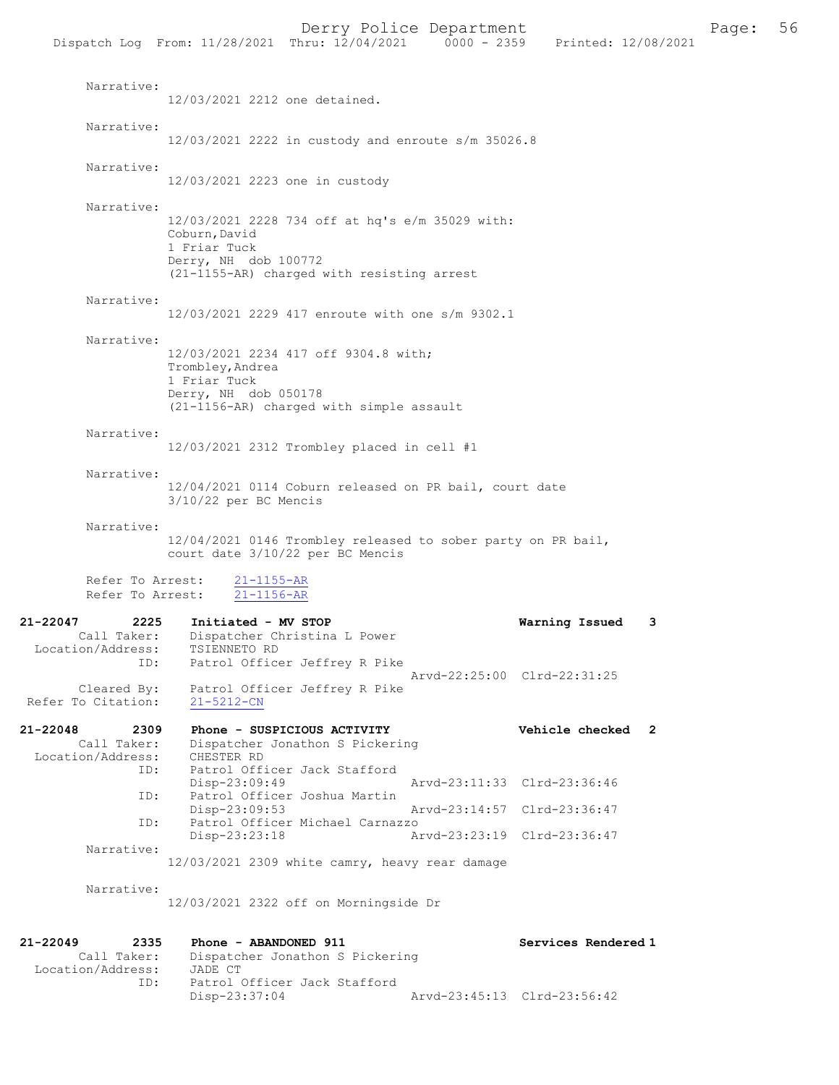|                                                             | Dispatch Log From: 11/28/2021 Thru: 12/04/2021                                                                                                         | 0000 - 2359 Printed: 12/08/2021 |   |
|-------------------------------------------------------------|--------------------------------------------------------------------------------------------------------------------------------------------------------|---------------------------------|---|
| Narrative:                                                  |                                                                                                                                                        |                                 |   |
|                                                             | 12/03/2021 2212 one detained.                                                                                                                          |                                 |   |
| Narrative:                                                  | $12/03/2021$ 2222 in custody and enroute s/m 35026.8                                                                                                   |                                 |   |
| Narrative:                                                  | 12/03/2021 2223 one in custody                                                                                                                         |                                 |   |
| Narrative:                                                  | 12/03/2021 2228 734 off at hq's e/m 35029 with:<br>Coburn, David<br>1 Friar Tuck<br>Derry, NH dob 100772<br>(21-1155-AR) charged with resisting arrest |                                 |   |
| Narrative:                                                  | 12/03/2021 2229 417 enroute with one s/m 9302.1                                                                                                        |                                 |   |
| Narrative:                                                  | 12/03/2021 2234 417 off 9304.8 with;<br>Trombley, Andrea<br>1 Friar Tuck<br>Derry, NH dob 050178<br>(21-1156-AR) charged with simple assault           |                                 |   |
| Narrative:                                                  | $12/03/2021$ 2312 Trombley placed in cell #1                                                                                                           |                                 |   |
| Narrative:                                                  | 12/04/2021 0114 Coburn released on PR bail, court date<br>$3/10/22$ per BC Mencis                                                                      |                                 |   |
| Narrative:<br>Refer To Arrest:                              | 12/04/2021 0146 Trombley released to sober party on PR bail,<br>court date 3/10/22 per BC Mencis<br>$21 - 1155 - AR$                                   |                                 |   |
| Refer To Arrest:                                            | $21 - 1156 - AR$                                                                                                                                       |                                 |   |
| 21-22047<br>2225<br>Call Taker:<br>Location/Address:<br>ID: | Initiated - MV STOP<br>Dispatcher Christina L Power<br>TSIENNETO RD<br>Patrol Officer Jeffrey R Pike                                                   | Warning Issued                  | 3 |
| Cleared By:<br>Refer To Citation:                           | Patrol Officer Jeffrey R Pike<br>$21 - 5212 - CN$                                                                                                      | Arvd-22:25:00 Clrd-22:31:25     |   |
| 21-22048<br>2309<br>Call Taker:<br>Location/Address:<br>ID: | Phone - SUSPICIOUS ACTIVITY<br>Dispatcher Jonathon S Pickering<br>CHESTER RD<br>Patrol Officer Jack Stafford                                           | Vehicle checked 2               |   |
|                                                             | Disp-23:09:49                                                                                                                                          | Arvd-23:11:33 Clrd-23:36:46     |   |
| ID:                                                         | Patrol Officer Joshua Martin<br>Disp-23:09:53                                                                                                          | Arvd-23:14:57 Clrd-23:36:47     |   |
| ID:                                                         | Patrol Officer Michael Carnazzo                                                                                                                        | Arvd-23:23:19 Clrd-23:36:47     |   |
| Narrative:                                                  | Disp-23:23:18                                                                                                                                          |                                 |   |
|                                                             | 12/03/2021 2309 white camry, heavy rear damage                                                                                                         |                                 |   |
| Narrative:                                                  | 12/03/2021 2322 off on Morningside Dr                                                                                                                  |                                 |   |
| 21-22049<br>2335<br>Call Taker:<br>Location/Address:<br>ID: | Phone - ABANDONED 911<br>Dispatcher Jonathon S Pickering<br>JADE CT<br>Patrol Officer Jack Stafford                                                    | Services Rendered 1             |   |

Disp-23:37:04 Arvd-23:45:13 Clrd-23:56:42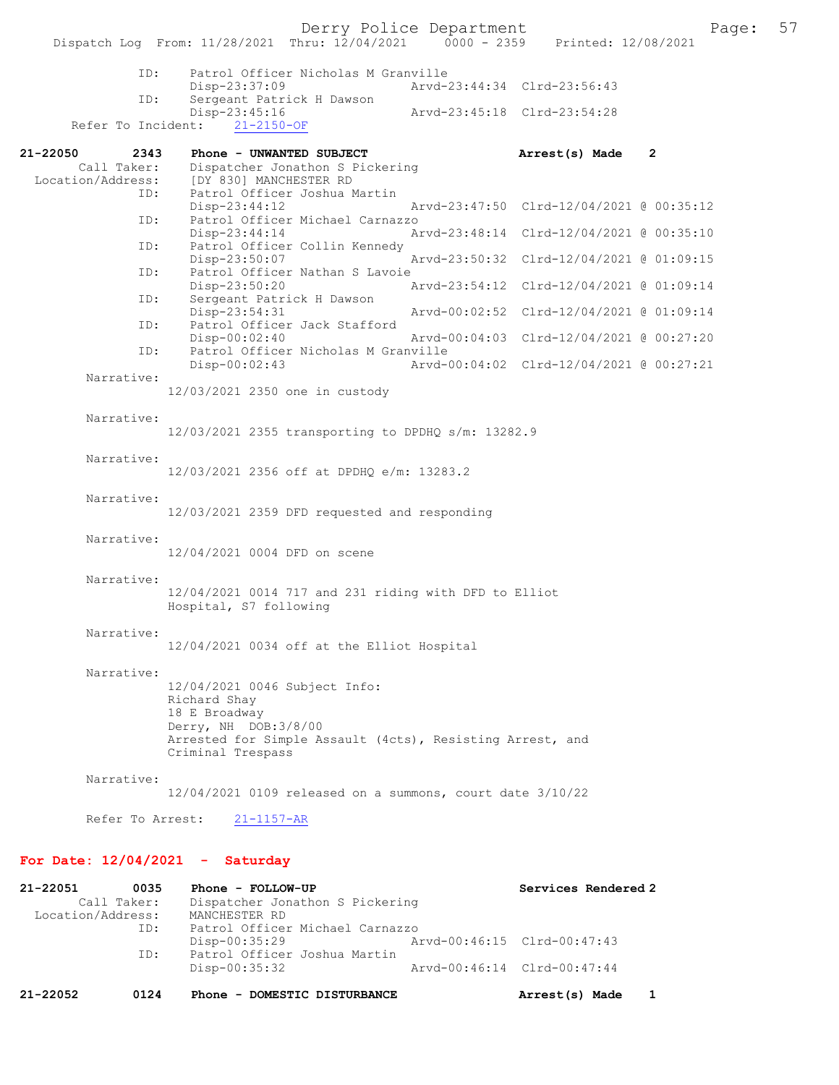Derry Police Department Page: 57 Dispatch Log From: 11/28/2021 Thru: 12/04/2021 ID: Patrol Officer Nicholas M Granville Disp-23:37:09 Arvd-23:44:34 Clrd-23:56:43<br>TD: Sergeant Patrick H Dawson Sergeant Patrick H Dawson<br>Disp-23:45:16 Disp-23:45:16 Arvd-23:45:18 Clrd-23:54:28 Refer To Incident: 21-22050 2343 Phone - UNWANTED SUBJECT **Arrest(s) Made 2**<br>Call Taker: Dispatcher Jonathon S Pickering Call Taker: Dispatcher Jonathon S Pickering<br>Location/Address: [DY 830] MANCHESTER RD ess: [DY 830] MANCHESTER RD<br>ID: Patrol Officer Joshua N Patrol Officer Joshua Martin<br>Disp-23:44:12 Disp-23:44:12 Arvd-23:47:50 Clrd-12/04/2021 @ 00:35:12 ID: Patrol Officer Michael Carnazzo Disp-23:44:14 Arvd-23:48:14 Clrd-12/04/2021 @ 00:35:10<br>ID: Patrol Officer Collin Kennedy Patrol Officer Collin Kennedy Disp-23:50:07 Arvd-23:50:32 Clrd-12/04/2021 @ 01:09:15 ID: Patrol Officer Nathan S Lavoie<br>Disp-23:50:20 Disp-23:50:20 Arvd-23:54:12 Clrd-12/04/2021 @ 01:09:14 ID: Sergeant Patrick H Dawson<br>Disp-23:54:31 Disp-23:54:31 Arvd-00:02:52 Clrd-12/04/2021 @ 01:09:14<br>ID: Patrol Officer Jack Stafford Patrol Officer Jack Stafford<br>Disp-00:02:40 Disp-00:02:40 Arvd-00:04:03 Clrd-12/04/2021 @ 00:27:20 ID: Patrol Officer Nicholas M Granville Disp-00:02:43 Arvd-00:04:02 Clrd-12/04/2021 @ 00:27:21 Narrative: 12/03/2021 2350 one in custody Narrative: 12/03/2021 2355 transporting to DPDHQ s/m: 13282.9 Narrative: 12/03/2021 2356 off at DPDHQ e/m: 13283.2 Narrative: 12/03/2021 2359 DFD requested and responding Narrative: 12/04/2021 0004 DFD on scene Narrative: 12/04/2021 0014 717 and 231 riding with DFD to Elliot Hospital, S7 following Narrative: 12/04/2021 0034 off at the Elliot Hospital Narrative: 12/04/2021 0046 Subject Info: Richard Shay 18 E Broadway Derry, NH DOB:3/8/00 Arrested for Simple Assault (4cts), Resisting Arrest, and Criminal Trespass Narrative: 12/04/2021 0109 released on a summons, court date 3/10/22 Refer To Arrest: 21-1157-AR

## For Date: 12/04/2021 - Saturday

| 21-22051          | 0035        | Phone - FOLLOW-UP               | Services Rendered 2         |  |
|-------------------|-------------|---------------------------------|-----------------------------|--|
|                   | Call Taker: | Dispatcher Jonathon S Pickering |                             |  |
| Location/Address: |             | MANCHESTER RD                   |                             |  |
|                   | ID:         | Patrol Officer Michael Carnazzo |                             |  |
|                   |             | Disp-00:35:29                   | Arvd-00:46:15 Clrd-00:47:43 |  |
|                   | ID:         | Patrol Officer Joshua Martin    |                             |  |
|                   |             | Disp-00:35:32                   | Arvd-00:46:14 Clrd-00:47:44 |  |
| 21-22052          | 0124        | Phone - DOMESTIC DISTURBANCE    | Arrest(s) Made              |  |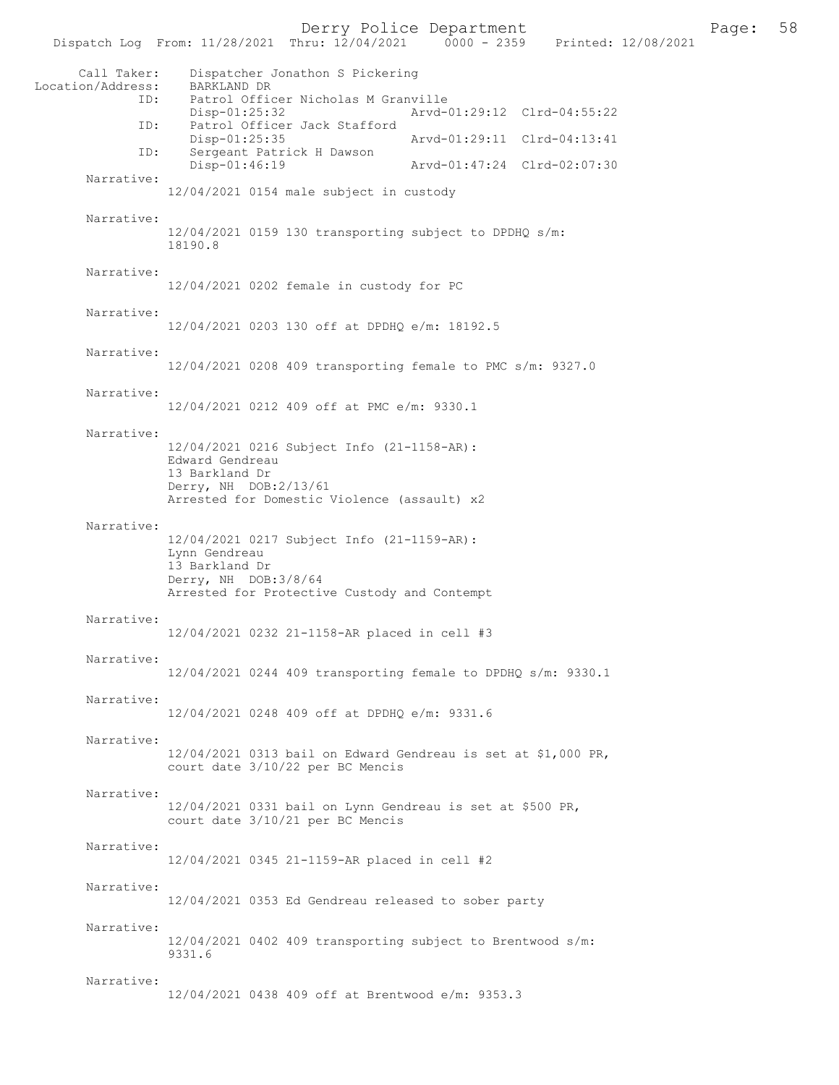Derry Police Department<br>hru:  $12/04/2021$  0000 - 2359 Printed:  $12/08/2021$  98 Dispatch Log From: 11/28/2021 Thru: 12/04/2021 Call Taker: Dispatcher Jonathon S Pickering Location/Address: BARKLAND DR ID: Patrol Officer Nicholas M Granville<br>Disp-01:25:32 Arvd- Disp-01:25:32 Arvd-01:29:12 Clrd-04:55:22 Patrol Officer Jack Stafford Disp-01:25:35 Arvd-01:29:11 Clrd-04:13:41 ID: Sergeant Patrick H Dawson Arvd-01:47:24 Clrd-02:07:30 Narrative: 12/04/2021 0154 male subject in custody Narrative: 12/04/2021 0159 130 transporting subject to DPDHQ s/m: 18190.8 Narrative: 12/04/2021 0202 female in custody for PC Narrative: 12/04/2021 0203 130 off at DPDHQ e/m: 18192.5 Narrative: 12/04/2021 0208 409 transporting female to PMC s/m: 9327.0 Narrative: 12/04/2021 0212 409 off at PMC e/m: 9330.1 Narrative: 12/04/2021 0216 Subject Info (21-1158-AR): Edward Gendreau 13 Barkland Dr Derry, NH DOB:2/13/61 Arrested for Domestic Violence (assault) x2 Narrative: 12/04/2021 0217 Subject Info (21-1159-AR): Lynn Gendreau 13 Barkland Dr Derry, NH DOB:3/8/64 Arrested for Protective Custody and Contempt Narrative: 12/04/2021 0232 21-1158-AR placed in cell #3 Narrative: 12/04/2021 0244 409 transporting female to DPDHQ s/m: 9330.1 Narrative: 12/04/2021 0248 409 off at DPDHQ e/m: 9331.6 Narrative: 12/04/2021 0313 bail on Edward Gendreau is set at \$1,000 PR, court date 3/10/22 per BC Mencis Narrative: 12/04/2021 0331 bail on Lynn Gendreau is set at \$500 PR, court date 3/10/21 per BC Mencis Narrative: 12/04/2021 0345 21-1159-AR placed in cell #2 Narrative: 12/04/2021 0353 Ed Gendreau released to sober party Narrative: 12/04/2021 0402 409 transporting subject to Brentwood s/m: 9331.6 Narrative: 12/04/2021 0438 409 off at Brentwood e/m: 9353.3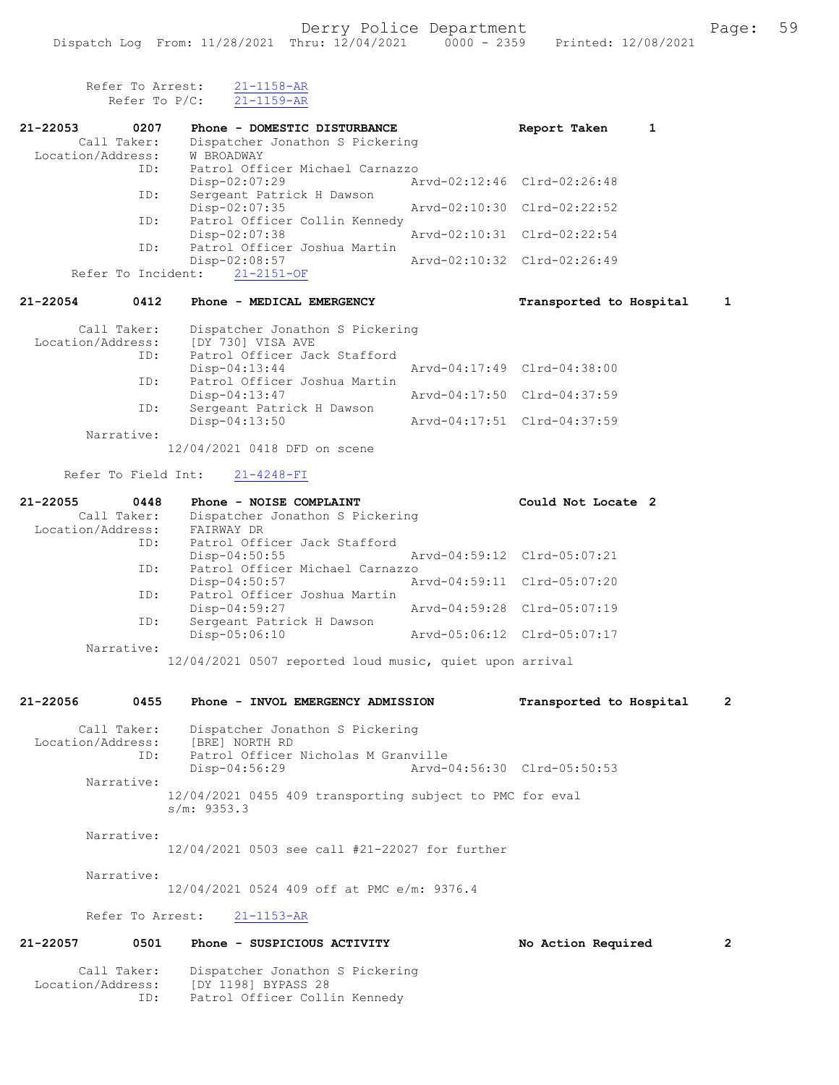| Refer To Arrest:<br>Refer To $P/C$ :                 | $21 - 1158 - AR$<br>$21 - 1159 - AR$                                                                      |                             |                |
|------------------------------------------------------|-----------------------------------------------------------------------------------------------------------|-----------------------------|----------------|
| 21-22053<br>0207                                     | Phone - DOMESTIC DISTURBANCE                                                                              | Report Taken<br>1           |                |
| Call Taker:<br>Location/Address:                     | Dispatcher Jonathon S Pickering<br>W BROADWAY                                                             |                             |                |
| ID:                                                  | Patrol Officer Michael Carnazzo                                                                           |                             |                |
| ID:                                                  | Disp-02:07:29<br>Sergeant Patrick H Dawson                                                                | Arvd-02:12:46 Clrd-02:26:48 |                |
| ID:                                                  | Disp-02:07:35<br>Patrol Officer Collin Kennedy                                                            | Arvd-02:10:30 Clrd-02:22:52 |                |
|                                                      | Disp-02:07:38                                                                                             | Arvd-02:10:31 Clrd-02:22:54 |                |
| ID:                                                  | Patrol Officer Joshua Martin<br>Disp-02:08:57                                                             | Arvd-02:10:32 Clrd-02:26:49 |                |
| Refer To Incident:                                   | $21 - 2151 - OF$                                                                                          |                             |                |
| 21-22054<br>0412                                     | Phone - MEDICAL EMERGENCY                                                                                 | Transported to Hospital     | $\mathbf{1}$   |
| Call Taker:<br>Location/Address:<br>ID:              | Dispatcher Jonathon S Pickering<br>[DY 730] VISA AVE<br>Patrol Officer Jack Stafford                      |                             |                |
|                                                      | Disp-04:13:44                                                                                             | Arvd-04:17:49 Clrd-04:38:00 |                |
| ID:                                                  | Patrol Officer Joshua Martin<br>Disp-04:13:47                                                             | Arvd-04:17:50 Clrd-04:37:59 |                |
| ID:                                                  | Sergeant Patrick H Dawson<br>Disp-04:13:50                                                                | Arvd-04:17:51 Clrd-04:37:59 |                |
| Narrative:                                           | 12/04/2021 0418 DFD on scene                                                                              |                             |                |
| Refer To Field Int:                                  | $21 - 4248 - FI$                                                                                          |                             |                |
| 21-22055<br>0448<br>Call Taker:<br>Location/Address: | Phone - NOISE COMPLAINT<br>Dispatcher Jonathon S Pickering<br>FAIRWAY DR                                  | Could Not Locate 2          |                |
| ID:                                                  | Patrol Officer Jack Stafford<br>$Disp-04:50:55$                                                           | Arvd-04:59:12 Clrd-05:07:21 |                |
| ID:                                                  | Patrol Officer Michael Carnazzo<br>Disp-04:50:57                                                          | Arvd-04:59:11 Clrd-05:07:20 |                |
| ID:                                                  | Patrol Officer Joshua Martin<br>Disp-04:59:27                                                             | Arvd-04:59:28 Clrd-05:07:19 |                |
| ID:                                                  | Sergeant Patrick H Dawson<br>Disp-05:06:10                                                                | Arvd-05:06:12 Clrd-05:07:17 |                |
| Narrative:                                           | 12/04/2021 0507 reported loud music, quiet upon arrival                                                   |                             |                |
| 21-22056<br>0455                                     | Phone - INVOL EMERGENCY ADMISSION                                                                         | Transported to Hospital     | $\overline{2}$ |
| Call Taker:<br>Location/Address:<br>ID:              | Dispatcher Jonathon S Pickering<br>[BRE] NORTH RD<br>Patrol Officer Nicholas M Granville<br>Disp-04:56:29 | Aryd-04:56:30 Clrd-05:50:53 |                |
| Narrative:                                           | 12/04/2021 0455 409 transporting subject to PMC for eval<br>s/m: 9353.3                                   |                             |                |
| Narrative:                                           | 12/04/2021 0503 see call #21-22027 for further                                                            |                             |                |
| Narrative:                                           | 12/04/2021 0524 409 off at PMC e/m: 9376.4                                                                |                             |                |
| Refer To Arrest:                                     | $21 - 1153 - AR$                                                                                          |                             |                |
| 21-22057<br>0501                                     | Phone - SUSPICIOUS ACTIVITY                                                                               | No Action Required          | $\overline{2}$ |
| Call Taker:<br>Location/Address:                     | Dispatcher Jonathon S Pickering<br>[DY 1198] BYPASS 28                                                    |                             |                |

ID: Patrol Officer Collin Kennedy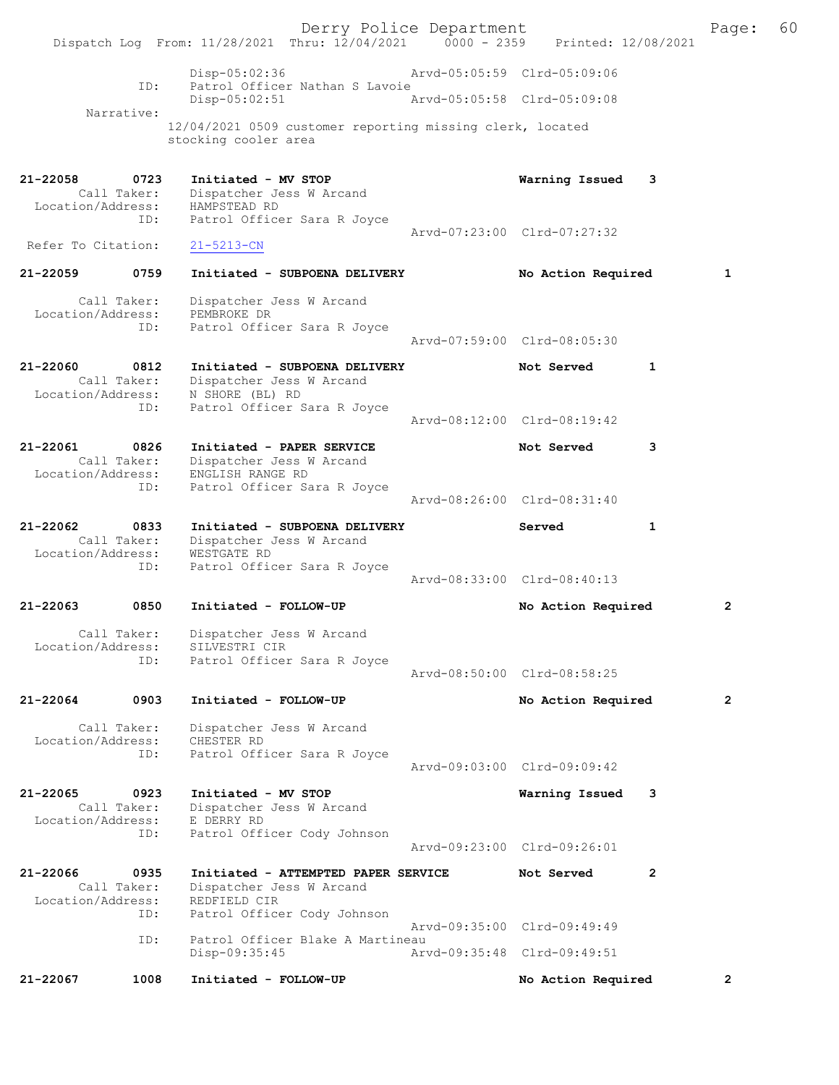Derry Police Department [12/08/2021 | Page: 60<br>
Phru: 12/04/2021 | 0000 - 2359 | Printed: 12/08/2021 Dispatch Log From: 11/28/2021 Thru: 12/04/2021 0000 - 2359 Disp-05:02:36 Arvd-05:05:59 Clrd-05:09:06 ID: Patrol Officer Nathan S Lavoie<br>Disp-05:02:51 Arvd-05:05:58 Clrd-05:09:08 Disp-05:02:51 Narrative: 12/04/2021 0509 customer reporting missing clerk, located stocking cooler area 21-22058 0723 Initiated - MV STOP Warning Issued 3 Call Taker: Dispatcher Jess W Arcand Location/Address: HAMPSTEAD RD ID: Patrol Officer Sara R Joyce Arvd-07:23:00 Clrd-07:27:32<br>21-5213-CN Refer To Citation: 21-22059 0759 Initiated - SUBPOENA DELIVERY No Action Required 1 Call Taker: Dispatcher Jess W Arcand Location/Address: PEMBROKE DR<br>TD: Patrol Offic Patrol Officer Sara R Joyce Arvd-07:59:00 Clrd-08:05:30 21-22060 0812 Initiated - SUBPOENA DELIVERY Not Served 1 Call Taker: Dispatcher Jess W Arcand Location/Address: N SHORE (BL) RD ID: Patrol Officer Sara R Joyce Arvd-08:12:00 Clrd-08:19:42 21-22061 0826 Initiated - PAPER SERVICE Not Served 3 Call Taker: Dispatcher Jess W Arcand Location/Address: ENGLISH RANGE RD ID: Patrol Officer Sara R Joyce Arvd-08:26:00 Clrd-08:31:40 21-22062 0833 Initiated - SUBPOENA DELIVERY Served 1 Call Taker: Dispatcher Jess W Arcand Location/Address: WESTGATE RD ID: Patrol Officer Sara R Joyce Arvd-08:33:00 Clrd-08:40:13 21-22063 0850 Initiated - FOLLOW-UP No Action Required 2 Call Taker: Dispatcher Jess W Arcand Location/Address: SILVESTRI CIR ID: Patrol Officer Sara R Joyce Arvd-08:50:00 Clrd-08:58:25 21-22064 0903 Initiated - FOLLOW-UP No Action Required 2 Call Taker: Dispatcher Jess W Arcand Location/Address: CHESTER RD ID: Patrol Officer Sara R Joyce Arvd-09:03:00 Clrd-09:09:42 21-22065 0923 Initiated - MV STOP Warning Issued 3 Call Taker: Dispatcher Jess W Arcand Location/Address: E DERRY RD ID: Patrol Officer Cody Johnson Arvd-09:23:00 Clrd-09:26:01 21-22066 0935 Initiated - ATTEMPTED PAPER SERVICE Not Served 2 Call Taker: Dispatcher Jess W Arcand Location/Address: REDFIELD CIR ID: Patrol Officer Cody Johnson Arvd-09:35:00 Clrd-09:49:49<br>TD: Patrol Officer Blake A Martineau Patrol Officer Blake A Martineau<br>Disp-09:35:45 Art Disp-09:35:45 Arvd-09:35:48 Clrd-09:49:51 21-22067 1008 Initiated - FOLLOW-UP No Action Required 2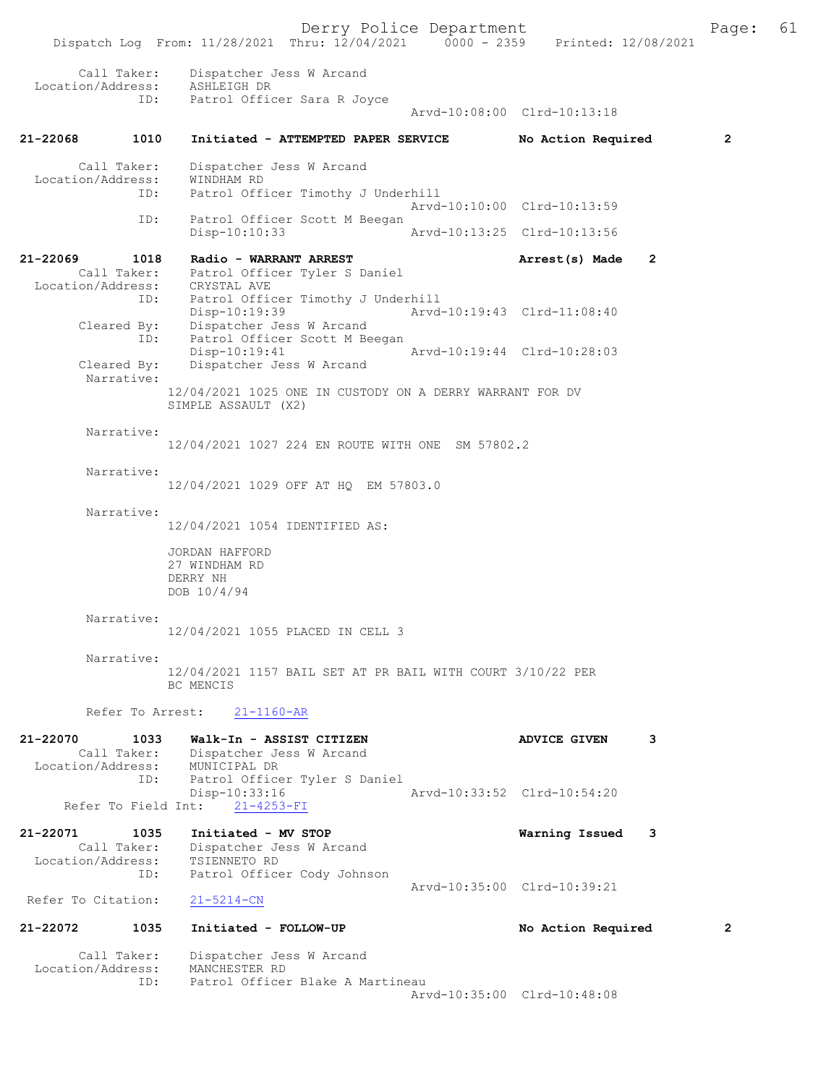Derry Police Department Fage: 61 Dispatch Log From: 11/28/2021 Thru: 12/04/2021 0000 - 2359 Printed: 12/08/2021 Call Taker: Dispatcher Jess W Arcand Location/Address: ASHLEIGH DR ID: Patrol Officer Sara R Joyce Arvd-10:08:00 Clrd-10:13:18 21-22068 1010 Initiated - ATTEMPTED PAPER SERVICE No Action Required 2 Call Taker: Dispatcher Jess W Arcand Location/Address: WINDHAM RD ID: Patrol Officer Timothy J Underhill Patrol Officer Timothy J Underhill<br>Arvd-10:10:00 Clrd-10:13:59 ID: Patrol Officer Scott M Beegan Disp-10:10:33 Arvd-10:13:25 Clrd-10:13:56 21-22069 1018 Radio - WARRANT ARREST 2 Arrest(s) Made 2 Call Taker: Patrol Officer Tyler S Daniel Location/Address: CRYSTAL AVE ID: Patrol Officer Timothy J Underhill<br>Disp-10:19:39 Arvd-10:19:43 Clrd-11:08:40 Disp-10:19:39 Arvd-10:19:43 Clrd-11:08:40 Cleared By: Dispatcher Jess W Arcand ID: Patrol Officer Scott M Beegan Disp-10:19:41 Arvd-10:19:44 Clrd-10:28:03<br>Cleared By: Dispatcher Jess W Arcand Dispatcher Jess W Arcand Narrative: 12/04/2021 1025 ONE IN CUSTODY ON A DERRY WARRANT FOR DV SIMPLE ASSAULT (X2) Narrative: 12/04/2021 1027 224 EN ROUTE WITH ONE SM 57802.2 Narrative: 12/04/2021 1029 OFF AT HQ EM 57803.0 Narrative: 12/04/2021 1054 IDENTIFIED AS: JORDAN HAFFORD 27 WINDHAM RD DERRY NH DOB 10/4/94 Narrative: 12/04/2021 1055 PLACED IN CELL 3 Narrative: 12/04/2021 1157 BAIL SET AT PR BAIL WITH COURT 3/10/22 PER BC MENCIS Refer To Arrest: 21-1160-AR 21-22070 1033 Walk-In - ASSIST CITIZEN ADVICE GIVEN 3 Call Taker: Dispatcher Jess W Arcand Location/Address: MUNICIPAL DR ID: Patrol Officer Tyler S Daniel Disp-10:33:16 Arvd-10:33:52 Clrd-10:54:20 Refer To Field Int: 21-4253-FI 21-22071 1035 Initiated - MV STOP Warning Issued 3 Call Taker: Dispatcher Jess W Arcand Location/Address: TSIENNETO RD ID: Patrol Officer Cody Johnson Arvd-10:35:00 Clrd-10:39:21 Refer To Citation: 21-5214-CN 21-22072 1035 Initiated - FOLLOW-UP No Action Required 2 Call Taker: Dispatcher Jess W Arcand Location/Address: MANCHESTER RD ID: Patrol Officer Blake A Martineau Arvd-10:35:00 Clrd-10:48:08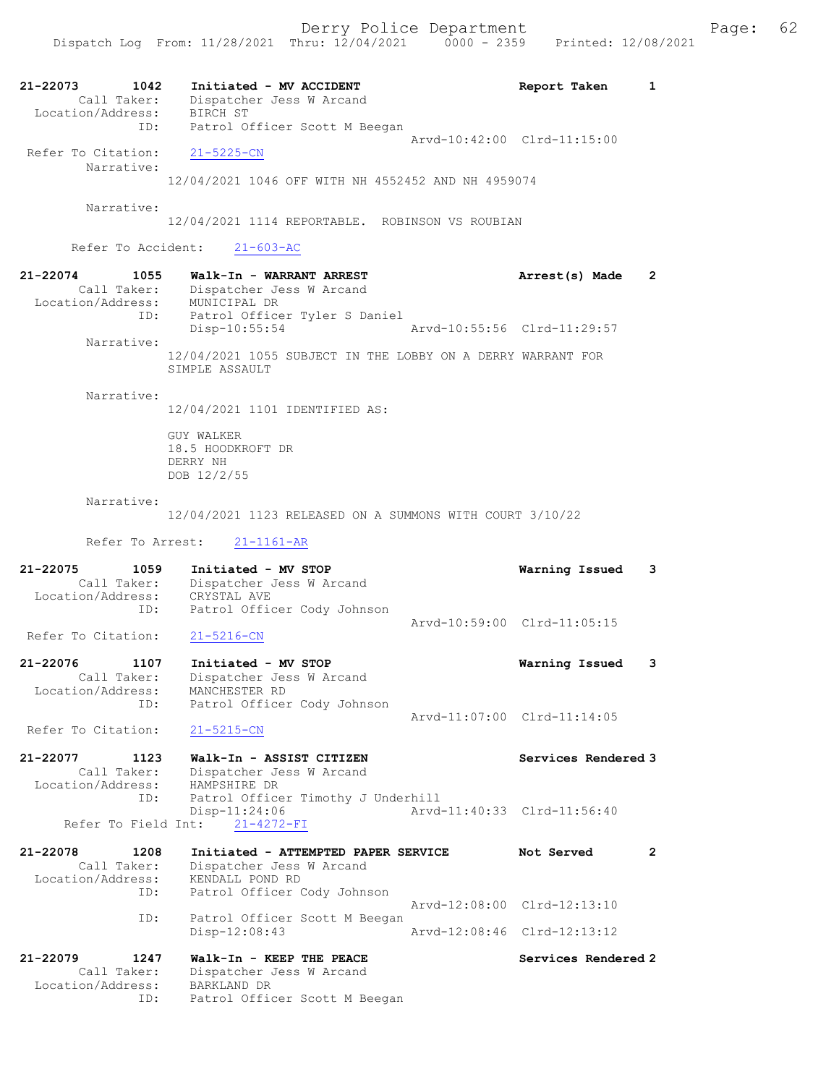21-22073 1042 Initiated - MV ACCIDENT 1 Report Taken 1 Call Taker: Dispatcher Jess W Arcand Location/Address: BIRCH ST ID: Patrol Officer Scott M Beegan Arvd-10:42:00 Clrd-11:15:00 Refer To Citation: 21-5225-CN Narrative: 12/04/2021 1046 OFF WITH NH 4552452 AND NH 4959074 Narrative: 12/04/2021 1114 REPORTABLE. ROBINSON VS ROUBIAN Refer To Accident: 21-603-AC 21-22074 1055 Walk-In - WARRANT ARREST Arrest(s) Made 2 Call Taker: Dispatcher Jess W Arcand Location/Address: MUNICIPAL DR ID: Patrol Officer Tyler S Daniel Disp-10:55:54 Arvd-10:55:56 Clrd-11:29:57 Narrative: 12/04/2021 1055 SUBJECT IN THE LOBBY ON A DERRY WARRANT FOR SIMPLE ASSAULT Narrative: 12/04/2021 1101 IDENTIFIED AS: GUY WALKER 18.5 HOODKROFT DR DERRY NH DOB 12/2/55 Narrative: 12/04/2021 1123 RELEASED ON A SUMMONS WITH COURT 3/10/22 Refer To Arrest: 21-1161-AR 21-22075 1059 Initiated - MV STOP Warning Issued 3 Call Taker: Dispatcher Jess W Arcand Location/Address: CRYSTAL AVE ID: Patrol Officer Cody Johnson Arvd-10:59:00 Clrd-11:05:15 Refer To Citation: 21-5216-CN 21-22076 1107 Initiated - MV STOP Warning Issued 3 Call Taker: Dispatcher Jess W Arcand Location/Address: MANCHESTER RD ID: Patrol Officer Cody Johnson Arvd-11:07:00 Clrd-11:14:05 Refer To Citation: 21-5215-CN 21-22077 1123 Walk-In - ASSIST CITIZEN Services Rendered 3 Call Taker: Dispatcher Jess W Arcand Location/Address: HAMPSHIRE DR ID: Patrol Officer Timothy J Underhill Disp-11:24:06 Arvd-11:40:33 Clrd-11:56:40 Refer To Field Int: 21-4272-FI 21-22078 1208 Initiated - ATTEMPTED PAPER SERVICE Not Served 2 Call Taker: Dispatcher Jess W Arcand Location/Address: KENDALL POND RD ID: Patrol Officer Cody Johnson Arvd-12:08:00 Clrd-12:13:10 ID: Patrol Officer Scott M Beegan Disp-12:08:43 Arvd-12:08:46 Clrd-12:13:12 21-22079 1247 Walk-In - KEEP THE PEACE Services Rendered 2 Call Taker: Dispatcher Jess W Arcand<br>tion/Address: BARKLAND DR Location/Address:<br>ID: Patrol Officer Scott M Beegan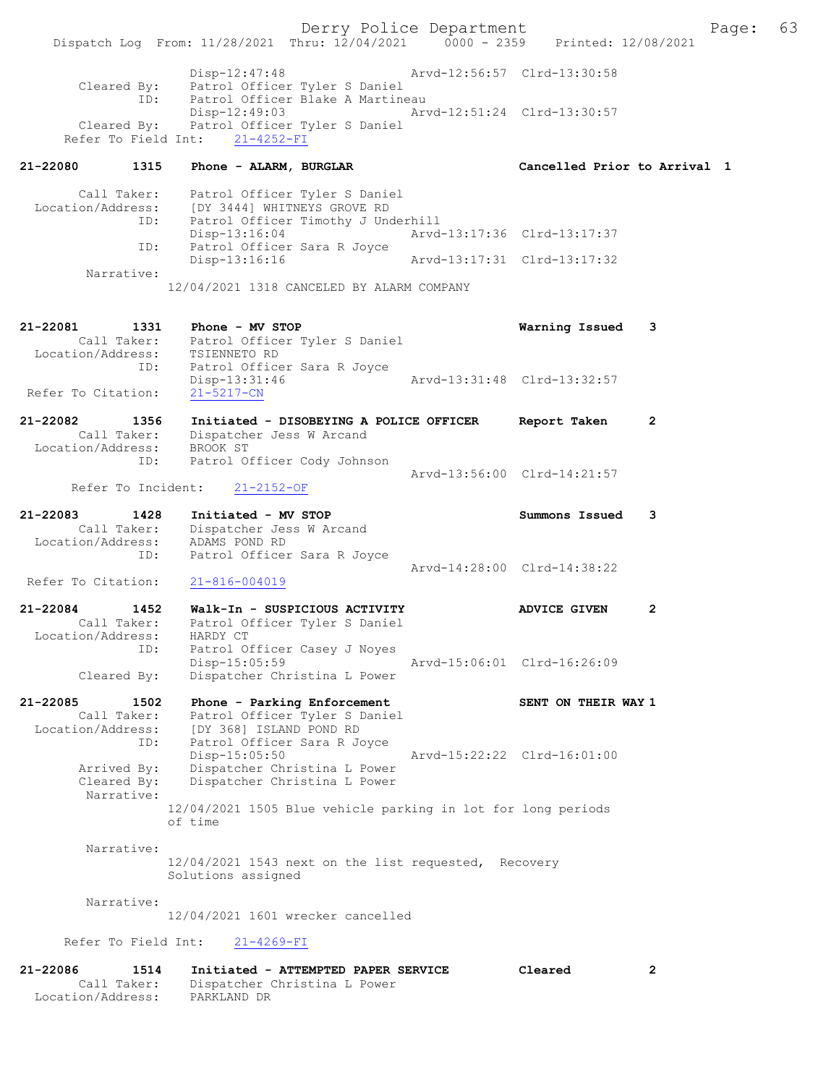Derry Police Department Fage: 63 Dispatch Log From:  $11/28/2021$  Thru:  $12/04/2021$  0000 - 2359 Printed: 12/08/2021 Disp-12:47:48 Arvd-12:56:57 Clrd-13:30:58 Cleared By: Patrol Officer Tyler S Daniel ID: Patrol Officer Blake A Martineau Disp-12:49:03 Arvd-12:51:24 Clrd-13:30:57 Cleared By: Patrol Officer Tyler S Daniel Refer To Field Int:  $21-4252-FI$ 21-22080 1315 Phone - ALARM, BURGLAR Cancelled Prior to Arrival 1 Call Taker: Patrol Officer Tyler S Daniel Location/Address: [DY 3444] WHITNEYS GROVE RD ID: Patrol Officer Timothy J Underhill Disp-13:16:04 Arvd-13:17:36 Clrd-13:17:37<br>ID: Patrol Officer Sara R Joyce Patrol Officer Sara R Joyce<br>Disp-13:16:16 Disp-13:16:16 Arvd-13:17:31 Clrd-13:17:32 Narrative: 12/04/2021 1318 CANCELED BY ALARM COMPANY 21-22081 1331 Phone - MV STOP Warning Issued 3 Call Taker: Patrol Officer Tyler S Daniel Location/Address: TSIENNETO RD ID: Patrol Officer Sara R Joyce Disp-13:31:46 Arvd-13:31:48 Clrd-13:32:57 Refer To Citation: 21-5217-CN 21-22082 1356 Initiated - DISOBEYING A POLICE OFFICER Report Taken 2 Call Taker: Dispatcher Jess W Arcand Location/Address: BROOK ST ID: Patrol Officer Cody Johnson Arvd-13:56:00 Clrd-14:21:57<br>21-2152-OF Arvd-13:56:00 Clrd-14:21:57 Refer To Incident: 21-22083 1428 Initiated - MV STOP Summons Issued 3 Call Taker: Dispatcher Jess W Arcand Location/Address: ADAMS POND RD ID: Patrol Officer Sara R Joyce Arvd-14:28:00 Clrd-14:38:22 Refer To Citation: 21-816-004019 21-22084 1452 Walk-In - SUSPICIOUS ACTIVITY ADVICE GIVEN 2 Call Taker: Patrol Officer Tyler S Daniel Location/Address: HARDY CT ID: Patrol Officer Casey J Noyes Disp-15:05:59 Arvd-15:06:01 Clrd-16:26:09 Cleared By: Dispatcher Christina L Power 21-22085 1502 Phone - Parking Enforcement New SENT ON THEIR WAY 1 Call Taker: Patrol Officer Tyler S Daniel Location/Address: [DY 368] ISLAND POND RD ID: Patrol Officer Sara R Joyce Disp-15:05:50 Arvd-15:22:22 Clrd-16:01:00 Arrived By: Dispatcher Christina L Power Cleared By: Dispatcher Christina L Power Narrative: 12/04/2021 1505 Blue vehicle parking in lot for long periods of time Narrative: 12/04/2021 1543 next on the list requested, Recovery Solutions assigned Narrative: 12/04/2021 1601 wrecker cancelled Refer To Field Int: 21-4269-FI 21-22086 1514 Initiated - ATTEMPTED PAPER SERVICE Cleared 2 Call Taker: Dispatcher Christina L Power

Location/Address: PARKLAND DR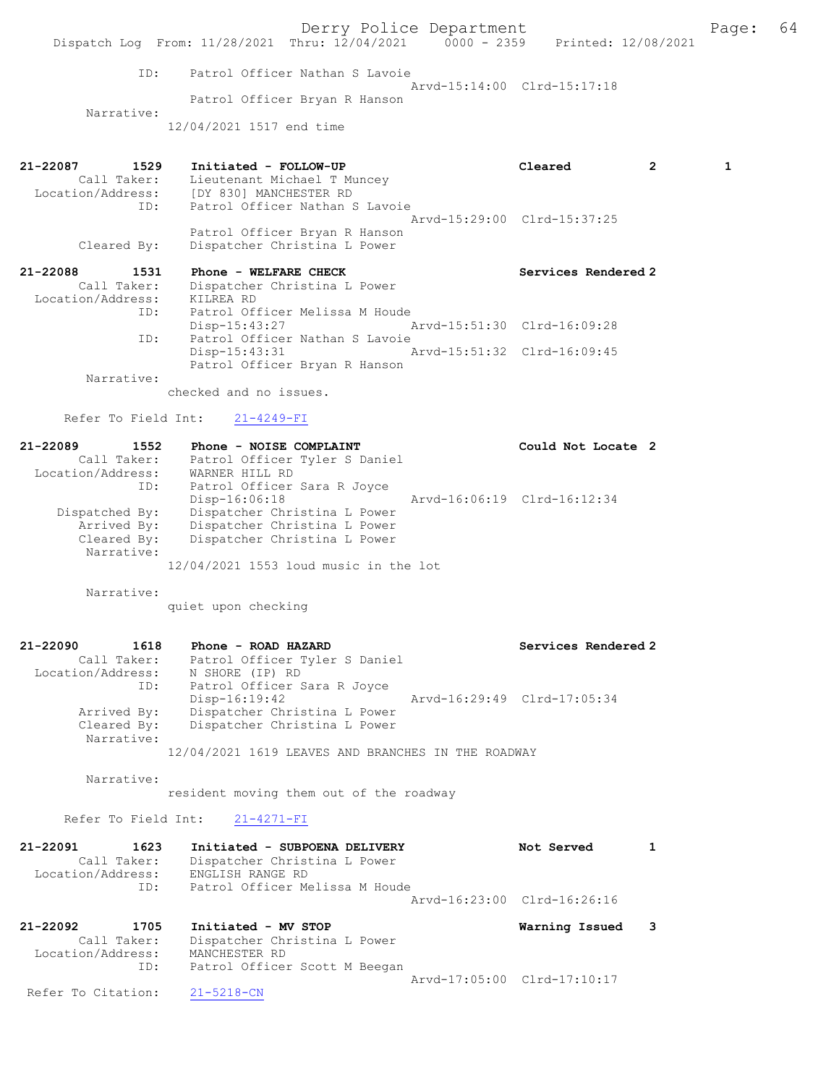Derry Police Department Fage: 64 Dispatch Log From: 11/28/2021 Thru: 12/04/2021 0000 - 2359 Printed: 12/08/2021 ID: Patrol Officer Nathan S Lavoie Arvd-15:14:00 Clrd-15:17:18 Patrol Officer Bryan R Hanson Narrative: 12/04/2021 1517 end time 21-22087 1529 Initiated - FOLLOW-UP Cleared 2 1 Call Taker: Lieutenant Michael T Muncey Location/Address: [DY 830] MANCHESTER RD ID: Patrol Officer Nathan S Lavoie Arvd-15:29:00 Clrd-15:37:25 Patrol Officer Bryan R Hanson<br>Cleared By: Dispatcher Christina L Power Dispatcher Christina L Power

## 21-22088 1531 Phone - WELFARE CHECK Services Rendered 2 Call Taker: Dispatcher Christina L Power Location/Address: KILREA RD<br>ID: Patrol Of: Patrol Officer Melissa M Houde<br>Disp-15:43:27 Disp-15:43:27 Arvd-15:51:30 Clrd-16:09:28 ID: Patrol Officer Nathan S Lavoie Disp-15:43:31 Arvd-15:51:32 Clrd-16:09:45 Patrol Officer Bryan R Hanson

Narrative:

checked and no issues.

## Refer To Field Int: 21-4249-FI

| 21-22089<br>1552  | Phone - NOISE COMPLAINT               | Could Not Locate 2          |  |
|-------------------|---------------------------------------|-----------------------------|--|
| Call Taker:       | Patrol Officer Tyler S Daniel         |                             |  |
| Location/Address: | WARNER HILL RD                        |                             |  |
| ID:               | Patrol Officer Sara R Joyce           |                             |  |
|                   | Disp-16:06:18                         | Arvd-16:06:19 Clrd-16:12:34 |  |
| Dispatched By:    | Dispatcher Christina L Power          |                             |  |
| Arrived By:       | Dispatcher Christina L Power          |                             |  |
| Cleared By:       | Dispatcher Christina L Power          |                             |  |
| Narrative:        |                                       |                             |  |
|                   | 12/04/2021 1553 loud music in the lot |                             |  |

Narrative:

quiet upon checking

## 21-22090 1618 Phone - ROAD HAZARD Services Rendered 2 Call Taker: Patrol Officer Tyler S Daniel Location/Address: N SHORE (IP) RD ID: Patrol Officer Sara R Joyce Disp-16:19:42 Arvd-16:29:49 Clrd-17:05:34 Arrived By: Dispatcher Christina L Power Cleared By: Dispatcher Christina L Power Narrative: 12/04/2021 1619 LEAVES AND BRANCHES IN THE ROADWAY

Narrative:

resident moving them out of the roadway

#### Refer To Field Int: 21-4271-FI

| 21-22091<br>1623<br>Call Taker:<br>Location/Address:<br>ID: |             | Initiated - SUBPOENA DELIVERY<br>Dispatcher Christina L Power<br>ENGLISH RANGE RD<br>Patrol Officer Melissa M Houde | Not Served                  |  |
|-------------------------------------------------------------|-------------|---------------------------------------------------------------------------------------------------------------------|-----------------------------|--|
|                                                             |             |                                                                                                                     | Arvd-16:23:00 Clrd-16:26:16 |  |
| 21-22092                                                    | 1705        | Initiated - MV STOP                                                                                                 | Warning Issued              |  |
| Location/Address:                                           | Call Taker: | Dispatcher Christina L Power<br>MANCHESTER RD                                                                       |                             |  |
|                                                             | ID:         | Patrol Officer Scott M Beegan                                                                                       | Arvd-17:05:00 Clrd-17:10:17 |  |

Refer To Citation: 21-5218-CN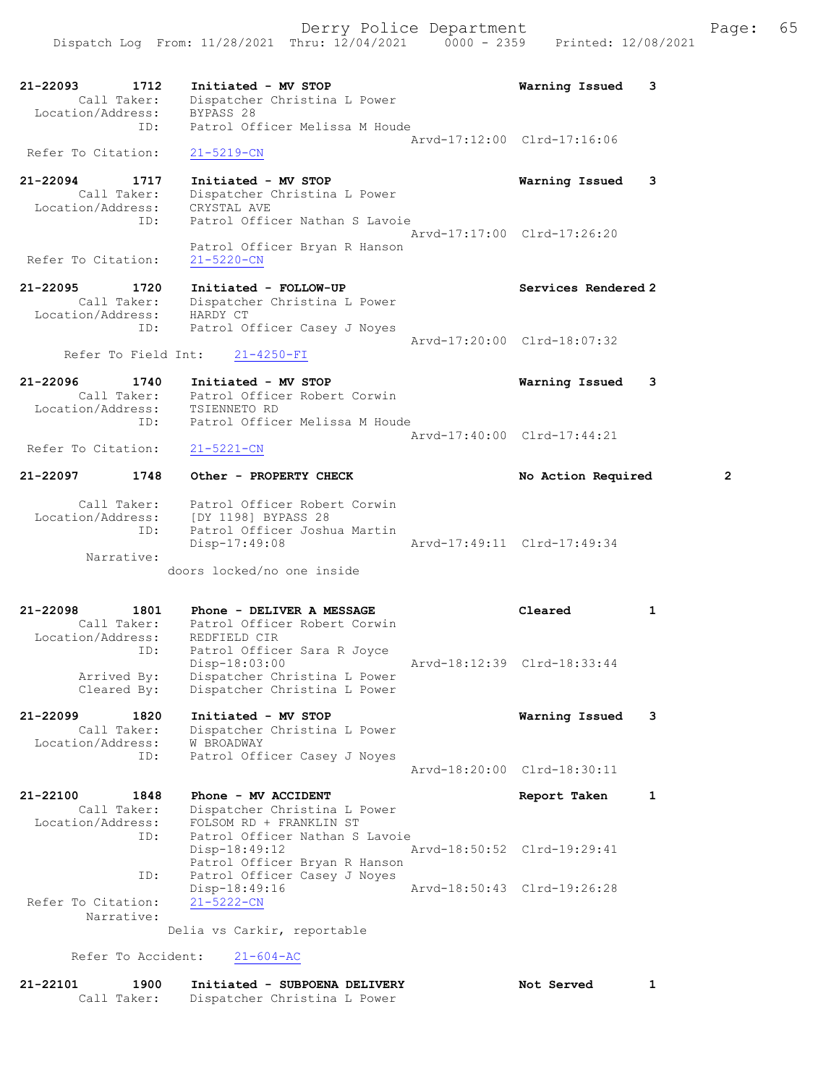21-22093 1712 Initiated - MV STOP Warning Issued 3 Call Taker: Dispatcher Christina L Power Location/Address: BYPASS 28 ID: Patrol Officer Melissa M Houde Arvd-17:12:00 Clrd-17:16:06 Refer To Citation: 21-5219-CN 21-22094 1717 Initiated - MV STOP Warning Issued 3 Call Taker: Dispatcher Christina L Power Location/Address: CRYSTAL AVE ID: Patrol Officer Nathan S Lavoie Arvd-17:17:00 Clrd-17:26:20 Patrol Officer Bryan R Hanson Refer To Citation: 21-5220-CN 21-22095 1720 Initiated - FOLLOW-UP Services Rendered 2 Call Taker: Dispatcher Christina L Power Location/Address: HARDY CT ID: Patrol Officer Casey J Noyes Arvd-17:20:00 Clrd-18:07:32 Refer To Field Int: 21-4250-FI 21-22096 1740 Initiated - MV STOP Warning Issued 3 Call Taker: Patrol Officer Robert Corwin Location/Address: TSIENNETO RD ID: Patrol Officer Melissa M Houde Arvd-17:40:00 Clrd-17:44:21<br>
21-5221-CN Refer To Citation: 21-22097 1748 Other - PROPERTY CHECK No Action Required 2 Call Taker: Patrol Officer Robert Corwin Location/Address: [DY 1198] BYPASS 28 ID: Patrol Officer Joshua Martin Disp-17:49:08 Arvd-17:49:11 Clrd-17:49:34 Narrative: doors locked/no one inside 21-22098 1801 Phone - DELIVER A MESSAGE Cleared 1 Call Taker: Patrol Officer Robert Corwin Location/Address: REDFIELD CIR ID: Patrol Officer Sara R Joyce Disp-18:03:00 Arvd-18:12:39 Clrd-18:33:44 Arrived By: Dispatcher Christina L Power Cleared By: Dispatcher Christina L Power 21-22099 1820 Initiated - MV STOP Warning Issued 3 Call Taker: Dispatcher Christina L Power Location/Address: W BROADWAY ess. Wenomenii<br>ID: Patrol Officer Casey J Noyes Arvd-18:20:00 Clrd-18:30:11 21-22100 1848 Phone - MV ACCIDENT Report Taken 1 Call Taker: Dispatcher Christina L Power Location/Address: FOLSOM RD + FRANKLIN ST ID: Patrol Officer Nathan S Lavoie Disp-18:49:12 Arvd-18:50:52 Clrd-19:29:41 Patrol Officer Bryan R Hanson ID: Patrol Officer Casey J Noyes Disp-18:49:16 Arvd-18:50:43 Clrd-19:26:28 Refer To Citation: 21-5222-CN Narrative: Delia vs Carkir, reportable

Refer To Accident: 21-604-AC

| 21-22101 | 1900        | Initiated - SUBPOENA DELIVERY | Not Served |  |
|----------|-------------|-------------------------------|------------|--|
|          | Call Taker: | Dispatcher Christina L Power  |            |  |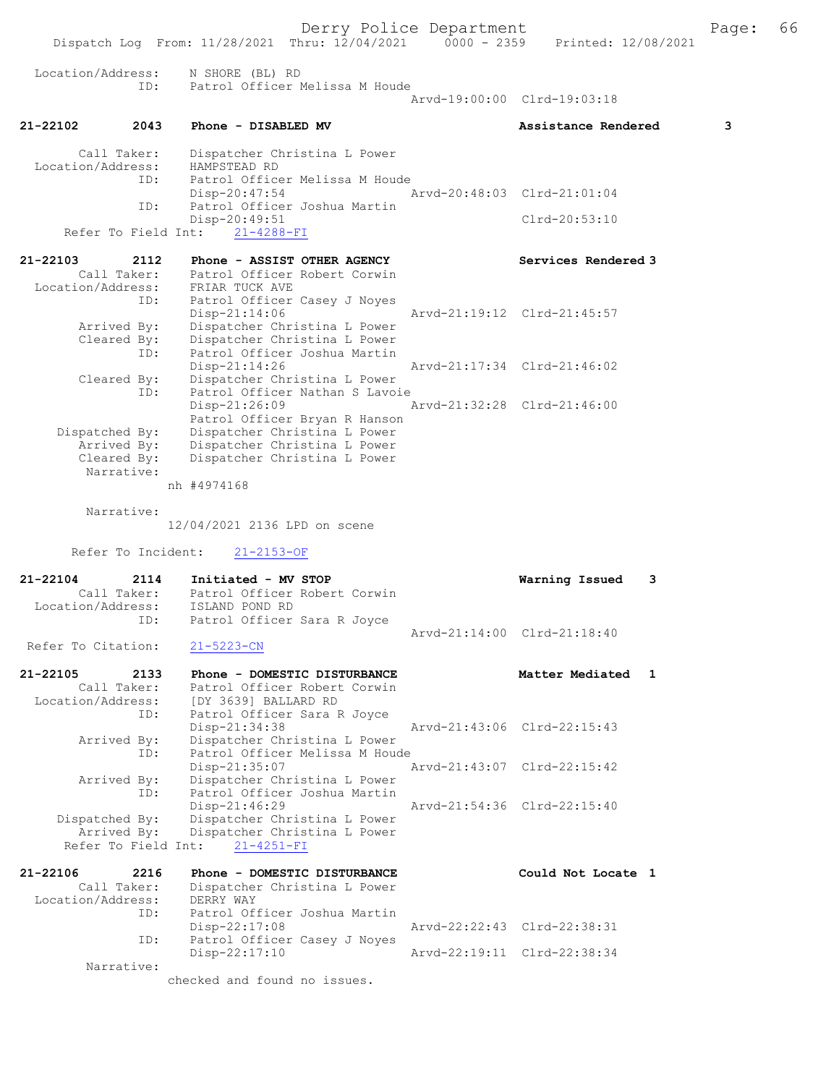Derry Police Department The Page: 66 Dispatch Log From: 11/28/2021 Thru: 12/04/2021 0000 - 2359 Printed: 12/08/2021 Location/Address: N SHORE (BL) RD ID: Patrol Officer Melissa M Houde Arvd-19:00:00 Clrd-19:03:18 21-22102 2043 Phone - DISABLED MV Assistance Rendered 3 Call Taker: Dispatcher Christina L Power<br>.on/Address: HAMPSTEAD RD Location/Address:<br>ID: ID: Patrol Officer Melissa M Houde Disp-20:47:54 Arvd-20:48:03 Clrd-21:01:04<br>ID: Patrol Officer Joshua Martin Patrol Officer Joshua Martin Disp-20:49:51 Clrd-20:53:10 Refer To Field Int: 21-4288-FI 21-22103 2112 Phone - ASSIST OTHER AGENCY Services Rendered 3 Call Taker: Patrol Officer Robert Corwin Location/Address: FRIAR TUCK AVE ID: Patrol Officer Casey J Noyes<br>Disp-21:14:06 Disp-21:14:06 Arvd-21:19:12 Clrd-21:45:57<br>Arrived By: Dispatcher Christina L Power Arrived By: Dispatcher Christina L Power Cleared By: Dispatcher Christina L Power ID: Patrol Officer Joshua Martin Disp-21:14:26 Arvd-21:17:34 Clrd-21:46:02 Cleared By: Dispatcher Christina L Power ID: Patrol Officer Nathan S Lavoie<br>Disp-21:26:09 7 Disp-21:26:09 Arvd-21:32:28 Clrd-21:46:00 Patrol Officer Bryan R Hanson<br>Dispatched By: Dispatcher Christina L Power spatched By: Dispatcher Christina L Power<br>Arrived By: Dispatcher Christina L Power Dispatcher Christina L Power Cleared By: Dispatcher Christina L Power Narrative: nh #4974168 Narrative: 12/04/2021 2136 LPD on scene Refer To Incident: 21-2153-OF 21-22104 2114 Initiated - MV STOP Warning Issued 3 Call Taker: Patrol Officer Robert Corwin Location/Address: ISLAND POND RD ID: Patrol Officer Sara R Joyce Arvd-21:14:00 Clrd-21:18:40<br>21-5223-CN Refer To Citation: 21-22105 2133 Phone - DOMESTIC DISTURBANCE Matter Mediated 1 Call Taker: Patrol Officer Robert Corwin Location/Address: [DY 3639] BALLARD RD ID: Patrol Officer Sara R Joyce Disp-21:34:38 Arvd-21:43:06 Clrd-22:15:43 Arrived By: Dispatcher Christina L Power<br>ID: Patrol Officer Melissa M Houd Patrol Officer Melissa M Houde<br>Disp-21:35:07 Disp-21:35:07 Arvd-21:43:07 Clrd-22:15:42 Arrived By: Dispatcher Christina L Power ID: Patrol Officer Joshua Martin<br>Disp-21:46:29 Disp-21:46:29 Arvd-21:54:36 Clrd-22:15:40<br>Dispatched By: Dispatcher Christina L Power Dispatched By: Dispatcher Christina L Power Arrived By: Dispatcher Christina L Power Refer To Field Int: 21-4251-FI 21-22106 2216 Phone - DOMESTIC DISTURBANCE Could Not Locate 1 Call Taker: Dispatcher Christina L Power Location/Address: DERRY WAY ID: Patrol Officer Joshua Martin Disp-22:17:08 Arvd-22:22:43 Clrd-22:38:31<br>ID: Patrol Officer Casey J Noyes Patrol Officer Casey J Noyes<br>Disp-22:17:10 Arvd-22:19:11 Clrd-22:38:34

Narrative:

checked and found no issues.